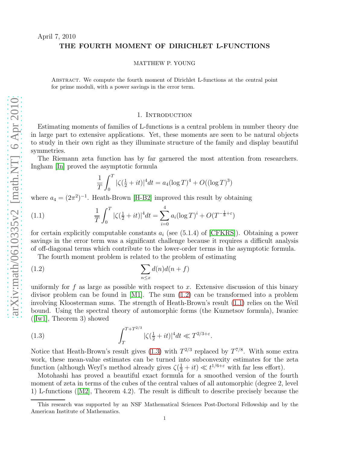# THE FOURTH MOMENT OF DIRICHLET L-FUNCTIONS

#### MATTHEW P. YOUNG

Abstract. We compute the fourth moment of Dirichlet L-functions at the central point for prime moduli, with a power savings in the error term.

#### 1. INTRODUCTION

Estimating moments of families of L-functions is a central problem in number theory due in large part to extensive applications. Yet, these moments are seen to be natural objects to study in their own right as they illuminate structure of the family and display beautiful symmetries.

The Riemann zeta function has by far garnered the most attention from researchers. Ingham [\[In\]](#page-39-0) proved the asymptotic formula

<span id="page-0-1"></span><span id="page-0-0"></span>
$$
\frac{1}{T} \int_0^T |\zeta(\frac{1}{2} + it)|^4 dt = a_4 (\log T)^4 + O((\log T)^3)
$$

where  $a_4 = (2\pi^2)^{-1}$ . Heath-Brown [\[H-B2\]](#page-39-1) improved this result by obtaining

(1.1) 
$$
\frac{1}{T} \int_0^T |\zeta(\frac{1}{2} + it)|^4 dt = \sum_{i=0}^4 a_i (\log T)^i + O(T^{-\frac{1}{8} + \varepsilon})
$$

for certain explicitly computable constants  $a_i$  (see (5.1.4) of [\[CFKRS\]](#page-38-0)). Obtaining a power savings in the error term was a significant challenge because it requires a difficult analysis of off-diagonal terms which contribute to the lower-order terms in the asymptotic formula.

The fourth moment problem is related to the problem of estimating

(1.2) 
$$
\sum_{n \leq x} d(n)d(n+f)
$$

uniformly for f as large as possible with respect to x. Extensive discussion of this binary divisor problem can be found in [\[M1\]](#page-39-2). The sum [\(1.2\)](#page-0-0) can be transformed into a problem involving Kloosterman sums. The strength of Heath-Brown's result [\(1.1\)](#page-0-1) relies on the Weil bound. Using the spectral theory of automorphic forms (the Kuznetsov formula), Iwaniec ([\[Iw1\]](#page-39-3), Theorem 3) showed

<span id="page-0-2"></span>(1.3) 
$$
\int_{T}^{T+T^{2/3}} |\zeta(\frac{1}{2}+it)|^4 dt \ll T^{2/3+\varepsilon}.
$$

Notice that Heath-Brown's result gives [\(1.3\)](#page-0-2) with  $T^{2/3}$  replaced by  $T^{7/8}$ . With some extra work, these mean-value estimates can be turned into subconvexity estimates for the zeta function (although Weyl's method already gives  $\zeta(\frac{1}{2} + it) \ll t^{1/6+\epsilon}$  with far less effort).

Motohashi has proved a beautiful exact formula for a smoothed version of the fourth moment of zeta in terms of the cubes of the central values of all automorphic (degree 2, level 1) L-functions([\[M2\]](#page-39-4), Theorem 4.2). The result is difficult to describe precisely because the

This research was supported by an NSF Mathematical Sciences Post-Doctoral Fellowship and by the American Institute of Mathematics.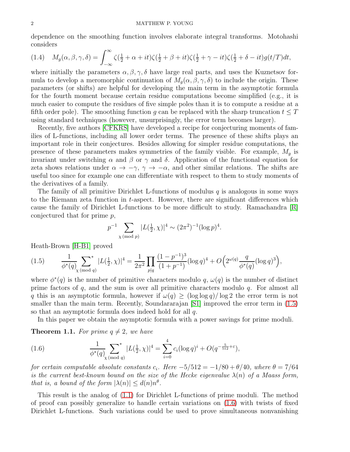dependence on the smoothing function involves elaborate integral transforms. Motohashi considers

<span id="page-1-2"></span>
$$
(1.4) \quad M_g(\alpha,\beta,\gamma,\delta) = \int_{-\infty}^{\infty} \zeta(\frac{1}{2}+\alpha+it)\zeta(\frac{1}{2}+\beta+it)\zeta(\frac{1}{2}+\gamma-it)\zeta(\frac{1}{2}+\delta-it)g(t/T)dt,
$$

where initially the parameters  $\alpha, \beta, \gamma, \delta$  have large real parts, and uses the Kuznetsov formula to develop a meromorphic continuation of  $M_q(\alpha, \beta, \gamma, \delta)$  to include the origin. These parameters (or shifts) are helpful for developing the main term in the asymptotic formula for the fourth moment because certain residue computations become simplified (e.g., it is much easier to compute the residues of five simple poles than it is to compute a residue at a fifth order pole). The smoothing function g can be replaced with the sharp truncation  $t \leq T$ using standard techniques (however, unsurprisingly, the error term becomes larger).

Recently, five authors [\[CFKRS\]](#page-38-0) have developed a recipe for conjecturing moments of families of L-functions, including all lower order terms. The presence of these shifts plays an important role in their conjectures. Besides allowing for simpler residue computations, the presence of these parameters makes symmetries of the family visible. For example,  $M<sub>g</sub>$  is invariant under switching  $\alpha$  and  $\beta$  or  $\gamma$  and  $\delta$ . Application of the functional equation for zeta shows relations under  $\alpha \to -\gamma$ ,  $\gamma \to -\alpha$ , and other similar relations. The shifts are useful too since for example one can differentiate with respect to them to study moments of the derivatives of a family.

The family of all primitive Dirichlet L-functions of modulus  $q$  is analogous in some ways to the Riemann zeta function in t-aspect. However, there are significant differences which cause the family of Dirichlet L-functions to be more difficult to study. Ramachandra [\[R\]](#page-39-5) conjectured that for prime p,

$$
p^{-1}
$$
  $\sum_{\chi \pmod{p}} |L(\frac{1}{2}, \chi)|^4 \sim (2\pi^2)^{-1} (\log p)^4.$ 

Heath-Brown [\[H-B1\]](#page-39-6) proved

<span id="page-1-0"></span>
$$
(1.5) \qquad \frac{1}{\phi^*(q)} \sum_{\chi \pmod{q}}^* |L(\frac{1}{2}, \chi)|^4 = \frac{1}{2\pi^2} \prod_{p|q} \frac{(1-p^{-1})^3}{(1+p^{-1})} (\log q)^4 + O\Big(2^{\omega(q)} \frac{q}{\phi^*(q)} (\log q)^3\Big),
$$

where  $\phi^*(q)$  is the number of primitive characters modulo q,  $\omega(q)$  is the number of distinct prime factors of  $q$ , and the sum is over all primitive characters modulo  $q$ . For almost all q this is an asymptotic formula, however if  $\omega(q) \geq (\log \log q)/\log 2$  the error term is not smaller than the main term. Recently, Soundararajan [\[S1\]](#page-39-7) improved the error term in [\(1.5\)](#page-1-0) so that an asymptotic formula does indeed hold for all q.

In this paper we obtain the asymptotic formula with a power savings for prime moduli.

<span id="page-1-3"></span>**Theorem 1.1.** For prime  $q \neq 2$ , we have

<span id="page-1-1"></span>(1.6) 
$$
\frac{1}{\phi^*(q)} \sum_{\chi \pmod{q}}^* |L(\frac{1}{2}, \chi)|^4 = \sum_{i=0}^4 c_i (\log q)^i + O(q^{-\frac{5}{512} + \varepsilon}),
$$

*for certain computable absolute constants*  $c_i$ *. Here*  $-5/512 = -1/80 + \theta/40$ *, where*  $\theta = 7/64$ *is the current best-known bound on the size of the Hecke eigenvalue*  $\lambda(n)$  *of a Maass form, that is, a bound of the form*  $|\lambda(n)| \leq d(n)n^{\theta}$ *.* 

This result is the analog of [\(1.1\)](#page-0-1) for Dirichlet L-functions of prime moduli. The method of proof can possibly generalize to handle certain variations on [\(1.6\)](#page-1-1) with twists of fixed Dirichlet L-functions. Such variations could be used to prove simultaneous nonvanishing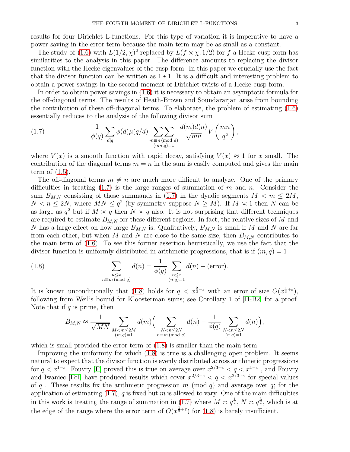results for four Dirichlet L-functions. For this type of variation it is imperative to have a power saving in the error term because the main term may be as small as a constant.

The study of [\(1.6\)](#page-1-1) with  $L(1/2, \chi)^2$  replaced by  $L(f \times \chi, 1/2)$  for f a Hecke cusp form has similarities to the analysis in this paper. The difference amounts to replacing the divisor function with the Hecke eigenvalues of the cusp form. In this paper we crucially use the fact that the divisor function can be written as  $1 \star 1$ . It is a difficult and interesting problem to obtain a power savings in the second moment of Dirichlet twists of a Hecke cusp form.

In order to obtain power savings in [\(1.6\)](#page-1-1) it is necessary to obtain an asymptotic formula for the off-diagonal terms. The results of Heath-Brown and Soundararjan arise from bounding the contribution of these off-diagonal terms. To elaborate, the problem of estimating [\(1.6\)](#page-1-1) essentially reduces to the analysis of the following divisor sum

<span id="page-2-0"></span>(1.7) 
$$
\frac{1}{\phi(q)} \sum_{d|q} \phi(d) \mu(q/d) \sum_{\substack{m \equiv n \pmod{d} \\ (mn,q)=1}} \frac{d(m)d(n)}{\sqrt{mn}} V\left(\frac{mn}{q^2}\right),
$$

where  $V(x)$  is a smooth function with rapid decay, satisfying  $V(x) \approx 1$  for x small. The contribution of the diagonal terms  $m = n$  in the sum is easily computed and gives the main term of [\(1.5\)](#page-1-0).

The off-diagonal terms  $m \neq n$  are much more difficult to analyze. One of the primary difficulties in treating  $(1.7)$  is the large ranges of summation of m and n. Consider the sum  $B_{M,N}$  consisting of those summands in [\(1.7\)](#page-2-0) in the dyadic segments  $M < m \le 2M$ ,  $N < n \le 2N$ , where  $MN \le q^2$  (by symmetry suppose  $N \ge M$ ). If  $M \approx 1$  then N can be as large as  $q^2$  but if  $M \approx q$  then  $N \approx q$  also. It is not surprising that different techniques are required to estimate  $B_{M,N}$  for these different regions. In fact, the relative sizes of M and N has a large effect on how large  $B_{M,N}$  is. Qualitatively,  $B_{M,N}$  is small if M and N are far from each other, but when M and N are close to the same size, then  $B_{M,N}$  contributes to the main term of [\(1.6\)](#page-1-1). To see this former assertion heuristically, we use the fact that the divisor function is uniformly distributed in arithmetic progressions, that is if  $(m, q) = 1$ 

(1.8) 
$$
\sum_{\substack{n \leq x \\ n \equiv m \pmod{q}}} d(n) = \frac{1}{\phi(q)} \sum_{\substack{n \leq x \\ (n,q)=1}} d(n) + (\text{error}).
$$

It is known unconditionally that [\(1.8\)](#page-2-1) holds for  $q < x^{\frac{2}{3}-\varepsilon}$  with an error of size  $O(x^{\frac{1}{3}+\varepsilon})$ , following from Weil's bound for Kloosterman sums; see Corollary 1 of [\[H-B2\]](#page-39-1) for a proof. Note that if  $q$  is prime, then

<span id="page-2-1"></span>
$$
B_{M,N} \approx \frac{1}{\sqrt{MN}} \sum_{\substack{M < m \le 2M \\ (m,q)=1}} d(m) \Big( \sum_{\substack{N < n \le 2N \\ n \equiv m \, (\text{mod } q)}} d(n) - \frac{1}{\phi(q)} \sum_{\substack{N < n \le 2N \\ (n,q)=1}} d(n) \Big),
$$

which is small provided the error term of  $(1.8)$  is smaller than the main term.

Improving the uniformity for which [\(1.8\)](#page-2-1) is true is a challenging open problem. It seems natural to expect that the divisor function is evenly distributed across arithmetic progressions for  $q < x^{1-\epsilon}$ . Fouvry [\[F\]](#page-38-1) proved this is true on average over  $x^{2/3+\epsilon} < q < x^{1-\epsilon}$ , and Fouvry and Iwaniec [\[FoI\]](#page-38-2) have produced results which cover  $x^{2/3-\epsilon} < q < x^{2/3+\epsilon}$  for special values of q. These results fix the arithmetic progression m (mod q) and average over q; for the application of estimating  $(1.7)$ , q is fixed but m is allowed to vary. One of the main difficulties in this work is treating the range of summation in  $(1.7)$  where  $M \approx q^{\frac{1}{2}}$ ,  $N \approx q^{\frac{3}{2}}$ , which is at the edge of the range where the error term of  $O(x^{\frac{1}{3}+\varepsilon})$  for [\(1.8\)](#page-2-1) is barely insufficient.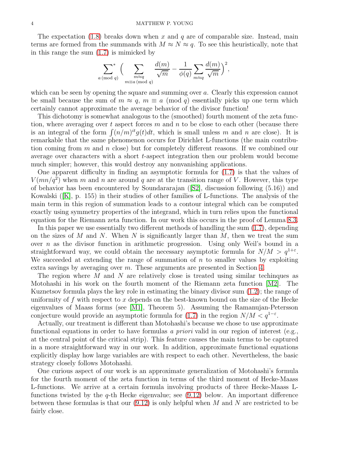The expectation  $(1.8)$  breaks down when x and q are of comparable size. Instead, main terms are formed from the summands with  $M \approx N \approx q$ . To see this heuristically, note that in this range the sum [\(1.7\)](#page-2-0) is mimicked by

$$
\sum_{a \pmod{q}}^{\ast} \Big( \sum_{\substack{m \approx q \\ m \equiv a \pmod{q}}} \frac{d(m)}{\sqrt{m}} - \frac{1}{\phi(q)} \sum_{m \approx q} \frac{d(m)}{\sqrt{m}} \Big)^2,
$$

which can be seen by opening the square and summing over a. Clearly this expression cannot be small because the sum of  $m \approx q$ ,  $m \equiv a \pmod{q}$  essentially picks up one term which certainly cannot approximate the average behavior of the divisor function!

This dichotomy is somewhat analogous to the (smoothed) fourth moment of the zeta function, where averaging over t aspect forces m and n to be close to each other (because there is an integral of the form  $\int (n/m)^{it} g(t) dt$ , which is small unless m and n are close). It is remarkable that the same phenomenon occurs for Dirichlet L-functions (the main contribution coming from m and n close) but for completely different reasons. If we combined our average over characters with a short t-aspect integration then our problem would become much simpler; however, this would destroy any nonvanishing applications.

One apparent difficulty in finding an asymptotic formula for [\(1.7\)](#page-2-0) is that the values of  $V(mn/q^2)$  when m and n are around q are at the transition range of V. However, this type of behavior has been encountered by Soundararajan([\[S2\]](#page-39-8), discussion following (5.16)) and Kowalski([\[K\]](#page-39-9), p. 155) in their studies of other families of L-functions. The analysis of the main term in this region of summation leads to a contour integral which can be computed exactly using symmetry properties of the integrand, which in turn relies upon the functional equation for the Riemann zeta function. In our work this occurs in the proof of Lemma [8.3.](#page-30-0)

In this paper we use essentially two different methods of handling the sum [\(1.7\)](#page-2-0), depending on the sizes of M and N. When N is significantly larger than  $M$ , then we treat the sum over *n* as the divisor function in arithmetic progression. Using only Weil's bound in a straightforward way, we could obtain the necessary asymptotic formula for  $N/M > q^{1+\epsilon}$ . We succeeded at extending the range of summation of  $n$  to smaller values by exploiting extra savings by averaging over m. These arguments are presented in Section [4.](#page-13-0)

The region where M and N are relatively close is treated using similar techinques as Motohashi in his work on the fourth moment of the Riemann zeta function [\[M2\]](#page-39-4). The Kuznetsov formula plays the key role in estimating the binary divisor sum [\(1.2\)](#page-0-0); the range of uniformity of f with respect to x depends on the best-known bound on the size of the Hecke eigenvalues of Maass forms (see [\[M1\]](#page-39-2), Theorem 5). Assuming the Ramanujan-Petersson conjecture would provide an asymptotic formula for  $(1.7)$  in the region  $N/M < q^{1-\epsilon}$ .

Actually, our treatment is different than Motohashi's because we chose to use approximate functional equations in order to have formulas *a priori* valid in our region of interest (e.g., at the central point of the critical strip). This feature causes the main terms to be captured in a more straightforward way in our work. In addition, approximate functional equations explicitly display how large variables are with respect to each other. Nevertheless, the basic strategy closely follows Motohashi.

One curious aspect of our work is an approximate generalization of Motohashi's formula for the fourth moment of the zeta function in terms of the third moment of Hecke-Maass L-functions. We arrive at a certain formula involving products of three Hecke-Maass Lfunctions twisted by the  $q$ -th Hecke eigenvalue; see  $(9.12)$  below. An important difference between these formulas is that our  $(9.12)$  is only helpful when M and N are restricted to be fairly close.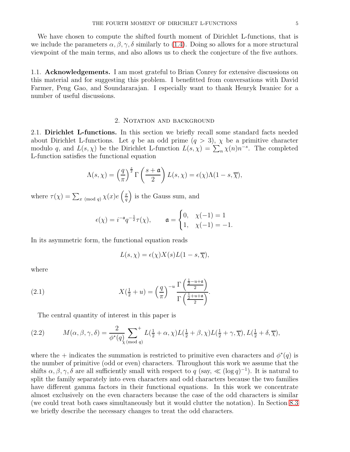We have chosen to compute the shifted fourth moment of Dirichlet L-functions, that is we include the parameters  $\alpha, \beta, \gamma, \delta$  similarly to [\(1.4\)](#page-1-2). Doing so allows for a more structural viewpoint of the main terms, and also allows us to check the conjecture of the five authors.

1.1. Acknowledgements. I am most grateful to Brian Conrey for extensive discussions on this material and for suggesting this problem. I benefitted from conversations with David Farmer, Peng Gao, and Soundararajan. I especially want to thank Henryk Iwaniec for a number of useful discussions.

#### 2. NOTATION AND BACKGROUND

2.1. Dirichlet L-functions. In this section we briefly recall some standard facts needed about Dirichlet L-functions. Let q be an odd prime  $(q > 3)$ ,  $\chi$  be a primitive character modulo q, and  $L(s,\chi)$  be the Dirichlet L-function  $L(s,\chi) = \sum_{n} \chi(n) n^{-s}$ . The completed L-function satisfies the functional equation

$$
\Lambda(s,\chi) = \left(\frac{q}{\pi}\right)^{\frac{s}{2}} \Gamma\left(\frac{s+\mathfrak{a}}{2}\right) L(s,\chi) = \epsilon(\chi)\Lambda(1-s,\overline{\chi}),
$$

where  $\tau(\chi) = \sum_{x \pmod{q}} \chi(x)e\left(\frac{x}{q}\right)$ q ) is the Gauss sum, and

$$
\epsilon(\chi)=i^{-\mathfrak{a}}q^{-\frac{1}{2}}\tau(\chi),\qquad \mathfrak{a}=\begin{cases} 0,& \chi(-1)=1\\ 1,& \chi(-1)=-1.\end{cases}
$$

In its asymmetric form, the functional equation reads

<span id="page-4-0"></span>
$$
L(s,\chi) = \epsilon(\chi)X(s)L(1-s,\overline{\chi}),
$$

where

(2.1) 
$$
X(\frac{1}{2}+u) = \left(\frac{q}{\pi}\right)^{-u} \frac{\Gamma\left(\frac{1}{2}-u+\mathfrak{a}\right)}{\Gamma\left(\frac{1}{2}+u+\mathfrak{a}\right)}.
$$

<span id="page-4-1"></span>The central quantity of interest in this paper is

(2.2) 
$$
M(\alpha, \beta, \gamma, \delta) = \frac{2}{\phi^*(q)} \sum_{\substack{\text{(mod } q)}}^{\text{+}} L(\frac{1}{2} + \alpha, \chi) L(\frac{1}{2} + \beta, \chi) L(\frac{1}{2} + \gamma, \overline{\chi}), L(\frac{1}{2} + \delta, \overline{\chi}),
$$

where the + indicates the summation is restricted to primitive even characters and  $\phi^*(q)$  is the number of primitive (odd or even) characters. Throughout this work we assume that the shifts  $\alpha, \beta, \gamma, \delta$  are all sufficiently small with respect to  $q$  (say,  $\ll$  (log  $q$ )<sup>-1</sup>). It is natural to split the family separately into even characters and odd characters because the two families have different gamma factors in their functional equations. In this work we concentrate almost exclusively on the even characters because the case of the odd characters is similar (we could treat both cases simultaneously but it would clutter the notation). In Section [8.3](#page-31-0) we briefly describe the necessary changes to treat the odd characters.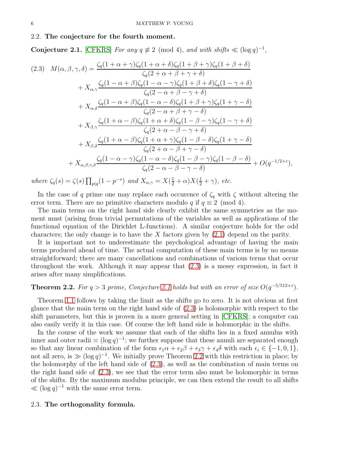#### 2.2. The conjecture for the fourth moment.

<span id="page-5-1"></span>Conjecture 2.1. [\[CFKRS\]](#page-38-0) *For any*  $q \not\equiv 2 \pmod{4}$ *, and with shifts*  $\ll (\log q)^{-1}$ *,* 

<span id="page-5-0"></span>
$$
(2.3) \quad M(\alpha,\beta,\gamma,\delta) = \frac{\zeta_q(1+\alpha+\gamma)\zeta_q(1+\alpha+\delta)\zeta_q(1+\beta+\gamma)\zeta_q(1+\beta+\delta)}{\zeta_q(2+\alpha+\beta+\gamma+\delta)}
$$

$$
+ X_{\alpha,\gamma} \frac{\zeta_q(1-\alpha+\beta)\zeta_q(1-\alpha-\gamma)\zeta_q(1+\beta+\delta)\zeta_q(1-\gamma+\delta)}{\zeta_q(2-\alpha+\beta-\gamma+\delta)}
$$

$$
+ X_{\alpha,\delta} \frac{\zeta_q(1-\alpha+\beta)\zeta_q(1-\alpha-\delta)\zeta_q(1+\beta+\gamma)\zeta_q(1+\gamma-\delta)}{\zeta_q(2-\alpha+\beta+\gamma-\delta)}
$$

$$
+ X_{\beta,\gamma} \frac{\zeta_q(1+\alpha-\beta)\zeta_q(1+\alpha+\delta)\zeta_q(1-\beta-\gamma)\zeta_q(1-\gamma+\delta)}{\zeta_q(2+\alpha-\beta-\gamma+\delta)}
$$

$$
+ X_{\beta,\delta} \frac{\zeta_q(1+\alpha-\beta)\zeta_q(1+\alpha+\gamma)\zeta_q(1-\beta-\delta)\zeta_q(1+\gamma-\delta)}{\zeta_q(2+\alpha-\beta+\gamma-\delta)}
$$

$$
+ X_{\alpha,\beta,\gamma,\delta} \frac{\zeta_q(1-\alpha-\gamma)\zeta_q(1-\alpha-\delta)\zeta_q(1-\beta-\gamma)\zeta_q(1-\beta-\delta)}{\zeta_q(2-\alpha-\beta-\gamma-\delta)} + O(q^{-1/2+\epsilon}),
$$

*where*  $\zeta_q(s) = \zeta(s) \prod_{p|q} (1 - p^{-s})$  *and*  $X_{\alpha, \gamma} = X(\frac{1}{2} + \alpha) X(\frac{1}{2} + \gamma)$ *, etc.* 

In the case of q prime one may replace each occurence of  $\zeta_q$  with  $\zeta$  without altering the error term. There are no primitive characters modulo q if  $q \equiv 2 \pmod{4}$ .

The main terms on the right hand side clearly exhibit the same symmetries as the moment must (arising from trivial permutations of the variables as well as applications of the functional equation of the Dirichlet L-functions). A similar conjecture holds for the odd characters; the only change is to have the X factors given by  $(2.1)$  depend on the parity.

It is important not to underestimate the psychological advantage of having the main terms produced ahead of time. The actual computation of these main terms is by no means straightforward; there are many cancellations and combinations of various terms that occur throughout the work. Although it may appear that [\(2.3\)](#page-5-0) is a messy expression, in fact it arises after many simplifications.

# <span id="page-5-2"></span>**Theorem 2.2.** For  $q > 3$  prime, Conjecture [2.1](#page-5-1) holds but with an error of size  $O(q^{-5/512+\epsilon})$ .

Theorem [1.1](#page-1-3) follows by taking the limit as the shifts go to zero. It is not obvious at first glance that the main term on the right hand side of [\(2.3\)](#page-5-0) is holomorphic with respect to the shift parameters, but this is proven in a more general setting in [\[CFKRS\]](#page-38-0); a computer can also easily verify it in this case. Of course the left hand side is holomorphic in the shifts.

In the course of the work we assume that each of the shifts lies in a fixed annulus with inner and outer radii  $\asymp (\log q)^{-1}$ ; we further suppose that these annuli are separated enough so that any linear combination of the form  $\epsilon_1\alpha + \epsilon_2\beta + \epsilon_3\gamma + \epsilon_4\delta$  with each  $\epsilon_i \in \{-1, 0, 1\}$ , not all zero, is  $\gg (\log q)^{-1}$ . We initially prove Theorem [2.2](#page-5-2) with this restriction in place; by the holomorphy of the left hand side of [\(2.3\)](#page-5-0), as well as the combination of main terms on the right hand side of [\(2.3\)](#page-5-0), we see that the error term also must be holomorphic in terms of the shifts. By the maximum modulus principle, we can then extend the result to all shifts  $\ll (\log q)^{-1}$  with the same error term.

# 2.3. The orthogonality formula.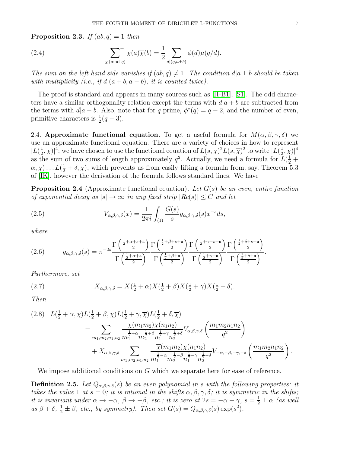<span id="page-6-1"></span>**Proposition 2.3.** *If*  $(ab, q) = 1$  *then* 

(2.4) 
$$
\sum_{\chi \pmod{q}}^{+} \chi(a)\overline{\chi}(b) = \frac{1}{2} \sum_{d|(q,a \pm b)} \phi(d)\mu(q/d).
$$

*The sum on the left hand side vanishes if*  $(ab, q) \neq 1$ *. The condition*  $d|a \pm b$  *should be taken with multiplicity (i.e., if*  $d|(a + b, a - b)$ *, it is counted twice).* 

The proof is standard and appears in many sources such as [\[H-B1\]](#page-39-6), [\[S1\]](#page-39-7). The odd characters have a similar orthogonality relation except the terms with  $d|a + b$  are subtracted from the terms with  $d|a - b$ . Also, note that for q prime,  $\phi^*(q) = q - 2$ , and the number of even, primitive characters is  $\frac{1}{2}(q-3)$ .

2.4. Approximate functional equation. To get a useful formula for  $M(\alpha, \beta, \gamma, \delta)$  we use an approximate functional equation. There are a variety of choices in how to represent  $|L(\frac{1}{2}$  $(\frac{1}{2}, \chi)|^4$ ; we have chosen to use the functional equation of  $L(s, \chi)^2 L(s, \overline{\chi})^2$  to write  $|L(\frac{1}{2}, \chi)|^4$  $(\frac{1}{2}, \chi)^{4}$ as the sum of two sums of length approximately  $q^2$ . Actually, we need a formula for  $L(\frac{1}{2} +$  $(\alpha, \chi) \dots L(\frac{1}{2} + \delta, \overline{\chi})$ , which prevents us from easily lifting a formula from, say, Theorem 5.3 of [\[IK\]](#page-39-10), however the derivation of the formula follows standard lines. We have

<span id="page-6-0"></span>Proposition 2.4 (Approximate functional equation). *Let* G(s) *be an even, entire function of exponential decay as*  $|s| \to \infty$  *in any fixed strip*  $|Re(s)| \leq C$  *and let* 

<span id="page-6-2"></span>(2.5) 
$$
V_{\alpha,\beta,\gamma,\delta}(x) = \frac{1}{2\pi i} \int_{(1)} \frac{G(s)}{s} g_{\alpha,\beta,\gamma,\delta}(s) x^{-s} ds,
$$

*where*

(2.6) 
$$
g_{\alpha,\beta,\gamma,\delta}(s) = \pi^{-2s} \frac{\Gamma\left(\frac{\frac{1}{2}+\alpha+s+\mathfrak{a}}{2}\right)}{\Gamma\left(\frac{\frac{1}{2}+\alpha+\mathfrak{a}}{2}\right)} \frac{\Gamma\left(\frac{\frac{1}{2}+\beta+s+\mathfrak{a}}{2}\right)}{\Gamma\left(\frac{\frac{1}{2}+\beta+\mathfrak{a}}{2}\right)} \frac{\Gamma\left(\frac{\frac{1}{2}+\gamma+s+\mathfrak{a}}{2}\right)}{\Gamma\left(\frac{\frac{1}{2}+\gamma+\mathfrak{a}}{2}\right)} \frac{\Gamma\left(\frac{\frac{1}{2}+\delta+s+\mathfrak{a}}{2}\right)}{\Gamma\left(\frac{\frac{1}{2}+\delta+\mathfrak{a}}{2}\right)}.
$$

*Furthermore, set*

(2.7) 
$$
X_{\alpha,\beta,\gamma,\delta} = X(\frac{1}{2}+\alpha)X(\frac{1}{2}+\beta)X(\frac{1}{2}+\gamma)X(\frac{1}{2}+\delta).
$$

*Then*

$$
(2.8) \quad L(\frac{1}{2} + \alpha, \chi)L(\frac{1}{2} + \beta, \chi)L(\frac{1}{2} + \gamma, \overline{\chi})L(\frac{1}{2} + \delta, \overline{\chi})
$$
\n
$$
= \sum_{m_1, m_2, n_1, n_2} \frac{\chi(m_1 m_2) \overline{\chi}(n_1 n_2)}{m_1^{\frac{1}{2} + \alpha} m_2^{\frac{1}{2} + \beta} n_1^{\frac{1}{2} + \gamma} n_2^{\frac{1}{2} + \delta}} V_{\alpha, \beta, \gamma, \delta} \left(\frac{m_1 m_2 n_1 n_2}{q^2}\right)
$$
\n
$$
+ X_{\alpha, \beta, \gamma, \delta} \sum_{m_1, m_2, n_1, n_2} \frac{\overline{\chi}(m_1 m_2) \chi(n_1 n_2)}{m_1^{\frac{1}{2} - \alpha} m_2^{\frac{1}{2} - \beta} n_1^{\frac{1}{2} - \gamma} n_2^{\frac{1}{2} - \delta}} V_{-\alpha, -\beta, -\gamma, -\delta} \left(\frac{m_1 m_2 n_1 n_2}{q^2}\right).
$$

We impose additional conditions on G which we separate here for ease of reference.

<span id="page-6-3"></span>**Definition 2.5.** Let  $Q_{\alpha,\beta,\gamma,\delta}(s)$  be an even polynomial in s with the following properties: it *takes the value* 1 *at*  $s = 0$ ; *it is rational in the shifts*  $\alpha, \beta, \gamma, \delta$ ; *it is symmetric in the shifts*; *it is invariant under*  $\alpha \to -\alpha$ ,  $\beta \to -\beta$ , *etc.; it is zero at*  $2s = -\alpha - \gamma$ ,  $s = \frac{1}{2} \pm \alpha$  *(as well as*  $\beta + \delta$ ,  $\frac{1}{2} \pm \beta$ , *etc.*, *by symmetry*). Then set  $G(s) = Q_{\alpha,\beta,\gamma,\delta}(s) \exp(s^2)$ .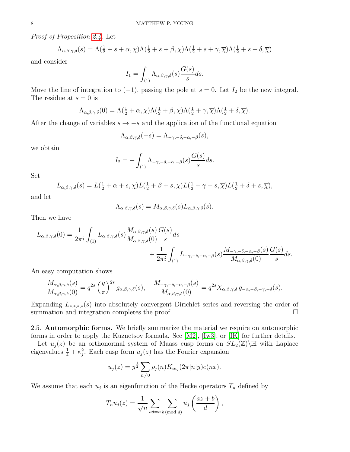*Proof of Proposition [2.4.](#page-6-0)* Let

$$
\Lambda_{\alpha,\beta,\gamma,\delta}(s) = \Lambda(\frac{1}{2} + s + \alpha, \chi)\Lambda(\frac{1}{2} + s + \beta, \chi)\Lambda(\frac{1}{2} + s + \gamma, \overline{\chi})\Lambda(\frac{1}{2} + s + \delta, \overline{\chi})
$$

and consider

$$
I_1 = \int_{(1)} \Lambda_{\alpha,\beta,\gamma,\delta}(s) \frac{G(s)}{s} ds.
$$

Move the line of integration to  $(-1)$ , passing the pole at  $s = 0$ . Let  $I_2$  be the new integral. The residue at  $s = 0$  is

$$
\Lambda_{\alpha,\beta,\gamma,\delta}(0) = \Lambda(\frac{1}{2}+\alpha,\chi)\Lambda(\frac{1}{2}+\beta,\chi)\Lambda(\frac{1}{2}+\gamma,\overline{\chi})\Lambda(\frac{1}{2}+\delta,\overline{\chi}).
$$

After the change of variables  $s \rightarrow -s$  and the application of the functional equation

$$
\Lambda_{\alpha,\beta,\gamma,\delta}(-s)=\Lambda_{-\gamma,-\delta,-\alpha,-\beta}(s),
$$

we obtain

$$
I_2 = -\int_{(1)} \Lambda_{-\gamma, -\delta, -\alpha, -\beta}(s) \frac{G(s)}{s} ds.
$$

Set

$$
L_{\alpha,\beta,\gamma,\delta}(s) = L(\frac{1}{2}+\alpha+s,\chi)L(\frac{1}{2}+\beta+s,\chi)L(\frac{1}{2}+\gamma+s,\overline{\chi})L(\frac{1}{2}+\delta+s,\overline{\chi}),
$$

and let

$$
\Lambda_{\alpha,\beta,\gamma,\delta}(s) = M_{\alpha,\beta,\gamma,\delta}(s)L_{\alpha,\beta,\gamma,\delta}(s).
$$

Then we have

$$
L_{\alpha,\beta,\gamma,\delta}(0) = \frac{1}{2\pi i} \int_{(1)} L_{\alpha,\beta,\gamma,\delta}(s) \frac{M_{\alpha,\beta,\gamma,\delta}(s)}{M_{\alpha,\beta,\gamma,\delta}(0)} \frac{G(s)}{s} ds + \frac{1}{2\pi i} \int_{(1)} L_{-\gamma,-\delta,-\alpha,-\beta}(s) \frac{M_{-\gamma,-\delta,-\alpha,-\beta}(s)}{M_{\alpha,\beta,\gamma,\delta}(0)} \frac{G(s)}{s} ds.
$$

An easy computation shows

$$
\frac{M_{\alpha,\beta,\gamma,\delta}(s)}{M_{\alpha,\beta,\gamma,\delta}(0)} = q^{2s} \left(\frac{q}{\pi}\right)^{2s} g_{\alpha,\beta,\gamma,\delta}(s), \quad \frac{M_{-\gamma,-\delta,-\alpha,-\beta}(s)}{M_{\alpha,\beta,\gamma,\delta}(0)} = q^{2s} X_{\alpha,\beta,\gamma,\delta} g_{-\alpha,-\beta,-\gamma,-\delta}(s).
$$

Expanding  $L_{*,*,*,*}(s)$  into absolutely convergent Dirichlet series and reversing the order of summation and integration completes the proof. summation and integration completes the proof.

2.5. Automorphic forms. We briefly summarize the material we require on automorphic forms in order to apply the Kuznetsov formula. See [\[M2\]](#page-39-4), [\[Iw3\]](#page-39-11), or [\[IK\]](#page-39-10) for further details.

Let  $u_j(z)$  be an orthonormal system of Maass cusp forms on  $SL_2(\mathbb{Z})\backslash\mathbb{H}$  with Laplace eigenvalues  $\frac{1}{4} + \kappa_j^2$ . Each cusp form  $u_j(z)$  has the Fourier expansion

$$
u_j(z) = y^{\frac{1}{2}} \sum_{n \neq 0} \rho_j(n) K_{i\kappa_j}(2\pi |n|y) e(nx).
$$

We assume that each  $u_j$  is an eigenfunction of the Hecke operators  $T_n$  defined by

$$
T_n u_j(z) = \frac{1}{\sqrt{n}} \sum_{ad=n} \sum_{b \pmod{d}} u_j \left( \frac{az+b}{d} \right),
$$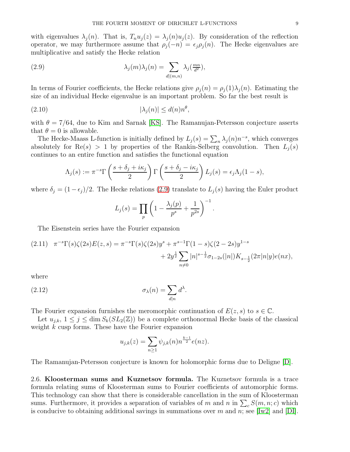with eigenvalues  $\lambda_j(n)$ . That is,  $T_n u_j(z) = \lambda_j(n) u_j(z)$ . By consideration of the reflection operator, we may furthermore assume that  $\rho_j(-n) = \epsilon_j \rho_j(n)$ . The Hecke eigenvalues are multiplicative and satisfy the Hecke relation

<span id="page-8-0"></span>(2.9) 
$$
\lambda_j(m)\lambda_j(n) = \sum_{d|(m,n)} \lambda_j(\frac{mn}{d^2}),
$$

In terms of Fourier coefficients, the Hecke relations give  $\rho_i(n) = \rho_i(1)\lambda_i(n)$ . Estimating the size of an individual Hecke eigenvalue is an important problem. So far the best result is

$$
(2.10) \t\t\t |\lambda_j(n)| \leq d(n)n^{\theta},
$$

with  $\theta = 7/64$ , due to Kim and Sarnak [\[KS\]](#page-39-12). The Ramanujan-Petersson conjecture asserts that  $\theta = 0$  is allowable.

The Hecke-Maass L-function is initially defined by  $L_j(s) = \sum_n \lambda_j(n) n^{-s}$ , which converges absolutely for  $\text{Re}(s) > 1$  by properties of the Rankin-Selberg convolution. Then  $L_i(s)$ continues to an entire function and satisfies the functional equation

$$
\Lambda_j(s) := \pi^{-s} \Gamma\left(\frac{s + \delta_j + i\kappa_j}{2}\right) \Gamma\left(\frac{s + \delta_j - i\kappa_j}{2}\right) L_j(s) = \epsilon_j \Lambda_j(1 - s),
$$

where  $\delta_j = (1 - \epsilon_j)/2$ . The Hecke relations [\(2.9\)](#page-8-0) translate to  $L_j(s)$  having the Euler product

$$
L_j(s) = \prod_p \left( 1 - \frac{\lambda_j(p)}{p^s} + \frac{1}{p^{2s}} \right)^{-1}.
$$

The Eisenstein series have the Fourier expansion

<span id="page-8-1"></span>
$$
(2.11) \quad \pi^{-s} \Gamma(s) \zeta(2s) E(z, s) = \pi^{-s} \Gamma(s) \zeta(2s) y^s + \pi^{s-1} \Gamma(1-s) \zeta(2-2s) y^{1-s} + 2y^{\frac{1}{2}} \sum_{n \neq 0} |n|^{s-\frac{1}{2}} \sigma_{1-2s}(|n|) K_{s-\frac{1}{2}}(2\pi |n|y) e(nx),
$$

where

(2.12) 
$$
\sigma_{\lambda}(n) = \sum_{d|n} d^{\lambda}.
$$

The Fourier expansion furnishes the meromorphic continuation of  $E(z, s)$  to  $s \in \mathbb{C}$ .

Let  $u_{j,k}$ ,  $1 \leq j \leq \dim S_k(SL_2(\mathbb{Z}))$  be a complete orthonormal Hecke basis of the classical weight  $k$  cusp forms. These have the Fourier expansion

$$
u_{j,k}(z) = \sum_{n \ge 1} \psi_{j,k}(n) n^{\frac{k-1}{2}} e(nz).
$$

The Ramanujan-Petersson conjecture is known for holomorphic forms due to Deligne [\[D\]](#page-38-3).

2.6. Kloosterman sums and Kuznetsov formula. The Kuznetsov formula is a trace formula relating sums of Kloosterman sums to Fourier coefficients of automorphic forms. This technology can show that there is considerable cancellation in the sum of Kloosterman sums. Furthermore, it provides a separation of variables of m and n in  $\sum_{c} S(m, n; c)$  which is conducive to obtaining additional savings in summations over m and n; see [\[Iw2\]](#page-39-13) and [\[DI\]](#page-38-4).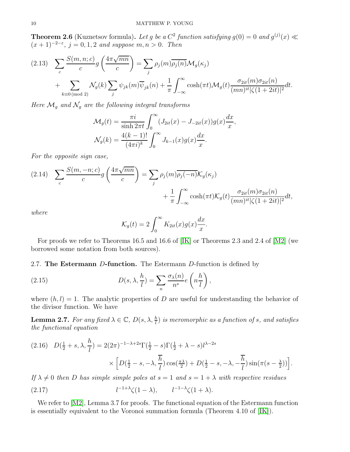<span id="page-9-2"></span>**Theorem 2.6** (Kuznetsov formula). Let g be a  $C^2$  function satisfying  $g(0) = 0$  and  $g^{(j)}(x) \ll$  $(x+1)^{-2-\epsilon}$ ,  $j = 0,1,2$  *and suppose*  $m, n > 0$ *. Then* 

$$
(2.13) \sum_{c} \frac{S(m,n;c)}{c} g\left(\frac{4\pi\sqrt{mn}}{c}\right) = \sum_{j} \rho_j(m) \overline{\rho_j(n)} \mathcal{M}_g(\kappa_j)
$$
  
+ 
$$
\sum_{k \equiv 0 \pmod{2}} \mathcal{N}_g(k) \sum_{j} \psi_{jk}(m) \overline{\psi}_{jk}(n) + \frac{1}{\pi} \int_{-\infty}^{\infty} \cosh(\pi t) \mathcal{M}_g(t) \frac{\sigma_{2it}(m) \sigma_{2it}(n)}{(mn)^{it} |\zeta(1+2it)|^2} dt.
$$

*Here*  $\mathcal{M}_g$  *and*  $\mathcal{N}_g$  *are the following integral transforms* 

$$
\mathcal{M}_g(t) = \frac{\pi i}{\sinh 2\pi t} \int_0^\infty (J_{2it}(x) - J_{-2it}(x))g(x)\frac{dx}{x},
$$
  

$$
\mathcal{N}_g(k) = \frac{4(k-1)!}{(4\pi i)^k} \int_0^\infty J_{k-1}(x)g(x)\frac{dx}{x}.
$$

*For the opposite sign case,*

(2.14) 
$$
\sum_{c} \frac{S(m, -n; c)}{c} g\left(\frac{4\pi\sqrt{mn}}{c}\right) = \sum_{j} \rho_{j}(m) \overline{\rho_{j}(-n)} \mathcal{K}_{g}(\kappa_{j}) + \frac{1}{\pi} \int_{-\infty}^{\infty} \cosh(\pi t) \mathcal{K}_{g}(t) \frac{\sigma_{2it}(m) \sigma_{2it}(n)}{(mn)^{it} |\zeta(1+2it)|^{2}} dt,
$$

*where*

$$
\mathcal{K}_g(t) = 2 \int_0^\infty K_{2it}(x) g(x) \frac{dx}{x}.
$$

For proofs we refer to Theorems 16.5 and 16.6 of [\[IK\]](#page-39-10) or Theorems 2.3 and 2.4 of [\[M2\]](#page-39-4) (we borrowed some notation from both sources).

2.7. The Estermann D-function. The Estermann D-function is defined by

(2.15) 
$$
D(s, \lambda, \frac{h}{l}) = \sum_{n} \frac{\sigma_{\lambda}(n)}{n^{s}} e\left(n \frac{h}{l}\right),
$$

where  $(h, l) = 1$ . The analytic properties of D are useful for understanding the behavior of the divisor function. We have

<span id="page-9-0"></span>**Lemma 2.7.** For any fixed  $\lambda \in \mathbb{C}$ ,  $D(s, \lambda, \frac{h}{l})$  is meromorphic as a function of s, and satisfies *the functional equation*

<span id="page-9-1"></span>
$$
(2.16) \quad D(\frac{1}{2} + s, \lambda, \frac{h}{l}) = 2(2\pi)^{-1-\lambda+2s} \Gamma(\frac{1}{2} - s) \Gamma(\frac{1}{2} + \lambda - s) l^{\lambda - 2s}
$$

$$
\times \left[ D(\frac{1}{2} - s, -\lambda, \frac{\overline{h}}{l}) \cos(\frac{\pi \lambda}{2}) + D(\frac{1}{2} - s, -\lambda, -\frac{\overline{h}}{l}) \sin(\pi(s - \frac{\lambda}{2})) \right].
$$

*If*  $\lambda \neq 0$  *then D has simple simple poles at*  $s = 1$  *and*  $s = 1 + \lambda$  *with respective residues* 

(2.17) 
$$
l^{-1+\lambda}\zeta(1-\lambda), \qquad l^{-1-\lambda}\zeta(1+\lambda).
$$

We refer to [\[M2\]](#page-39-4), Lemma 3.7 for proofs. The functional equation of the Estermann function is essentially equivalent to the Voronoi summation formula (Theorem 4.10 of [\[IK\]](#page-39-10)).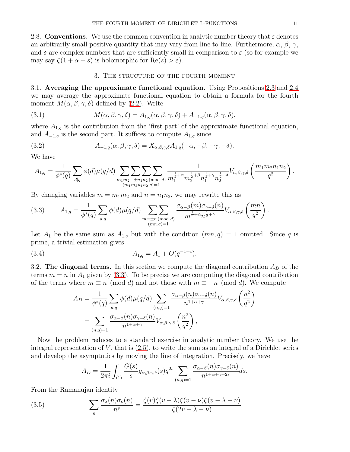2.8. Conventions. We use the common convention in analytic number theory that  $\varepsilon$  denotes an arbitrarily small positive quantity that may vary from line to line. Furthermore,  $\alpha$ ,  $\beta$ ,  $\gamma$ , and  $\delta$  are complex numbers that are sufficiently small in comparison to  $\varepsilon$  (so for example we may say  $\zeta(1+\alpha+s)$  is holomorphic for  $\text{Re}(s) > \varepsilon$ ).

# <span id="page-10-1"></span>3. The structure of the fourth moment

3.1. Averaging the approximate functional equation. Using Propositions [2.3](#page-6-1) and [2.4](#page-6-0) we may average the approximate functional equation to obtain a formula for the fourth moment  $M(\alpha, \beta, \gamma, \delta)$  defined by [\(2.2\)](#page-4-1). Write

(3.1) 
$$
M(\alpha, \beta, \gamma, \delta) = A_{1,q}(\alpha, \beta, \gamma, \delta) + A_{-1,q}(\alpha, \beta, \gamma, \delta),
$$

where  $A_{1,q}$  is the contribution from the 'first part' of the approximate functional equation, and  $A_{-1,q}$  is the second part. It suffices to compute  $A_{1,q}$  since

<span id="page-10-2"></span>(3.2) 
$$
A_{-1,q}(\alpha,\beta,\gamma,\delta) = X_{\alpha,\beta,\gamma,\delta} A_{1,q}(-\alpha,-\beta,-\gamma,-\delta).
$$

We have

$$
A_{1,q} = \frac{1}{\phi^*(q)} \sum_{d|q} \phi(d) \mu(q/d) \sum_{\substack{m_1m_2 \equiv \pm n_1n_2 \pmod{d} \\ (m_1m_2n_1n_2,q)=1}} \frac{1}{m_1^{\frac{1}{2}+\alpha} m_2^{\frac{1}{2}+\beta} n_1^{\frac{1}{2}+\gamma} n_2^{\frac{1}{2}+\delta}} V_{\alpha,\beta,\gamma,\delta} \left(\frac{m_1m_2n_1n_2}{q^2}\right).
$$

By changing variables  $m = m_1 m_2$  and  $n = n_1 n_2$ , we may rewrite this as

<span id="page-10-0"></span>(3.3) 
$$
A_{1,q} = \frac{1}{\phi^*(q)} \sum_{d|q} \phi(d) \mu(q/d) \sum_{\substack{m \equiv \pm n \pmod{d} \\ (mn,q)=1}} \frac{\sigma_{\alpha-\beta}(m)\sigma_{\gamma-\delta}(n)}{m^{\frac{1}{2}+\alpha} n^{\frac{1}{2}+\gamma}} V_{\alpha,\beta,\gamma,\delta} \left(\frac{mn}{q^2}\right).
$$

Let  $A_1$  be the same sum as  $A_{1,q}$  but with the condition  $(mn, q) = 1$  omitted. Since q is prime, a trivial estimation gives

(3.4) 
$$
A_{1,q} = A_1 + O(q^{-1+\varepsilon}).
$$

3.2. The diagonal terms. In this section we compute the diagonal contribution  $A_D$  of the terms  $m = n$  in  $A_1$  given by [\(3.3\)](#page-10-0). To be precise we are computing the diagonal contribution of the terms where  $m \equiv n \pmod{d}$  and not those with  $m \equiv -n \pmod{d}$ . We compute

<span id="page-10-3"></span>
$$
A_D = \frac{1}{\phi^*(q)} \sum_{d|q} \phi(d) \mu(q/d) \sum_{(n,q)=1} \frac{\sigma_{\alpha-\beta}(n)\sigma_{\gamma-\delta}(n)}{n^{1+\alpha+\gamma}} V_{\alpha,\beta,\gamma,\delta} \left(\frac{n^2}{q^2}\right)
$$
  
= 
$$
\sum_{(n,q)=1} \frac{\sigma_{\alpha-\beta}(n)\sigma_{\gamma-\delta}(n)}{n^{1+\alpha+\gamma}} V_{\alpha,\beta,\gamma,\delta} \left(\frac{n^2}{q^2}\right),
$$

Now the problem reduces to a standard exercise in analytic number theory. We use the integral representation of  $V$ , that is  $(2.5)$ , to write the sum as an integral of a Dirichlet series and develop the asymptotics by moving the line of integration. Precisely, we have

<span id="page-10-4"></span>
$$
A_D = \frac{1}{2\pi i} \int_{(1)} \frac{G(s)}{s} g_{\alpha,\beta,\gamma,\delta}(s) q^{2s} \sum_{(n,q)=1} \frac{\sigma_{\alpha-\beta}(n)\sigma_{\gamma-\delta}(n)}{n^{1+\alpha+\gamma+2s}} ds.
$$

From the Ramanujan identity

(3.5) 
$$
\sum_{n} \frac{\sigma_{\lambda}(n)\sigma_{\nu}(n)}{n^{\nu}} = \frac{\zeta(v)\zeta(v-\lambda)\zeta(v-\nu)\zeta(v-\lambda-\nu)}{\zeta(2v-\lambda-\nu)}
$$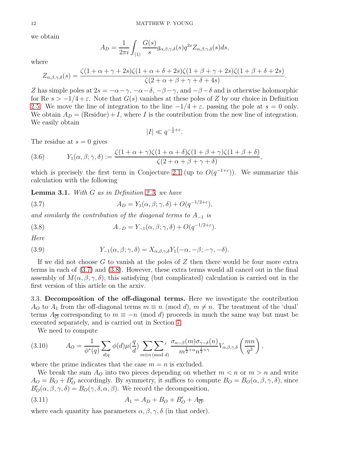we obtain

$$
A_D = \frac{1}{2\pi i} \int_{(1)} \frac{G(s)}{s} g_{\alpha,\beta,\gamma,\delta}(s) q^{2s} Z_{\alpha,\beta,\gamma,\delta}(s) ds,
$$

where

$$
Z_{\alpha,\beta,\gamma,\delta}(s) = \frac{\zeta(1+\alpha+\gamma+2s)\zeta(1+\alpha+\delta+2s)\zeta(1+\beta+\gamma+2s)\zeta(1+\beta+\delta+2s)}{\zeta(2+\alpha+\beta+\gamma+\delta+4s)}.
$$

Z has simple poles at  $2s = -\alpha - \gamma$ ,  $-\alpha - \delta$ ,  $-\beta - \gamma$ , and  $-\beta - \delta$  and is otherwise holomorphic for Re  $s > -1/4 + \varepsilon$ . Note that  $G(s)$  vanishes at these poles of Z by our choice in Definition [2.5.](#page-6-3) We move the line of integration to the line  $-1/4 + \varepsilon$ , passing the pole at  $s = 0$  only. We obtain  $A_D = (Residue) + I$ , where I is the contribution from the new line of integration. We easily obtain

<span id="page-11-0"></span>
$$
|I| \ll q^{-\frac{1}{2} + \varepsilon}.
$$

The residue at  $s = 0$  gives

(3.6) 
$$
Y_1(\alpha, \beta; \gamma, \delta) := \frac{\zeta(1 + \alpha + \gamma)\zeta(1 + \alpha + \delta)\zeta(1 + \beta + \gamma)\zeta(1 + \beta + \delta)}{\zeta(2 + \alpha + \beta + \gamma + \delta)}
$$

which is precisely the first term in Conjecture [2.1](#page-5-1) (up to  $O(q^{-1+\epsilon})$ ). We summarize this calculation with the following

,

<span id="page-11-3"></span>Lemma 3.1. *With* G *as in Definition [2.5,](#page-6-3) we have*

(3.7) 
$$
A_D = Y_1(\alpha, \beta; \gamma, \delta) + O(q^{-1/2 + \varepsilon}),
$$

*and similarly the contribution of the diagonal terms to* A−<sup>1</sup> *is*

<span id="page-11-1"></span>(3.8) 
$$
A_{-D} = Y_{-1}(\alpha, \beta; \gamma, \delta) + O(q^{-1/2 + \varepsilon}).
$$

*Here*

(3.9) 
$$
Y_{-1}(\alpha, \beta; \gamma, \delta) = X_{\alpha, \beta, \gamma, \delta} Y_1(-\alpha, -\beta; -\gamma, -\delta).
$$

If we did not choose  $G$  to vanish at the poles of  $Z$  then there would be four more extra terms in each of [\(3.7\)](#page-11-0) and [\(3.8\)](#page-11-1). However, these extra terms would all cancel out in the final assembly of  $M(\alpha, \beta, \gamma, \delta)$ ; this satisfying (but complicated) calculation is carried out in the first version of this article on the arxiv.

3.3. Decomposition of the off-diagonal terms. Here we investigate the contribution  $A_O$  to  $A_1$  from the off-diagonal terms  $m \equiv n \pmod{d}$ ,  $m \neq n$ . The treatment of the 'dual' terms  $A_{\overline{O}}$  corresponding to  $m \equiv -n \pmod{d}$  proceeds in much the same way but must be executed separately, and is carried out in Section [7.](#page-25-0)

We need to compute

(3.10) 
$$
A_O = \frac{1}{\phi^*(q)} \sum_{d|q} \phi(d) \mu(\frac{q}{d}) \sum_{m \equiv n \pmod{d}} \frac{\sigma_{\alpha-\beta}(m)\sigma_{\gamma-\delta}(n)}{m^{\frac{1}{2}+\alpha} n^{\frac{1}{2}+\gamma}} V_{\alpha,\beta,\gamma,\delta} \left(\frac{mn}{q^2}\right),
$$

where the prime indicates that the case  $m = n$  is excluded.

We break the sum  $A<sub>O</sub>$  into two pieces depending on whether  $m < n$  or  $m > n$  and write  $A_O = B_O + B_O'$  accordingly. By symmetry, it suffices to compute  $B_O = B_O(\alpha, \beta, \gamma, \delta)$ , since  $B'_{\mathcal{O}}(\alpha, \beta, \gamma, \delta) = B_{\mathcal{O}}(\gamma, \delta, \alpha, \beta)$ . We record the decomposition,

<span id="page-11-2"></span>(3.11) 
$$
A_1 = A_D + B_O + B'_O + A_{\overline{O}}.
$$

where each quantity has parameters  $\alpha, \beta, \gamma, \delta$  (in that order).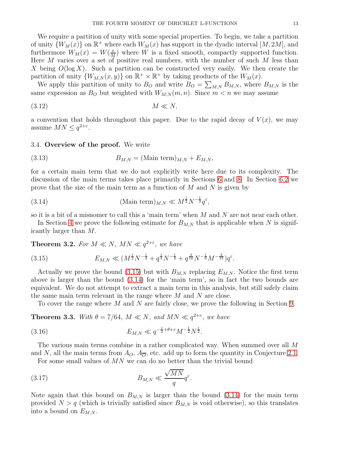We require a partition of unity with some special properties. To begin, we take a partition of unity  $\{W_M(x)\}$  on  $\mathbb{R}^+$  where each  $W_M(x)$  has support in the dyadic interval  $[M, 2M]$ , and furthermore  $W_M(x) = W(\frac{x}{M})$  $\frac{x}{M}$ ) where W is a fixed smooth, compactly supported function. Here  $M$  varies over a set of positive real numbers, with the number of such  $M$  less than X being  $O(\log X)$ . Such a partition can be constructed very easily. We then create the partition of unity  $\{W_{M,N}(x,y)\}$  on  $\mathbb{R}^+ \times \mathbb{R}^+$  by taking products of the  $W_M(x)$ .

We apply this partition of unity to  $B_O$  and write  $B_O = \sum_{M,N} B_{M,N}$ , where  $B_{M,N}$  is the same expression as  $B_O$  but weighted with  $W_{M,N}(m, n)$ . Since  $m < n$  we may assume

$$
(3.12) \t\t M \ll N,
$$

a convention that holds throughout this paper. Due to the rapid decay of  $V(x)$ , we may assume  $MN \leq q^{2+\varepsilon}$ .

#### 3.4. Overview of the proof. We write

(3.13) 
$$
B_{M,N} = (\text{Main term})_{M,N} + E_{M,N},
$$

for a certain main term that we do not explicitly write here due to its complexity. The discussion of the main terms takes place primarily in Sections [6](#page-23-0) and [8.](#page-28-0) In Section [6.2](#page-25-1) we prove that the size of the main term as a function of  $M$  and  $N$  is given by

<span id="page-12-1"></span>(3.14) 
$$
(\text{Main term})_{M,N} \ll M^{\frac{1}{2}} N^{-\frac{1}{2}} q^{\varepsilon},
$$

so it is a bit of a misnomer to call this a 'main term' when M and N are not near each other.

In Section [4](#page-13-0) we prove the following estimate for  $B_{M,N}$  that is applicable when N is significantly larger than M.

<span id="page-12-2"></span>**Theorem 3.2.** For  $M \ll N$ ,  $MN \ll q^{2+\epsilon}$ , we have

<span id="page-12-0"></span>(3.15) 
$$
E_{M,N} \ll (M^{\frac{1}{2}}N^{-\frac{1}{4}} + q^{\frac{1}{4}}N^{-\frac{1}{4}} + q^{\frac{3}{10}}N^{-\frac{1}{6}}M^{-\frac{2}{15}})q^{\varepsilon}.
$$

Actually we prove the bound [\(3.15\)](#page-12-0) but with  $B_{M,N}$  replacing  $E_{M,N}$ . Notice the first term above is larger than the bound [\(3.14\)](#page-12-1) for the 'main term', so in fact the two bounds are equivalent. We do not attempt to extract a main term in this analysis, but still safely claim the same main term relevant in the range where M and N are close.

<span id="page-12-4"></span>To cover the range where M and N are fairly close, we prove the following in Section [9.](#page-31-1)

<span id="page-12-3"></span>**Theorem 3.3.** *With*  $\theta = 7/64$ *,*  $M \ll N$ *, and*  $MN \ll q^{2+\epsilon}$ *, we have* 

(3.16) 
$$
E_{M,N} \ll q^{-\frac{1}{2} + \theta + \varepsilon} M^{-\frac{1}{2}} N^{\frac{1}{2}}.
$$

The various main terms combine in a rather complicated way. When summed over all M and N, all the main terms from  $A_O$ ,  $A_{\overline{O}}$ , etc. add up to form the quantity in Conjecture [2.1.](#page-5-1)

For some small values of MN we can do no better than the trivial bound

$$
(3.17) \t\t B_{M,N} \ll \frac{\sqrt{MN}}{q}q^{\varepsilon}.
$$

Note again that this bound on  $B_{M,N}$  is larger than the bound [\(3.14\)](#page-12-1) for the main term provided  $N > q$  (which is trivially satisfied since  $B_{M,N}$  is void otherwise), so this translates into a bound on  $E_{M,N}$ .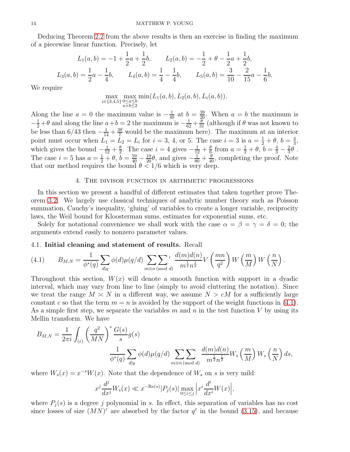Deducing Theorem [2.2](#page-5-2) from the above results is then an exercise in finding the maximum of a piecewise linear function. Precisely, let

$$
L_1(a,b) = -1 + \frac{1}{2}a + \frac{1}{2}b, \qquad L_2(a,b) = -\frac{1}{2} + \theta - \frac{1}{2}a + \frac{1}{2}b,
$$
  

$$
L_3(a,b) = \frac{1}{2}a - \frac{1}{4}b, \qquad L_4(a,b) = \frac{1}{4} - \frac{1}{4}b, \qquad L_5(a,b) = \frac{3}{10} - \frac{2}{15}a - \frac{1}{6}b.
$$

We require

$$
\max_{i \in \{3,4,5\}} \max_{\substack{0 \le a \le b \\ a+b \le 2}} \min(L_1(a,b), L_2(a,b), L_i(a,b)).
$$

Along the line  $a = 0$  the maximum value is  $-\frac{1}{40}$  at  $b = \frac{39}{20}$ . When  $a = b$  the maximum is  $-\frac{1}{2}+\theta$  and along the line  $a+b=2$  the maximum is  $-\frac{1}{62}+\frac{\theta}{31}$  (although if  $\theta$  was not known to be less than  $6/43$  then  $-\frac{1}{14} + \frac{3\theta}{7}$  would be the maximum here). The maximum at an interior point must occur when  $L_1 = L_2 = L_i$  for  $i = 3, 4$ , or 5. The case  $i = 3$  is  $a = \frac{1}{2} + \theta$ ,  $b = \frac{4}{3}$  $\frac{4}{3}$ , which gives the bound  $-\frac{1}{12} + \frac{\theta}{2}$  $\frac{\theta}{2}$ . The case  $i = 4$  gives  $-\frac{1}{12} + \frac{\theta}{6}$  $\frac{\theta}{6}$  from  $a = \frac{1}{2} + \theta$ ,  $b = \frac{4}{3} - \frac{2}{3}$  $\frac{2}{3}\theta$ . The case  $i = 5$  has  $a = \frac{1}{2} + \theta$ ,  $b = \frac{59}{40} - \frac{19}{20}\theta$ , and gives  $-\frac{1}{80} + \frac{\theta}{40}$ , completing the proof. Note that our method requires the bound  $\theta < 1/6$  which is very deep.

# 4. The divisor function in arithmetic progressions

<span id="page-13-0"></span>In this section we present a handful of different estimates that taken together prove Theorem [3.2.](#page-12-2) We largely use classical techniques of analytic number theory such as Poisson summation, Cauchy's inequality, 'gluing' of variables to create a longer variable, reciprocity laws, the Weil bound for Kloosterman sums, estimates for exponential sums, etc.

Solely for notational convenience we shall work with the case  $\alpha = \beta = \gamma = \delta = 0$ ; the arguments extend easily to nonzero parameter values.

## 4.1. Initial cleaning and statement of results. Recall

<span id="page-13-1"></span>(4.1) 
$$
B_{M,N} = \frac{1}{\phi^*(q)} \sum_{d|q} \phi(d) \mu(q/d) \sum_{m \equiv n \pmod{d}}' \frac{d(m)d(n)}{m^{\frac{1}{2}} n^{\frac{1}{2}}} V\left(\frac{mn}{q^2}\right) W\left(\frac{m}{M}\right) W\left(\frac{n}{N}\right).
$$

Throughout this section,  $W(x)$  will denote a smooth function with support in a dyadic interval, which may vary from line to line (simply to avoid cluttering the notation). Since we treat the range  $M \simeq N$  in a different way, we assume  $N > cM$  for a sufficiently large constant c so that the term  $m = n$  is avoided by the support of the weight functions in [\(4.1\)](#page-13-1). As a simple first step, we separate the variables  $m$  and  $n$  in the test function  $V$  by using its Mellin transform. We have

$$
B_{M,N} = \frac{1}{2\pi i} \int_{(\varepsilon)} \left(\frac{q^2}{MN}\right)^s \frac{G(s)}{s} g(s)
$$
  

$$
\frac{1}{\phi^*(q)} \sum_{d|q} \phi(d) \mu(q/d) \sum_{m \equiv n \pmod{d}} \frac{d(m)d(n)}{m^{\frac{1}{2}} n^{\frac{1}{2}}} W_s\left(\frac{m}{M}\right) W_s\left(\frac{n}{N}\right) ds,
$$

where  $W_s(x) = x^{-s}W(x)$ . Note that the dependence of  $W_s$  on s is very mild:

$$
x^j \frac{d^j}{dx^j} W_s(x) \ll x^{-\text{Re}(s)} |P_j(s)| \max_{0 \le i \le j} \left| x^i \frac{d^i}{dx^i} W(x) \right|,
$$

where  $P_j(s)$  is a degree j polynomial in s. In effect, this separation of variables has no cost since losses of size  $(MN)^{\varepsilon}$  are absorbed by the factor  $q^{\varepsilon}$  in the bound [\(3.15\)](#page-12-0), and because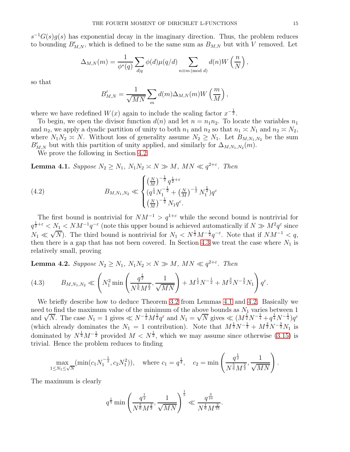$s^{-1}G(s)g(s)$  has exponential decay in the imaginary direction. Thus, the problem reduces to bounding  $B'_{M,N}$ , which is defined to be the same sum as  $B_{M,N}$  but with V removed. Let

$$
\Delta_{M,N}(m) = \frac{1}{\phi^*(q)} \sum_{d|q} \phi(d) \mu(q/d) \sum_{n \equiv m \pmod{d}} d(n) W\left(\frac{n}{N}\right),
$$

so that

$$
B'_{M,N} = \frac{1}{\sqrt{MN}} \sum_{m} d(m) \Delta_{M,N}(m) W\left(\frac{m}{M}\right),
$$

where we have redefined  $W(x)$  again to include the scaling factor  $x^{-\frac{1}{2}}$ .

To begin, we open the divisor function  $d(n)$  and let  $n = n_1 n_2$ . To locate the variables  $n_1$ and  $n_2$ , we apply a dyadic partition of unity to both  $n_1$  and  $n_2$  so that  $n_1 \approx N_1$  and  $n_2 \approx N_2$ , where  $N_1N_2 \simeq N$ . Without loss of generality assume  $N_2 \geq N_1$ . Let  $B_{M,N_1,N_2}$  be the sum  $B'_{M,N}$  but with this partition of unity applied, and similarly for  $\Delta_{M,N_1,N_2}(m)$ .

We prove the following in Section [4.2](#page-15-0)

<span id="page-14-0"></span>**Lemma 4.1.** *Suppose*  $N_2 \geq N_1$ ,  $N_1N_2 \asymp N \gg M$ ,  $MN \ll q^{2+\varepsilon}$ . *Then* 

<span id="page-14-2"></span>(4.2) 
$$
B_{M,N_1,N_2} \ll \begin{cases} \left(\frac{N}{M}\right)^{-\frac{1}{2}} q^{\frac{1}{2}+\varepsilon} \\ \left(q^{\frac{1}{4}} N_1^{-\frac{1}{2}} + \left(\frac{N}{M}\right)^{-\frac{1}{2}} N_1^{\frac{1}{2}}\right) q^{\varepsilon} \\ \left(\frac{N}{M}\right)^{-\frac{1}{2}} N_1 q^{\varepsilon}. \end{cases}
$$

The first bound is nontrivial for  $NM^{-1} > q^{1+\epsilon}$  while the second bound is nontrivial for  $q^{\frac{1}{2}+\varepsilon} < N_{\frac{1}{2}} < NM^{-1}q^{-\varepsilon}$  (note this upper bound is achieved automatically if  $N \gg M^2q^{\varepsilon}$  since  $N_1 \ll \sqrt{N}$ ). The third bound is nontrivial for  $N_1 \ll N^{\frac{1}{2}}M^{-\frac{1}{2}}q^{-\epsilon}$ . Note that if  $NM^{-1} \leq q$ , then there is a gap that has not been covered. In Section [4.3](#page-17-0) we treat the case where  $N_1$  is relatively small, proving

<span id="page-14-1"></span>**Lemma 4.2.** *Suppose*  $N_2 \geq N_1$ ,  $N_1N_2 \asymp N \gg M$ ,  $MN \ll q^{2+\varepsilon}$ . *Then* 

<span id="page-14-3"></span>(4.3) 
$$
B_{M,N_1,N_2} \ll \left(N_1^2 \min\left(\frac{q^{\frac{1}{2}}}{N^{\frac{5}{6}}M^{\frac{2}{3}}},\frac{1}{\sqrt{MN}}\right) + M^{\frac{1}{2}}N^{-\frac{1}{2}} + M^{\frac{3}{2}}N^{-\frac{3}{2}}N_1\right)q^{\varepsilon}.
$$

We briefly describe how to deduce Theorem [3.2](#page-12-2) from Lemmas [4.1](#page-14-0) and [4.2.](#page-14-1) Basically we need to find the maximum value of the minimum of the above bounds as  $N_1$  varies between 1 and  $\sqrt{N}$ . The case  $N_1 = 1$  gives  $\ll N^{-\frac{1}{2}} M^{\frac{1}{2}} q^{\epsilon}$  and  $N_1 = \sqrt{N}$  gives  $\ll (M^{\frac{1}{2}} N^{-\frac{1}{4}} + q^{\frac{1}{4}} N^{-\frac{1}{4}}) q^{\epsilon}$ (which already dominates the  $N_1 = 1$  contribution). Note that  $M^{\frac{1}{2}}N^{-\frac{1}{2}} + M^{\frac{3}{2}}N^{-\frac{3}{2}}N_1$  is dominated by  $N^{\frac{1}{4}}M^{-\frac{1}{2}}$  provided  $M < N^{\frac{1}{2}}$ , which we may assume since otherwise [\(3.15\)](#page-12-0) is trivial. Hence the problem reduces to finding

$$
\max_{1 \le N_1 \le \sqrt{N}} (\min(c_1 N_1^{-\frac{1}{2}}, c_2 N_1^2)), \quad \text{where } c_1 = q^{\frac{1}{4}}, \quad c_2 = \min\left(\frac{q^{\frac{1}{2}}}{N^{\frac{5}{6}} M^{\frac{2}{3}}}, \frac{1}{\sqrt{MN}}\right).
$$

The maximum is clearly

$$
q^{\frac{1}{5}}\min\left(\frac{q^{\frac{1}{2}}}{N^{\frac{5}{6}}M^{\frac{2}{3}}}, \frac{1}{\sqrt{MN}}\right)^{\frac{1}{5}} \ll \frac{q^{\frac{3}{10}}}{N^{\frac{1}{6}}M^{\frac{2}{15}}}.
$$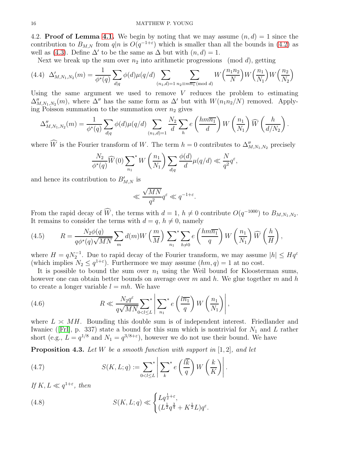<span id="page-15-0"></span>4.2. **Proof of Lemma [4.1.](#page-14-0)** We begin by noting that we may assume  $(n, d) = 1$  since the contribution to  $B_{M,N}$  from  $q|n$  is  $O(q^{-1+\varepsilon})$  which is smaller than all the bounds in [\(4.2\)](#page-14-2) as well as [\(4.3\)](#page-14-3). Define  $\Delta'$  to be the same as  $\Delta$  but with  $(n, d) = 1$ .

Next we break up the sum over  $n_2$  into arithmetic progressions (mod d), getting

$$
(4.4) \ \Delta'_{M,N_1,N_2}(m) = \frac{1}{\phi^*(q)} \sum_{d|q} \phi(d)\mu(q/d) \sum_{(n_1,d)=1} \sum_{n_2 \equiv m\overline{n_1} \pmod{d}} W\left(\frac{n_1 n_2}{N}\right) W\left(\frac{n_1}{N_1}\right) W\left(\frac{n_2}{N_2}\right)
$$

Using the same argument we used to remove  $V$  reduces the problem to estimating  $\Delta''_{M,N_1,N_2}(m)$ , where  $\Delta''$  has the same form as  $\Delta'$  but with  $W(n_1n_2/N)$  removed. Applying Poisson summation to the summation over  $n_2$  gives

$$
\Delta''_{M,N_1,N_2}(m) = \frac{1}{\phi^*(q)} \sum_{d|q} \phi(d) \mu(q/d) \sum_{(n_1,d)=1} \frac{N_2}{d} \sum_h e\left(\frac{hm\overline{n_1}}{d}\right) W\left(\frac{n_1}{N_1}\right) \widehat{W}\left(\frac{h}{d/N_2}\right).
$$

where W is the Fourier transform of W. The term  $h = 0$  contributes to  $\Delta''_{M,N_1,N_2}$  precisely

$$
\frac{N_2}{\phi^*(q)} \widehat{W}(0) \sum_{n_1}^* W\left(\frac{n_1}{N_1}\right) \sum_{d|q} \frac{\phi(d)}{d} \mu(q/d) \ll \frac{N}{q^2} q^{\varepsilon},
$$

and hence its contribution to  $B'_{M,N}$  is

$$
\ll \frac{\sqrt{MN}}{q^2} q^{\varepsilon} \ll q^{-1+\varepsilon}.
$$

From the rapid decay of W, the terms with  $d = 1$ ,  $h \neq 0$  contribute  $O(q^{-1000})$  to  $B_{M,N_1,N_2}$ . It remains to consider the terms with  $d = q$ ,  $h \neq 0$ , namely

<span id="page-15-4"></span>(4.5) 
$$
R = \frac{N_2 \phi(q)}{q \phi^*(q) \sqrt{MN}} \sum_m d(m) W\left(\frac{m}{M}\right) \sum_{n_1}^* \sum_{h \neq 0} e\left(\frac{h m \overline{n_1}}{q}\right) W\left(\frac{n_1}{N_1}\right) \widehat{W}\left(\frac{h}{H}\right),
$$

where  $H = qN_2^{-1}$ . Due to rapid decay of the Fourier transform, we may assume  $|h| \le Hq^{\varepsilon}$ (which implies  $N_2 \leq q^{1+\varepsilon}$ ). Furthermore we may assume  $(hm, q) = 1$  at no cost.

It is possible to bound the sum over  $n_1$  using the Weil bound for Kloosterman sums, however one can obtain better bounds on average over m and h. We glue together m and h to create a longer variable  $l = mh$ . We have

<span id="page-15-3"></span>(4.6) 
$$
R \ll \frac{N_2 q^{\varepsilon}}{q \sqrt{MN}} \sum_{0 < l \leq L}^* \left| \sum_{n_1}^* e\left(\frac{l\overline{n_1}}{q}\right) W\left(\frac{n_1}{N_1}\right) \right|,
$$

where  $L \approx MH$ . Bounding this double sum is of independent interest. Friedlander and Iwaniec([\[FrI\]](#page-39-14), p. 337) state a bound for this sum which is nontrivial for  $N_1$  and L rather short (e.g.,  $L = q^{1/8}$  and  $N_1 = q^{3/8+\epsilon}$ ), however we do not use their bound. We have

<span id="page-15-1"></span>Proposition 4.3. *Let* W *be a smooth function with support in* [1, 2]*, and let*

(4.7) 
$$
S(K, L; q) := \sum_{0 < l \leq L} \left| \sum_{k}^* e\left(\frac{l\overline{k}}{q}\right) W\left(\frac{k}{K}\right) \right|.
$$

*If*  $K, L \ll q^{1+\varepsilon}$ , then

<span id="page-15-2"></span>(4.8) 
$$
S(K, L; q) \ll \begin{cases} Lq^{\frac{1}{2} + \varepsilon}, \\ (L^{\frac{1}{2}}q^{\frac{3}{4}} + K^{\frac{1}{2}}L)q^{\varepsilon}. \end{cases}
$$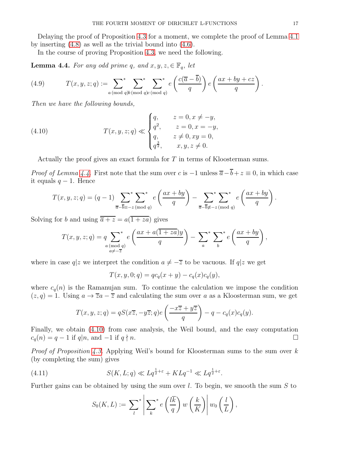Delaying the proof of Proposition [4.3](#page-15-1) for a moment, we complete the proof of Lemma [4.1](#page-14-0) by inserting [\(4.8\)](#page-15-2) as well as the trivial bound into [\(4.6\)](#page-15-3).

In the course of proving Proposition [4.3,](#page-15-1) we need the following.

<span id="page-16-0"></span>**Lemma 4.4.** *For any odd prime q, and*  $x, y, z \in \mathbb{F}_q$ *, let* 

(4.9) 
$$
T(x, y, z; q) := \sum_{a \pmod{q}}^{*} \sum_{\substack{b \pmod{q} \\ b \pmod{q}}}^{*} e\left(\frac{c(\overline{a} - \overline{b})}{q}\right) e\left(\frac{ax + by + cz}{q}\right).
$$

*Then we have the following bounds,*

(4.10) 
$$
T(x, y, z; q) \ll \begin{cases} q, & z = 0, x \neq -y, \\ q^2, & z = 0, x = -y, \\ q, & z \neq 0, xy = 0, \\ q^{\frac{3}{2}}, & x, y, z \neq 0. \end{cases}
$$

<span id="page-16-1"></span>Actually the proof gives an exact formula for T in terms of Kloosterman sums.

*Proof of Lemma [4.4.](#page-16-0)* First note that the sum over c is  $-1$  unless  $\overline{a}-\overline{b}+z\equiv 0$ , in which case it equals  $q-1$ . Hence

$$
T(x, y, z; q) = (q - 1) \sum_{\overline{a} - \overline{b} \equiv -z \pmod{q}} \left( \frac{ax + by}{q} \right) - \sum_{\overline{a} - \overline{b} \neq -z \pmod{q}} \left( \frac{ax + by}{q} \right).
$$

Solving for b and using  $\overline{\overline{a} + z} = a(\overline{1 + za})$  gives

$$
T(x, y, z; q) = q \sum_{\substack{a \pmod{q} \\ a \neq -\overline{z}}}^* e\left(\frac{ax + a(1 + za)y}{q}\right) - \sum_a^* \sum_b^* e\left(\frac{ax + by}{q}\right),
$$

where in case  $q|z$  we interpret the condition  $a \neq -\overline{z}$  to be vacuous. If  $q|z$  we get

$$
T(x, y, 0; q) = qc_q(x + y) - c_q(x)c_q(y),
$$

where  $c_q(n)$  is the Ramanujan sum. To continue the calculation we impose the condition  $(z, q) = 1$ . Using  $a \to \overline{z}a - \overline{z}$  and calculating the sum over a as a Kloosterman sum, we get

$$
T(x, y, z; q) = qS(x\overline{z}, -y\overline{z}; q)e\left(\frac{-x\overline{z} + y\overline{z}}{q}\right) - q - c_q(x)c_q(y).
$$

Finally, we obtain [\(4.10\)](#page-16-1) from case analysis, the Weil bound, and the easy computation  $c_q(n) = q - 1$  if  $q | n$ , and  $-1$  if  $q \nmid n$ .

*Proof of Proposition [4.3.](#page-15-1)* Applying Weil's bound for Kloosterman sums to the sum over k (by completing the sum) gives

(4.11) 
$$
S(K, L; q) \ll Lq^{\frac{1}{2} + \varepsilon} + KLq^{-1} \ll Lq^{\frac{1}{2} + \varepsilon}.
$$

Further gains can be obtained by using the sum over l. To begin, we smooth the sum  $S$  to

$$
S_0(K,L) := \sum_l^* \left| \sum_k^* e\left(\frac{l\overline{k}}{q}\right) w\left(\frac{k}{K}\right) \right| w_0\left(\frac{l}{L}\right),
$$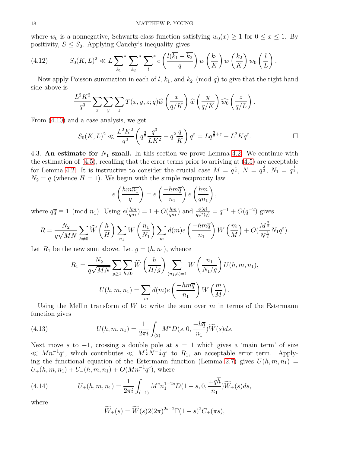where  $w_0$  is a nonnegative, Schwartz-class function satisfying  $w_0(x) \geq 1$  for  $0 \leq x \leq 1$ . By positivity,  $S \leq S_0$ . Applying Cauchy's inequality gives

(4.12) 
$$
S_0(K,L)^2 \ll L \sum_{k_1}^* \sum_{k_2}^* \sum_{l}^* e\left(\frac{l(\overline{k_1} - \overline{k_2})}{q}\right) w\left(\frac{k_1}{K}\right) w\left(\frac{k_2}{K}\right) w_0\left(\frac{l}{L}\right).
$$

Now apply Poisson summation in each of l,  $k_1$ , and  $k_2$  (mod q) to give that the right hand side above is

$$
\frac{L^2 K^2}{q^3} \sum_x \sum_y \sum_z T(x, y, z; q) \widehat{w} \left(\frac{x}{q/K}\right) \widehat{w} \left(\frac{y}{q/K}\right) \widehat{w_0} \left(\frac{z}{q/L}\right).
$$

From [\(4.10\)](#page-16-1) and a case analysis, we get

$$
S_0(K,L)^2 \ll \frac{L^2 K^2}{q^3} \left( q^{\frac{3}{2}} \frac{q^3}{LK^2} + q^2 \frac{q}{K} \right) q^{\varepsilon} = L q^{\frac{3}{2} + \varepsilon} + L^2 K q^{\varepsilon}.
$$

<span id="page-17-0"></span>4.3. An estimate for  $N_1$  small. In this section we prove Lemma [4.2.](#page-14-1) We continue with the estimation of  $(4.5)$ , recalling that the error terms prior to arriving at  $(4.5)$  are acceptable for Lemma [4.2.](#page-14-1) It is instructive to consider the crucial case  $M = q^{\frac{1}{2}}$ ,  $N = q^{\frac{3}{2}}$ ,  $N_1 = q^{\frac{1}{2}}$ ,  $N_2 = q$  (whence  $H = 1$ ). We begin with the simple reciprocity law

$$
e\left(\frac{hm\overline{n_1}}{q}\right) = e\left(\frac{-hm\overline{q}}{n_1}\right)e\left(\frac{hm}{qn_1}\right),\,
$$

where  $q\overline{q} \equiv 1 \pmod{n_1}$ . Using  $e(\frac{hm}{qn_1})$  $\frac{hm}{qn_1})=1+O(\frac{hm}{qn_1})$  $\frac{hm}{qn_1}$ ) and  $\frac{\phi(q)}{q\phi^*(q)} = q^{-1} + O(q^{-2})$  gives

$$
R = \frac{N_2}{q\sqrt{MN}} \sum_{h \neq 0} \widehat{W}\left(\frac{h}{H}\right) \sum_{n_1} W\left(\frac{n_1}{N_1}\right) \sum_m d(m) e\left(\frac{-hm\overline{q}}{n_1}\right) W\left(\frac{m}{M}\right) + O\left(\frac{M^{\frac{3}{2}}}{N^{\frac{3}{2}}} N_1 q^{\varepsilon}\right).
$$

Let  $R_1$  be the new sum above. Let  $g = (h, n_1)$ , whence

$$
R_1 = \frac{N_2}{q\sqrt{MN}} \sum_{g \ge 1} \sum_{h \ne 0} \widehat{W}\left(\frac{h}{H/g}\right) \sum_{(n_1,h)=1} W\left(\frac{n_1}{N_1/g}\right) U(h,m,n_1),
$$

$$
U(h,m,n_1) = \sum_m d(m)e\left(\frac{-hm\overline{q}}{n_1}\right) W\left(\frac{m}{M}\right).
$$

Using the Mellin transform of W to write the sum over  $m$  in terms of the Estermann function gives

(4.13) 
$$
U(h, m, n_1) = \frac{1}{2\pi i} \int_{(2)} M^s D(s, 0, \frac{-h\overline{q}}{n_1}) \widetilde{W}(s) ds.
$$

Next move s to  $-1$ , crossing a double pole at  $s = 1$  which gives a 'main term' of size  $\ll M n_1^{-1} q^{\varepsilon}$ , which contributes  $\ll M^{\frac{1}{2}} N^{-\frac{1}{2}} q^{\varepsilon}$  to  $R_1$ , an acceptable error term. Apply-ing the functional equation of the Estermann function (Lemma [2.7\)](#page-9-0) gives  $U(h, m, n_1)$  =  $U_{+}(h, m, n_1) + U_{-}(h, m, n_1) + O(M n_1^{-1} q^{\varepsilon}),$  where

(4.14) 
$$
U_{\pm}(h,m,n_1) = \frac{1}{2\pi i} \int_{(-1)} M^s n_1^{1-2s} D(1-s,0,\frac{\mp q\overline{h}}{n_1}) \widetilde{W}_{\pm}(s) ds,
$$

where

$$
\widetilde{W}_{\pm}(s) = \widetilde{W}(s)2(2\pi)^{2s-2}\Gamma(1-s)^2C_{\pm}(\pi s),
$$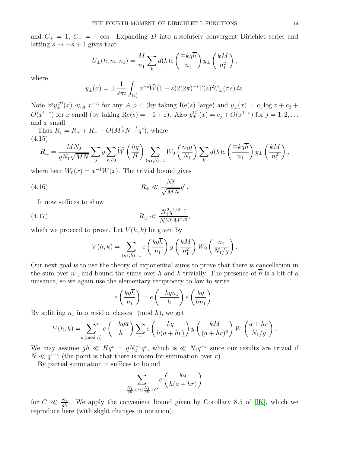and  $C_+ = 1, C_- = -\cos$ . Expanding D into absolutely convergent Dirichlet series and letting  $s \to -s + 1$  gives that

$$
U_{\pm}(h,m,n_1) = \frac{M}{n_1} \sum_{k} d(k) e\left(\frac{\mp kq\overline{h}}{n_1}\right) y_{\pm}\left(\frac{kM}{n_1^2}\right),
$$

where

$$
y_{\pm}(x) = \pm \frac{1}{2\pi i} \int_{(\varepsilon)} x^{-s} \widetilde{W}(1-s) 2(2\pi)^{-s} \Gamma(s)^2 C_{\pm}(\pi s) ds.
$$

Note  $x^j y_{\pm}^{(j)}(x) \ll_A x^{-A}$  for any  $A > 0$  (by taking Re(s) large) and  $y_{\pm}(x) = c_1 \log x + c_2 + c_1 \log x$  $O(x^{1-\varepsilon})$  for x small (by taking  $\text{Re}(s) = -1 + \varepsilon$ ). Also  $y_{\pm}^{(j)}(x) = c_j + O(x^{1-\varepsilon})$  for  $j = 1, 2, ...$ and x small.

Thus  $R_1 = R_+ + R_- + O(M^{\frac{1}{2}}N^{-\frac{1}{2}}q^{\varepsilon})$ , where (4.15)

$$
R_{\pm} = \frac{MN_2}{qN_1\sqrt{MN}} \sum_g g \sum_{h \neq 0} \widehat{W}\left(\frac{hg}{H}\right) \sum_{(n_1,h)=1} W_0\left(\frac{n_1g}{N_1}\right) \sum_k d(k) e\left(\frac{\mp kq\overline{h}}{n_1}\right) y_{\pm}\left(\frac{kM}{n_1^2}\right),
$$

where here  $W_0(x) = x^{-1}W(x)$ . The trivial bound gives

(4.16) 
$$
R_{\pm} \ll \frac{N_1^2}{\sqrt{MN}} q^{\varepsilon}.
$$

It now suffices to show

(4.17) 
$$
R_{\pm} \ll \frac{N_1^2 q^{1/2 + \varepsilon}}{N^{5/6} M^{2/3}},
$$

which we proceed to prove. Let  $V(h, k)$  be given by

<span id="page-18-0"></span>
$$
V(h,k) = \sum_{(n_1,h)=1} e\left(\frac{kq\overline{h}}{n_1}\right) y\left(\frac{kM}{n_1^2}\right) W_0\left(\frac{n_1}{N_1/g}\right).
$$

Our next goal is to use the theory of exponential sums to prove that there is cancellation in the sum over  $n_1$ , and bound the sums over h and k trivially. The presence of  $\overline{h}$  is a bit of a nuisance, so we again use the elementary reciprocity to law to write

$$
e\left(\frac{kq\overline{h}}{n_1}\right) = e\left(\frac{-kq\overline{n_1}}{h}\right)e\left(\frac{kq}{hn_1}\right).
$$

By splitting  $n_1$  into residue classes (mod h), we get

$$
V(h,k) = \sum_{a \pmod{h}}^{*} e\left(\frac{-kq\overline{a}}{h}\right) \sum_{r} e\left(\frac{kq}{h(a+hr)}\right) y\left(\frac{kM}{(a+hr)^2}\right) W\left(\frac{a+hr}{N_1/g}\right).
$$

We may assume  $gh \ll Hq^{\varepsilon} = qN_2^{-1}q^{\varepsilon}$ , which is  $\ll N_1q^{-\varepsilon}$  since our results are trivial if  $N \ll q^{1+\varepsilon}$  (the point is that there is room for summation over r).

By partial summation it suffices to bound

$$
\sum_{\frac{N_1}{gh} < r \le \frac{N_1}{gh} + C} e\left(\frac{kq}{h(a + hr)}\right)
$$

for  $C \ll \frac{N_1}{gh}$ . We apply the convenient bound given by Corollary 8.5 of [\[IK\]](#page-39-10), which we reproduce here (with slight changes in notation).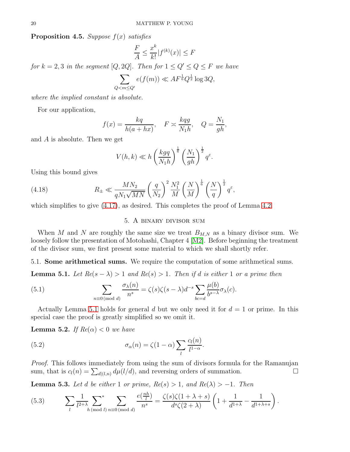Proposition 4.5. *Suppose* f(x) *satisfies*

$$
\frac{F}{A} \le \frac{x^k}{k!} |f^{(k)}(x)| \le F
$$

*for*  $k = 2, 3$  *in the segment*  $[Q, 2Q]$ *. Then for*  $1 \le Q' \le Q \le F$  *we have* 

$$
\sum_{Q < m \le Q'} e(f(m)) \ll AF^{\frac{1}{6}}Q^{\frac{1}{2}}\log 3Q,
$$

*where the implied constant is absolute.*

For our application,

$$
f(x) = \frac{kq}{h(a + hx)}, \quad F \asymp \frac{kqg}{N_1h}, \quad Q = \frac{N_1}{gh},
$$

and A is absolute. Then we get

$$
V(h,k) \ll h \left(\frac{kgq}{N_1h}\right)^{\frac{1}{6}} \left(\frac{N_1}{gh}\right)^{\frac{1}{2}} q^{\varepsilon}.
$$

Using this bound gives

(4.18) 
$$
R_{\pm} \ll \frac{MN_2}{qN_1\sqrt{MN}} \left(\frac{q}{N_2}\right)^2 \frac{N_1^2}{M} \left(\frac{N}{M}\right)^{\frac{1}{6}} \left(\frac{N}{q}\right)^{\frac{1}{2}} q^{\varepsilon},
$$

<span id="page-19-3"></span>which simplifies to give  $(4.17)$ , as desired. This completes the proof of Lemma [4.2.](#page-14-1)

# 5. A binary divisor sum

When M and N are roughly the same size we treat  $B_{M,N}$  as a binary divisor sum. We loosely follow the presentation of Motohashi, Chapter 4 [\[M2\]](#page-39-4). Before beginning the treatment of the divisor sum, we first present some material to which we shall shortly refer.

5.1. Some arithmetical sums. We require the computation of some arithmetical sums.

<span id="page-19-0"></span>**Lemma 5.1.** *Let*  $Re(s - \lambda) > 1$  *and*  $Re(s) > 1$ *. Then if d is either* 1 *or a prime then* 

(5.1) 
$$
\sum_{n\equiv 0 \pmod{d}} \frac{\sigma_{\lambda}(n)}{n^s} = \zeta(s)\zeta(s-\lambda)d^{-s}\sum_{bc=d} \frac{\mu(b)}{b^{s-\lambda}}\sigma_{\lambda}(c).
$$

Actually Lemma [5.1](#page-19-0) holds for general d but we only need it for  $d = 1$  or prime. In this special case the proof is greatly simplified so we omit it.

**Lemma 5.2.** *If*  $Re(\alpha) < 0$  *we have* 

<span id="page-19-1"></span>(5.2) 
$$
\sigma_{\alpha}(n) = \zeta(1-\alpha) \sum_{l} \frac{c_l(n)}{l^{1-\alpha}}.
$$

*Proof.* This follows immediately from using the sum of divisors formula for the Ramanujan sum, that is  $c_l(n) = \sum_{d|(l,n)} d\mu(l/d)$ , and reversing orders of summation.

<span id="page-19-2"></span>**Lemma 5.3.** *Let d be either* 1 *or prime,*  $Re(s) > 1$ *, and*  $Re(λ) > −1$ *. Then* 

(5.3) 
$$
\sum_{l} \frac{1}{l^{2+\lambda}} \sum_{h \pmod{l}}^* \sum_{n \equiv 0 \pmod{d}} \frac{e(\frac{nh}{l})}{n^s} = \frac{\zeta(s)\zeta(1+\lambda+s)}{d^s\zeta(2+\lambda)} \left(1 + \frac{1}{d^{1+\lambda}} - \frac{1}{d^{1+\lambda+s}}\right).
$$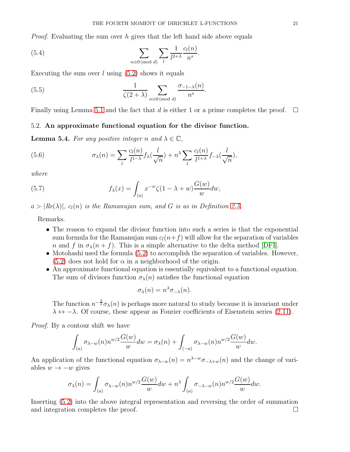*Proof.* Evaluating the sum over h gives that the left hand side above equals

(5.4) 
$$
\sum_{n\equiv 0 \pmod{d}} \sum_{l} \frac{1}{l^{2+\lambda}} \frac{c_l(n)}{n^s}.
$$

Executing the sum over  $l$  using  $(5.2)$  shows it equals

(5.5) 
$$
\frac{1}{\zeta(2+\lambda)}\sum_{n\equiv 0 \pmod{d}}\frac{\sigma_{-1-\lambda}(n)}{n^s}.
$$

Finally using Lemma [5.1](#page-19-0) and the fact that d is either 1 or a prime completes the proof.  $\Box$ 

# 5.2. An approximate functional equation for the divisor function.

<span id="page-20-0"></span>**Lemma 5.4.** *For any positive integer n* and  $\lambda \in \mathbb{C}$ *,* 

(5.6) 
$$
\sigma_{\lambda}(n) = \sum_{l} \frac{c_l(n)}{l^{1-\lambda}} f_{\lambda}(\frac{l}{\sqrt{n}}) + n^{\lambda} \sum_{l} \frac{c_l(n)}{l^{1+\lambda}} f_{-\lambda}(\frac{l}{\sqrt{n}}),
$$

*where*

(5.7) 
$$
f_{\lambda}(x) = \int_{(a)} x^{-w} \zeta(1 - \lambda + w) \frac{G(w)}{w} dw,
$$

 $a > |Re(\lambda)|$ ,  $c_l(n)$  *is the Ramanujan sum, and* G *is as in Definition [2.5.](#page-6-3)* 

Remarks.

- The reason to expand the divisor function into such a series is that the exponential sum formula for the Ramanujan sum  $c_l(n+f)$  will allow for the separation of variables n and f in  $\sigma_{\lambda}(n + f)$ . This is a simple alternative to the delta method [\[DFI\]](#page-38-5).
- Motohashi used the formula [\(5.2\)](#page-19-1) to accomplish the separation of variables. However,  $(5.2)$  does not hold for  $\alpha$  in a neighborhood of the origin.
- An approximate functional equation is essentially equivalent to a functional equation. The sum of divisors function  $\sigma_{\lambda}(n)$  satisfies the functional equation

$$
\sigma_{\lambda}(n) = n^{\lambda} \sigma_{-\lambda}(n).
$$

The function  $n^{-\frac{\lambda}{2}} \sigma_{\lambda}(n)$  is perhaps more natural to study because it is invariant under  $\lambda \leftrightarrow -\lambda$ . Of course, these appear as Fourier coefficients of Eisenstein series [\(2.11\)](#page-8-1).

*Proof.* By a contour shift we have

$$
\int_{(a)} \sigma_{\lambda-w}(n) n^{w/2} \frac{G(w)}{w} dw = \sigma_{\lambda}(n) + \int_{(-a)} \sigma_{\lambda-w}(n) n^{w/2} \frac{G(w)}{w} dw.
$$

An application of the functional equation  $\sigma_{\lambda-w}(n) = n^{\lambda-w}\sigma_{-\lambda+w}(n)$  and the change of variables  $w \rightarrow -w$  gives

$$
\sigma_{\lambda}(n) = \int_{(a)} \sigma_{\lambda-w}(n) n^{w/2} \frac{G(w)}{w} dw + n^{\lambda} \int_{(a)} \sigma_{-\lambda-w}(n) n^{w/2} \frac{G(w)}{w} dw.
$$

Inserting [\(5.2\)](#page-19-1) into the above integral representation and reversing the order of summation and integration completes the proof.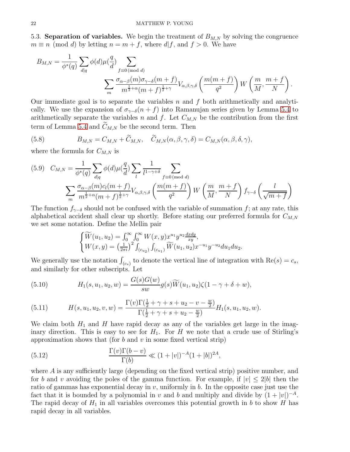5.3. **Separation of variables.** We begin the treatment of  $B_{M,N}$  by solving the congruence  $m \equiv n \pmod{d}$  by letting  $n = m + f$ , where  $d/f$ , and  $f > 0$ . We have

$$
B_{M,N} = \frac{1}{\phi^*(q)} \sum_{d|q} \phi(d) \mu(\frac{q}{d}) \sum_{f \equiv 0 \pmod{d}} \sum_{\substack{f \equiv 0 \pmod{d} \\ m^{\frac{1}{2} + \alpha}(m+f) \geq \pm \gamma}} \phi(d) \mu(\frac{q}{d}) \sum_{f \equiv 0 \pmod{d}} \phi(d) \prod_{f \equiv 0 \pmod{d}} \phi(d) \prod_{f \equiv 0 \pmod{d}} \phi(d) \prod_{f \equiv 0 \pmod{d}} \phi(d) \prod_{f \equiv 0 \pmod{d}} \phi(d) \prod_{f \equiv 0 \pmod{d}} \phi(d) \prod_{f \equiv 0 \pmod{d}} \phi(d) \prod_{f \equiv 0 \pmod{d}} \phi(d) \prod_{f \equiv 0 \pmod{d}} \phi(d) \prod_{f \equiv 0 \pmod{d}} \phi(d) \prod_{f \equiv 0 \pmod{d}} \phi(d) \prod_{f \equiv 0 \pmod{d}} \phi(d) \prod_{f \equiv 0 \pmod{d}} \phi(d) \prod_{f \equiv 0 \pmod{d}} \phi(d) \prod_{f \equiv 0 \pmod{d}} \phi(d) \prod_{f \equiv 0 \pmod{d}} \phi(d) \prod_{f \equiv 0 \pmod{d}} \phi(d) \prod_{f \equiv 0 \pmod{d}} \phi(d) \prod_{f \equiv 0 \pmod{d}} \phi(d) \prod_{f \equiv 0 \pmod{d}} \phi(d) \prod_{f \equiv 0 \pmod{d}} \phi(d) \prod_{f \equiv 0 \pmod{d}} \phi(d) \prod_{f \equiv 0 \pmod{d}} \phi(d) \prod_{f \equiv 0 \pmod{d}} \phi(d) \prod_{f \equiv 0 \pmod{d}} \phi(d) \prod_{f \equiv 0 \pmod{d}} \phi(d) \prod_{f \equiv 0 \pmod{d}} \phi(d) \prod_{f \equiv 0 \pmod{d}} \phi(d) \prod_{f \equiv 0 \pmod{d}} \phi(d) \prod_{f \equiv 0 \pmod{d}} \phi(d) \prod_{f \equiv 0 \pmod{d}} \phi(d) \prod_{f \equiv 0 \pmod{d}} \phi(d) \prod_{f \equiv 0 \pmod{d}} \phi(d) \prod_{f \equiv 0 \pmod{d}} \phi(d) \prod_{f \equiv 0 \pmod{d}} \phi(d) \prod_{f \equiv 0 \pmod{d}} \phi(d) \prod_{f
$$

Our immediate goal is to separate the variables  $n$  and  $f$  both arithmetically and analytically. We use the expansion of  $\sigma_{\gamma-\delta}(n+f)$  into Ramanujan series given by Lemma [5.4](#page-20-0) to arithmetically separate the variables n and f. Let  $C_{M,N}$  be the contribution from the first term of Lemma [5.4](#page-20-0) and  $\widetilde{C}_{M,N}$  be the second term. Then

<span id="page-21-3"></span>(5.8) 
$$
B_{M,N} = C_{M,N} + \widetilde{C}_{M,N}, \quad \widetilde{C}_{M,N}(\alpha, \beta, \gamma, \delta) = C_{M,N}(\alpha, \beta, \delta, \gamma),
$$

where the formula for  $C_{M,N}$  is

<span id="page-21-0"></span>
$$
(5.9) \quad C_{M,N} = \frac{1}{\phi^*(q)} \sum_{d|q} \phi(d)\mu\left(\frac{q}{d}\right) \sum_{l} \frac{1}{l^{1-\gamma+\delta}} \sum_{f \equiv 0 \pmod{d}} \sum_{\substack{d \equiv 0 \pmod{d} \\ d \equiv 0 \pmod{d}}} \sum_{m^{\frac{1}{2}+\alpha}(m+f)^{\frac{1}{2}+\gamma}} \frac{1}{l^{1-\gamma+\delta}} \sum_{f \equiv 0 \pmod{d}} \left(\frac{m(m+f)}{q^2}\right) W\left(\frac{m}{M}, \frac{m+f}{N}\right) f_{\gamma-\delta}\left(\frac{l}{\sqrt{m+f}}\right)
$$

The function  $f_{\gamma-\delta}$  should not be confused with the variable of summation f; at any rate, this alphabetical accident shall clear up shortly. Before stating our preferred formula for  $C_{M,N}$ we set some notation. Define the Mellin pair

$$
\begin{cases}\n\widetilde{W}(u_1, u_2) = \int_0^\infty \int_0^\infty W(x, y) x^{u_1} y^{u_2} \frac{dxdy}{xy},\\ \nW(x, y) = \left(\frac{1}{2\pi i}\right)^2 \int_{(c_{u_2})} \int_{(c_{u_1})} \widetilde{W}(u_1, u_2) x^{-u_1} y^{-u_2} du_1 du_2.\n\end{cases}
$$

We generally use the notation  $\int_{(c_s)}$  to denote the vertical line of integration with  $\text{Re}(s) = c_s$ , and similarly for other subscripts. Let

<span id="page-21-2"></span>(5.10) 
$$
H_1(s, u_1, u_2, w) = \frac{G(s)G(w)}{sw}g(s)\widetilde{W}(u_1, u_2)\zeta(1 - \gamma + \delta + w),
$$

(5.11) 
$$
H(s, u_1, u_2, v, w) = \frac{\Gamma(v)\Gamma(\frac{1}{2} + \gamma + s + u_2 - v - \frac{w}{2})}{\Gamma(\frac{1}{2} + \gamma + s + u_2 - \frac{w}{2})}H_1(s, u_1, u_2, w).
$$

We claim both  $H_1$  and H have rapid decay as any of the variables get large in the imaginary direction. This is easy to see for  $H_1$ . For H we note that a crude use of Stirling's approximation shows that (for  $b$  and  $v$  in some fixed vertical strip)

<span id="page-21-1"></span>(5.12) 
$$
\frac{\Gamma(v)\Gamma(b-v)}{\Gamma(b)} \ll (1+|v|)^{-A}(1+|b|)^{2A},
$$

where  $\vec{A}$  is any sufficiently large (depending on the fixed vertical strip) positive number, and for b and v avoiding the poles of the gamma function. For example, if  $|v| \le 2|b|$  then the ratio of gammas has exponential decay in  $v$ , uniformly in  $b$ . In the opposite case just use the fact that it is bounded by a polynomial in v and b and multiply and divide by  $(1+|v|)^{-A}$ . The rapid decay of  $H_1$  in all variables overcomes this potential growth in b to show H has rapid decay in all variables.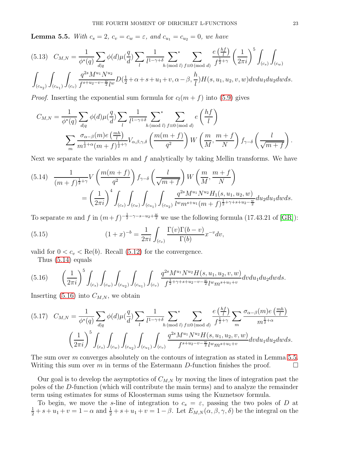<span id="page-22-2"></span>**Lemma 5.5.** *With*  $c_s = 2$ ,  $c_v = c_w = \varepsilon$ , and  $c_{u_1} = c_{u_2} = 0$ , we have

<span id="page-22-3"></span>
$$
(5.13) \quad C_{M,N} = \frac{1}{\phi^*(q)} \sum_{d|q} \phi(d) \mu(\frac{q}{d}) \sum_{l} \frac{1}{l^{1-\gamma+\delta}} \sum_{h \pmod{l}} \sum_{f \equiv 0 \pmod{d}} \frac{e(\frac{hf}{l})}{f^{\frac{1}{2}+\gamma}} \left(\frac{1}{2\pi i}\right)^5 \int_{(c_s)} \int_{(c_w)} \phi(d) \mu(\frac{g}{d}) \sum_{d|q} \frac{1}{f^{\frac{1}{2}+\gamma}} \sum_{h \pmod{l}} \sum_{f \equiv 0 \pmod{d}} \frac{e(\frac{hf}{l})}{f^{\frac{1}{2}+\gamma}} \left(\frac{1}{2\pi i}\right)^5 \int_{(c_w)} \int_{(c_w)} \phi(d) \mu(\frac{g}{d}) \sum_{d|q} \frac{1}{f^{\frac{1}{2}+\gamma}} \sum_{l \pmod{l}} \frac{e(\frac{hf}{l})}{h} \left(\frac{1}{2\pi i}\right)^5 \int_{(c_w)} \phi(d) \mu(\frac{g}{d}) \sum_{d|q} \frac{1}{h} \sum_{h \pmod{l}} \phi(d) \mu(\frac{g}{d}) \sum_{l \pmod{l}} \frac{1}{h} \sum_{h \pmod{l}} \frac{e(\frac{hf}{l})}{h} \left(\frac{1}{2\pi i}\right)^5 \int_{(c_w)} \phi(d) \mu(\frac{g}{d}) \sum_{d|q} \frac{1}{h} \sum_{h \pmod{l}} \phi(d) \mu(\frac{g}{d}) \sum_{h \pmod{l}} \frac{1}{h} \sum_{h \pmod{l}} \frac{e(\frac{hf}{l})}{h} \left(\frac{1}{2\pi i}\right)^5 \int_{(c_w)} \phi(d) \mu(\frac{g}{l}) \sum_{h \pmod{l}} \frac{1}{h} \sum_{h \pmod{l}} \phi(d) \mu(\frac{g}{l}) \sum_{h \pmod{l}} \frac{1}{h} \sum_{h \pmod{l}} \frac{e(\frac{hf}{l})}{h} \left(\frac{1}{2\pi i}\right)^5 \int_{(c_w)} \phi(d) \mu(\frac{g}{l}) \sum_{h \pmod{l}} \frac{1}{h} \sum_{h \pmod{l}} \phi(d) \mu(\frac{g}{l}) \sum_{h \pmod{l}} \frac{1}{h} \sum_{h \pmod{l}} \frac{1}{h} \sum_{h \pmod{l}} \frac
$$

*Proof.* Inserting the exponential sum formula for  $c_l(m + f)$  into [\(5.9\)](#page-21-0) gives

$$
C_{M,N} = \frac{1}{\phi^*(q)} \sum_{d|q} \phi(d) \mu(\frac{q}{d}) \sum_{l} \frac{1}{l^{1-\gamma+\delta}} \sum_{h \pmod{l}} \sum_{f \equiv 0 \pmod{d}} e\left(\frac{hf}{l}\right)
$$

$$
\sum_{m} \frac{\sigma_{\alpha-\beta}(m)e\left(\frac{mh}{l}\right)}{m^{\frac{1}{2}+\alpha}(m+f)^{\frac{1}{2}+\gamma}} V_{\alpha,\beta,\gamma,\delta} \left(\frac{m(m+f)}{q^2}\right) W\left(\frac{m}{M}, \frac{m+f}{N}\right) f_{\gamma-\delta} \left(\frac{l}{\sqrt{m+f}}\right).
$$

Next we separate the variables m and f analytically by taking Mellin transforms. We have

<span id="page-22-0"></span>
$$
(5.14) \frac{1}{(m+f)^{\frac{1}{2}+\gamma}}V\left(\frac{m(m+f)}{q^2}\right)f_{\gamma-\delta}\left(\frac{l}{\sqrt{m+f}}\right)W\left(\frac{m}{M},\frac{m+f}{N}\right)
$$
  

$$
=\left(\frac{1}{2\pi i}\right)^4\int_{(c_s)}\int_{(c_w)}\int_{(c_{u_1})}\int_{(c_{u_2})}\frac{q^{2s}M^{u_1}N^{u_2}H_1(s,u_1,u_2,w)}{l^{w}m^{s+u_1}(m+f)^{\frac{1}{2}+\gamma+s+u_2-\frac{w}{2}}}du_2du_1dwds.
$$

To separate m and f in  $(m+f)^{-\frac{1}{2}-\gamma-s-u_2+\frac{w}{2}}$  we use the following formula (17.43.21 of [\[GR\]](#page-39-15)):

(5.15) 
$$
(1+x)^{-b} = \frac{1}{2\pi i} \int_{(c_v)} \frac{\Gamma(v)\Gamma(b-v)}{\Gamma(b)} x^{-v} dv,
$$

valid for  $0 < c_v < \text{Re}(b)$ . Recall [\(5.12\)](#page-21-1) for the convergence.

<span id="page-22-1"></span>Thus [\(5.14\)](#page-22-0) equals

$$
(5.16) \qquad \left(\frac{1}{2\pi i}\right)^5 \int_{(c_s)} \int_{(c_w)} \int_{(c_{u_2})} \int_{(c_{u_1})} \int_{(c_v)} \frac{q^{2s} M^{u_1} N^{u_2} H(s, u_1, u_2, v, w)}{f^{\frac{1}{2} + \gamma + s + u_2 - v - \frac{w}{2}} l^w m^{s + u_1 + v}} dv du_1 du_2 dw ds.
$$

Inserting  $(5.16)$  into  $C_{M,N}$ , we obtain

<span id="page-22-4"></span>
$$
(5.17) \quad C_{M,N} = \frac{1}{\phi^*(q)} \sum_{d|q} \phi(d) \mu(\frac{q}{d}) \sum_{l} \frac{1}{l^{1-\gamma+\delta}} \sum_{h \pmod{l}} \sum_{f \equiv 0 \pmod{d}} \frac{e(\frac{hf}{l})}{f^{\frac{1}{2}+\gamma}} \sum_{m} \frac{\sigma_{\alpha-\beta}(m)e(\frac{mh}{l})}{m^{\frac{1}{2}+\alpha}}
$$

$$
\left(\frac{1}{2\pi i}\right)^5 \int_{(c_s)} \int_{(c_w)} \int_{(c_{u_2})} \int_{(c_{u_1})} \int_{(c_v)} \frac{q^{2s}M^{u_1}N^{u_2}H(s, u_1, u_2, v, w)}{f^{s+u_2-v-\frac{w}{2}}l^{w}m^{s+u_1+v}} dv du_1 du_2 dw ds.
$$

The sum over m converges absolutely on the contours of integration as stated in Lemma [5.5.](#page-22-2) Writing this sum over m in terms of the Estermann D-function finishes the proof.  $\Box$ 

Our goal is to develop the asymptotics of  $C_{M,N}$  by moving the lines of integration past the poles of the D-function (which will contribute the main terms) and to analyze the remainder term using estimates for sums of Kloosterman sums using the Kuznetsov formula.

To begin, we move the s-line of integration to  $c_s = \varepsilon$ , passing the two poles of D at  $\frac{1}{2} + s + u_1 + v = 1 - \alpha$  and  $\frac{1}{2} + s + u_1 + v = 1 - \beta$ . Let  $E_{M,N}(\alpha, \beta, \gamma, \delta)$  be the integral on the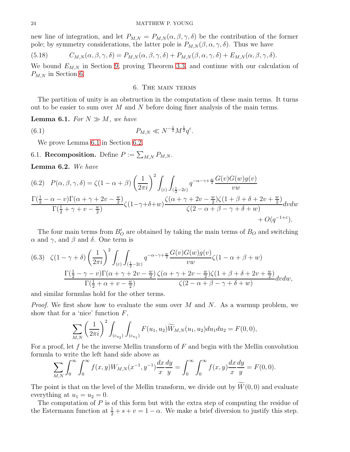new line of integration, and let  $P_{M,N} = P_{M,N}(\alpha, \beta, \gamma, \delta)$  be the contribution of the former pole; by symmetry considerations, the latter pole is  $P_{M,N}(\beta,\alpha,\gamma,\delta)$ . Thus we have

<span id="page-23-3"></span>(5.18) 
$$
C_{M,N}(\alpha,\beta,\gamma,\delta) = P_{M,N}(\alpha,\beta,\gamma,\delta) + P_{M,N}(\beta,\alpha,\gamma,\delta) + E_{M,N}(\alpha,\beta,\gamma,\delta).
$$

<span id="page-23-0"></span>We bound  $E_{M,N}$  in Section [9,](#page-31-1) proving Theorem [3.3,](#page-12-3) and continue with our calculation of  $P_{M,N}$  in Section [6.](#page-23-0)

# 6. The main terms

The partition of unity is an obstruction in the computation of these main terms. It turns out to be easier to sum over  $M$  and  $N$  before doing finer analysis of the main terms.

<span id="page-23-1"></span>**Lemma 6.1.** *For*  $N \gg M$ *, we have* 

(6.1) 
$$
P_{M,N} \ll N^{-\frac{1}{2}} M^{\frac{1}{2}} q^{\varepsilon}.
$$

We prove Lemma [6.1](#page-23-1) in Section [6.2.](#page-25-1)

6.1. Recomposition. Define  $P := \sum_{M,N} P_{M,N}$ .

<span id="page-23-2"></span>Lemma 6.2. *We have*

<span id="page-23-4"></span>
$$
(6.2) \quad P(\alpha, \beta, \gamma, \delta) = \zeta (1 - \alpha + \beta) \left(\frac{1}{2\pi i}\right)^2 \int_{(\varepsilon)} \int_{(\frac{1}{2} - 2\varepsilon)} q^{-\alpha - \gamma + \frac{w}{2}} \frac{G(v)G(w)g(v)}{vw}
$$

$$
\frac{\Gamma(\frac{1}{2} - \alpha - v)\Gamma(\alpha + \gamma + 2v - \frac{w}{2})}{\Gamma(\frac{1}{2} + \gamma + v - \frac{w}{2})} \zeta(1 - \gamma + \delta + w) \frac{\zeta(\alpha + \gamma + 2v - \frac{w}{2})\zeta(1 + \beta + \delta + 2v + \frac{w}{2})}{\zeta(2 - \alpha + \beta - \gamma + \delta + w)} dv dw
$$

$$
+ O(q^{-1 + \varepsilon}).
$$

The four main terms from  $B'_{\mathcal{O}}$  are obtained by taking the main terms of  $B_{\mathcal{O}}$  and switching  $\alpha$  and  $\gamma$ , and  $\beta$  and δ. One term is

<span id="page-23-5"></span>(6.3) 
$$
\zeta(1-\gamma+\delta)\left(\frac{1}{2\pi i}\right)^2 \int_{(\varepsilon)} \int_{(\frac{1}{2}-2\varepsilon)} q^{-\alpha-\gamma+\frac{w}{2}} \frac{G(v)G(w)g(v)}{vw} \zeta(1-\alpha+\beta+w)
$$

$$
\frac{\Gamma(\frac{1}{2}-\gamma-v)\Gamma(\alpha+\gamma+2v-\frac{w}{2})}{\Gamma(\frac{1}{2}+\alpha+v-\frac{w}{2})} \frac{\zeta(\alpha+\gamma+2v-\frac{w}{2})\zeta(1+\beta+\delta+2v+\frac{w}{2})}{\zeta(2-\alpha+\beta-\gamma+\delta+w)} dvdw,
$$

and similar formulas hold for the other terms.

*Proof.* We first show how to evaluate the sum over M and N. As a warmup problem, we show that for a 'nice' function  $F$ ,

$$
\sum_{M,N} \left(\frac{1}{2\pi i}\right)^2 \int_{(c_{u_2})} \int_{(c_{u_1})} F(u_1, u_2) \widetilde{W}_{M,N}(u_1, u_2) du_1 du_2 = F(0,0),
$$

For a proof, let  $f$  be the inverse Mellin transform of  $F$  and begin with the Mellin convolution formula to write the left hand side above as

$$
\sum_{M,N} \int_0^\infty \int_0^\infty f(x,y) W_{M,N}(x^{-1}, y^{-1}) \frac{dx}{x} \frac{dy}{y} = \int_0^\infty \int_0^\infty f(x,y) \frac{dx}{x} \frac{dy}{y} = F(0,0).
$$

The point is that on the level of the Mellin transform, we divide out by  $\widetilde{W}(0,0)$  and evaluate everything at  $u_1 = u_2 = 0$ .

The computation of  $P$  is of this form but with the extra step of computing the residue of the Estermann function at  $\frac{1}{2} + s + v = 1 - \alpha$ . We make a brief diversion to justify this step.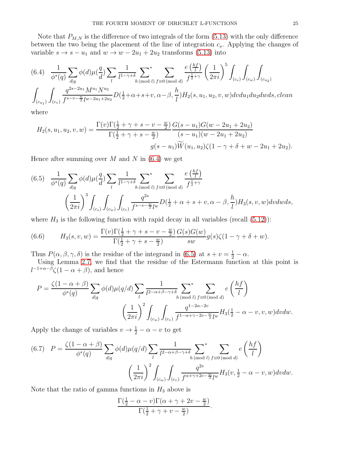Note that  $P_{M,N}$  is the difference of two integrals of the form [\(5.13\)](#page-22-3) with the only difference between the two being the placement of the line of integration  $c_s$ . Applying the changes of variable  $s \to s - u_1$  and  $w \to w - 2u_1 + 2u_2$  transforms [\(5.13\)](#page-22-3) into

<span id="page-24-0"></span>
$$
(6.4) \frac{1}{\phi^*(q)} \sum_{d|q} \phi(d)\mu(\frac{q}{d}) \sum_{l} \frac{1}{l^{1-\gamma+\delta}} \sum_{h \pmod{l}} \sum_{f \equiv 0 \pmod{d}} \frac{e(\frac{hf}{l})}{f^{\frac{1}{2}+\gamma}} \left(\frac{1}{2\pi i}\right)^5 \int_{(c_s)} \int_{(c_w)} \int_{(c_{u_2})} \phi(d\mu(\frac{q}{d}) \sum_{l} \frac{1}{l^{1-\gamma+\delta}} \sum_{h \pmod{l}} \sum_{f \equiv 0 \pmod{d}} \frac{e(\frac{hf}{l})}{f^{\frac{1}{2}+\gamma}} \left(\frac{1}{2\pi i}\right)^5 \int_{(c_s)} \int_{(c_w)} \int_{(c_{u_2})} \phi(d\mu(\frac{q}{d}) \sum_{l} \frac{1}{l^{1-\gamma+\delta}} \sum_{l} \sum_{h \pmod{l}} \frac{e(\frac{hf}{l})}{h^{1-\gamma+\delta}} \left(\frac{1}{2\pi i}\right)^5 \int_{(c_s)} \int_{(c_w)} \int_{(c_{u_2})} \phi(d\mu(\frac{q}{d}) \sum_{l} \frac{1}{l^{1-\gamma+\delta}} \sum_{h \pmod{l}} \sum_{f \equiv 0 \pmod{d}} \frac{e(\frac{hf}{l})}{f^{\frac{1}{2}+\gamma}} \left(\frac{1}{2\pi i}\right)^5 \int_{(c_s)} \int_{(c_w)} \int_{(c_{u_2})} \phi(d\mu(\frac{q}{d}) \sum_{l} \frac{1}{l^{1-\gamma+\delta}} \sum_{h \pmod{l}} \sum_{f \equiv 0 \pmod{l}} \frac{e(\frac{hf}{l})}{f^{\frac{1}{2}+\gamma}} \left(\frac{1}{2\pi i}\right)^5 \int_{(c_s)} \int_{(c_w)} \int_{(c_{u_2})} \phi(d\mu(\frac{q}{d}) \sum_{l} \frac{1}{l^{1-\gamma+\delta}} \sum_{l} \sum_{h \pmod{l}} \frac{e(\frac{hf}{l})}{h^{1-\gamma+\delta}} \left(\frac{1}{2\pi i}\right)^5 \int_{(c_s)} \int_{(c_w)} \phi(d\mu(\frac{q}{d}) \sum_{l} \frac{1}{l^{1-\gamma+\delta}} \sum_{l} \phi(d\mu(\frac{q}{d}) \sum_{l} \frac{1}{l^{1-\gamma+\delta}} \sum_{h} \phi(d
$$

where

$$
H_2(s, u_1, u_2, v, w) = \frac{\Gamma(v)\Gamma(\frac{1}{2} + \gamma + s - v - \frac{w}{2})}{\Gamma(\frac{1}{2} + \gamma + s - \frac{w}{2})} \frac{G(s - u_1)G(w - 2u_1 + 2u_2)}{(s - u_1)(w - 2u_1 + 2u_2)}
$$

$$
g(s - u_1)\widetilde{W}(u_1, u_2)\zeta(1 - \gamma + \delta + w - 2u_1 + 2u_2).
$$

Hence after summing over  $M$  and  $N$  in [\(6.4\)](#page-24-0) we get

<span id="page-24-1"></span>(6.5) 
$$
\frac{1}{\phi^*(q)} \sum_{d|q} \phi(d) \mu(\frac{q}{d}) \sum_{l} \frac{1}{l^{1-\gamma+\delta}} \sum_{h \pmod{l}} \sum_{f \equiv 0 \pmod{d}} \frac{e(\frac{hf}{l})}{f^{\frac{1}{2}+\gamma}}
$$

$$
\left(\frac{1}{2\pi i}\right)^3 \int_{(c_s)} \int_{(c_w)} \int_{(c_v)} \frac{q^{2s}}{f^{s-v-\frac{w}{2}}l^w} D(\frac{1}{2}+\alpha+s+v, \alpha-\beta, \frac{h}{l}) H_3(s, v, w) dv dw ds,
$$

where  $H_3$  is the following function with rapid decay in all variables (recall  $(5.12)$ ):

(6.6) 
$$
H_3(s, v, w) = \frac{\Gamma(v)\Gamma(\frac{1}{2} + \gamma + s - v - \frac{w}{2})}{\Gamma(\frac{1}{2} + \gamma + s - \frac{w}{2})} \frac{G(s)G(w)}{sw} g(s)\zeta(1 - \gamma + \delta + w).
$$

Thus  $P(\alpha, \beta, \gamma, \delta)$  is the residue of the integrand in [\(6.5\)](#page-24-1) at  $s + v = \frac{1}{2} - \alpha$ .

Using Lemma [2.7,](#page-9-0) we find that the residue of the Estermann function at this point is  $l^{-1+\alpha-\beta}\zeta(1-\alpha+\beta)$ , and hence

$$
P = \frac{\zeta(1-\alpha+\beta)}{\phi^*(q)} \sum_{d|q} \phi(d)\mu(q/d) \sum_{l} \frac{1}{l^{2-\alpha+\beta-\gamma+\delta}} \sum_{h \pmod{l}} \sum_{f \equiv 0 \pmod{d}}^* e\left(\frac{hf}{l}\right)
$$

$$
\left(\frac{1}{2\pi i}\right)^2 \int_{(c_w)} \int_{(c_w)} \frac{q^{1-2\alpha-2v}}{f^{1-\alpha+\gamma-2v-\frac{w}{2}}l^w} H_3(\frac{1}{2}-\alpha-v,v,w) dv dw.
$$

Apply the change of variables  $v \to \frac{1}{2} - \alpha - v$  to get

<span id="page-24-2"></span>(6.7) 
$$
P = \frac{\zeta(1-\alpha+\beta)}{\phi^*(q)} \sum_{d|q} \phi(d)\mu(q/d) \sum_{l} \frac{1}{l^{2-\alpha+\beta-\gamma+\delta}} \sum_{h \pmod{l}} \sum_{f \equiv 0 \pmod{d}} e\left(\frac{hf}{l}\right)
$$

$$
\left(\frac{1}{2\pi i}\right)^2 \int_{(c_w)} \int_{(c_w)} \frac{q^{2v}}{f^{\alpha+\gamma+2v-\frac{w}{2}}l^w} H_3(v, \frac{1}{2}-\alpha-v, w) dv dw.
$$

Note that the ratio of gamma functions in  $H_3$  above is

$$
\frac{\Gamma(\frac{1}{2}-\alpha-v)\Gamma(\alpha+\gamma+2v-\frac{w}{2})}{\Gamma(\frac{1}{2}+\gamma+v-\frac{w}{2})}.
$$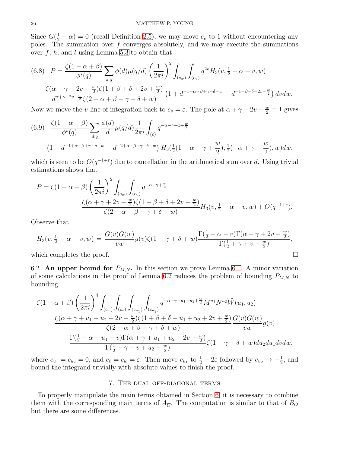Since  $G(\frac{1}{2} - \alpha) = 0$  (recall Definition [2.5\)](#page-6-3), we may move  $c_v$  to 1 without encountering any poles. The summation over  $f$  converges absolutely, and we may execute the summations over  $f, h$ , and  $l$  using Lemma [5.3](#page-19-2) to obtain that

$$
(6.8) \quad P = \frac{\zeta(1-\alpha+\beta)}{\phi^*(q)} \sum_{d|q} \phi(d)\mu(q/d) \left(\frac{1}{2\pi i}\right)^2 \int_{(c_w)} \int_{(c_v)} q^{2v} H_3(v, \frac{1}{2}-\alpha-v, w)
$$

$$
\frac{\zeta(\alpha+\gamma+2v-\frac{w}{2})\zeta(1+\beta+\delta+2v+\frac{w}{2})}{d^{\alpha+\gamma+2v-\frac{w}{2}}\zeta(2-\alpha+\beta-\gamma+\delta+w)} \left(1+d^{-1+\alpha-\beta+\gamma-\delta-w} - d^{-1-\beta-\delta-2v-\frac{w}{2}}\right) dv dw.
$$

Now we move the v-line of integration back to  $c_v = \varepsilon$ . The pole at  $\alpha + \gamma + 2v - \frac{w}{2} = 1$  gives

(6.9) 
$$
\frac{\zeta(1-\alpha+\beta)}{\phi^*(q)} \sum_{d|q} \frac{\phi(d)}{d} \mu(q/d) \frac{1}{2\pi i} \int_{(\varepsilon)} q^{-\alpha-\gamma+1+\frac{w}{2}}
$$

$$
(1+d^{-1+\alpha-\beta+\gamma-\delta-w} - d^{-2+\alpha-\beta+\gamma-\delta-w}) H_3(\frac{1}{2}(1-\alpha-\gamma+\frac{w}{2}),\frac{1}{2}(-\alpha+\gamma-\frac{w}{2}),w) dw,
$$

which is seen to be  $O(q^{-1+\epsilon})$  due to cancellation in the arithmetical sum over d. Using trivial estimations shows that

$$
P = \zeta(1 - \alpha + \beta) \left(\frac{1}{2\pi i}\right)^2 \int_{(c_w)} \int_{(c_v)} q^{-\alpha - \gamma + \frac{w}{2}}
$$
  

$$
\frac{\zeta(\alpha + \gamma + 2v - \frac{w}{2})\zeta(1 + \beta + \delta + 2v + \frac{w}{2})}{\zeta(2 - \alpha + \beta - \gamma + \delta + w)} H_3(v, \frac{1}{2} - \alpha - v, w) + O(q^{-1+\epsilon}).
$$

Observe that

$$
H_3(v, \frac{1}{2}-\alpha-v, w) = \frac{G(v)G(w)}{vw}g(v)\zeta(1-\gamma+\delta+w)\frac{\Gamma(\frac{1}{2}-\alpha-v)\Gamma(\alpha+\gamma+2v-\frac{w}{2})}{\Gamma(\frac{1}{2}+\gamma+v-\frac{w}{2})},
$$

<span id="page-25-1"></span>which completes the proof.  $\Box$ 

6.2. An upper bound for  $P_{M,N}$ . In this section we prove Lemma [6.1.](#page-23-1) A minor variation of some calculations in the proof of Lemma [6.2](#page-23-2) reduces the problem of bounding  $P_{M,N}$  to bounding

$$
\zeta(1-\alpha+\beta)\left(\frac{1}{2\pi i}\right)^{4}\int_{(c_{w})}\int_{(c_{v})}\int_{(c_{u_{1}})}\int_{(c_{u_{2}})}q^{-\alpha-\gamma-u_{1}-u_{2}+\frac{w}{2}}M^{u_{1}}N^{u_{2}}\widetilde{W}(u_{1},u_{2})
$$

$$
\frac{\zeta(\alpha+\gamma+u_{1}+u_{2}+2v-\frac{w}{2})\zeta(1+\beta+\delta+u_{1}+u_{2}+2v+\frac{w}{2})}{\zeta(2-\alpha+\beta-\gamma+\delta+w)}\frac{G(v)G(w)}{vw}g(v)
$$

$$
\frac{\Gamma(\frac{1}{2}-\alpha-u_{1}-v)\Gamma(\alpha+\gamma+u_{1}+u_{2}+2v-\frac{w}{2})}{\Gamma(\frac{1}{2}+\gamma+v+u_{2}-\frac{w}{2})}\zeta(1-\gamma+\delta+w)du_{2}du_{1}dvdw,
$$

<span id="page-25-0"></span>where  $c_{u_1} = c_{u_2} = 0$ , and  $c_v = c_w = \varepsilon$ . Then move  $c_{u_1}$  to  $\frac{1}{2} - 2\varepsilon$  followed by  $c_{u_2} \to -\frac{1}{2}$ , and bound the integrand trivially with absolute values to finish the proof.

# 7. The dual off-diagonal terms

To properly manipulate the main terms obtained in Section [6,](#page-23-0) it is necessary to combine them with the corresponding main terms of  $A_{\overline{O}}$ . The computation is similar to that of  $B_O$ but there are some differences.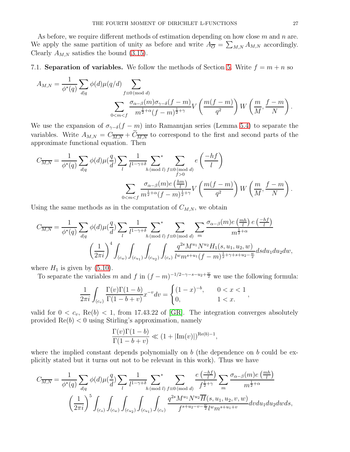As before, we require different methods of estimation depending on how close  $m$  and  $n$  are. We apply the same partition of unity as before and write  $A_{\overline{O}} = \sum_{M,N} A_{M,N}$  accordingly. Clearly  $A_{M,N}$  satisfies the bound [\(3.15\)](#page-12-0).

7.1. **Separation of variables.** We follow the methods of Section [5.](#page-19-3) Write  $f = m + n$  so

$$
A_{M,N} = \frac{1}{\phi^*(q)} \sum_{d|q} \phi(d) \mu(q/d) \sum_{f \equiv 0 \pmod{d}} \sum_{\substack{d \equiv 0 \pmod{d} \\ m^{\frac{1}{2} + \alpha} (f - m)^{\frac{1}{2} + \gamma}}} \phi(d) \mu(q/d) \sum_{f \equiv 0 \pmod{d}} \phi(d) \prod_{f \equiv 0 \pmod{d}} \phi(d) \prod_{f \equiv 0 \pmod{d}} \phi(d) \prod_{f \equiv 0 \pmod{d}} \phi(d) \prod_{f \equiv 0 \pmod{d}} \phi(d) \prod_{f \equiv 0 \pmod{d}} \phi(d) \prod_{f \equiv 0 \pmod{d}} \phi(d) \prod_{f \equiv 0 \pmod{d}} \phi(d) \prod_{f \equiv 0 \pmod{d}} \phi(d) \prod_{f \equiv 0 \pmod{d}} \phi(d) \prod_{f \equiv 0 \pmod{d}} \phi(d) \prod_{f \equiv 0 \pmod{d}} \phi(d) \prod_{f \equiv 0 \pmod{d}} \phi(d) \prod_{f \equiv 0 \pmod{d}} \phi(d) \prod_{f \equiv 0 \pmod{d}} \phi(d) \prod_{f \equiv 0 \pmod{d}} \phi(d) \prod_{f \equiv 0 \pmod{d}} \phi(d) \prod_{f \equiv 0 \pmod{d}} \phi(d) \prod_{f \equiv 0 \pmod{d}} \phi(d) \prod_{f \equiv 0 \pmod{d}} \phi(d) \prod_{f \equiv 0 \pmod{d}} \phi(d) \prod_{f \equiv 0 \pmod{d}} \phi(d) \prod_{f \equiv 0 \pmod{d}} \phi(d) \prod_{f \equiv 0 \pmod{d}} \phi(d) \prod_{f \equiv 0 \pmod{d}} \phi(d) \prod_{f \equiv 0 \pmod{d}} \phi(d) \prod_{f \equiv 0 \pmod{d}} \phi(d) \prod_{f \equiv 0 \pmod{d}} \phi(d) \prod_{f \equiv 0 \pmod{d}} \phi(d) \prod_{f \equiv 0 \pmod{d}} \phi(d) \prod_{f \equiv 0 \pmod{d}} \phi(d) \prod_{f \equiv 0 \pmod{d}} \phi(d) \prod_{f \equiv 0 \pmod{d}} \phi(d) \prod_{f \equiv 0 \pmod{d}} \phi(d) \prod_{f \equiv 0 \pmod{d}} \phi(d) \prod_{f \equiv 0 \pmod{d}} \phi(d) \prod_{f \equiv
$$

We use the expansion of  $\sigma_{\gamma-\delta}(f-m)$  into Ramanujan series (Lemma [5.4\)](#page-20-0) to separate the variables. Write  $A_{M,N} = C_{\overline{M,N}} + C_{\overline{M,N}}$  to correspond to the first and second parts of the approximate functional equation. Then

$$
C_{\overline{M,N}} = \frac{1}{\phi^*(q)} \sum_{d|q} \phi(d) \mu(\frac{q}{d}) \sum_{l} \frac{1}{l^{1-\gamma+\delta}} \sum_{h \pmod{l}} \sum_{f \ge 0}^* e\left(\frac{-hf}{l}\right)
$$

$$
\sum_{0 < m < f} \frac{\sigma_{\alpha-\beta}(m)e\left(\frac{hm}{l}\right)}{m^{\frac{1}{2}+\alpha}(f-m)^{\frac{1}{2}+\gamma}} V\left(\frac{m(f-m)}{q^2}\right) W\left(\frac{m}{M}, \frac{f-m}{N}\right).
$$

Using the same methods as in the computation of  $C_{M,N}$ , we obtain

$$
C_{\overline{M,N}} = \frac{1}{\phi^*(q)} \sum_{d|q} \phi(d) \mu(\frac{q}{d}) \sum_{l} \frac{1}{l^{1-\gamma+\delta}} \sum_{h \pmod{l}} \sum_{f \equiv 0 \pmod{d}} \sum_{m} \frac{\sigma_{\alpha-\beta}(m) e\left(\frac{mh}{l}\right) e\left(\frac{-hf}{l}\right)}{m^{\frac{1}{2}+\alpha}}
$$

$$
\left(\frac{1}{2\pi i}\right)^4 \int_{(c_w)} \int_{(c_{u_1})} \int_{(c_{u_2})} \int_{(c_{u_2})} \frac{q^{2s} M^{u_1} N^{u_2} H_1(s, u_1, u_2, w)}{l^{w} m^{s+u_1} (f-m)^{\frac{1}{2}+\gamma+s+u_2-\frac{w}{2}}} ds du_1 du_2 dw,
$$

where  $H_1$  is given by  $(5.10)$ .

To separate the variables m and f in  $(f - m)^{-1/2 - \gamma - s - u_2 + \frac{w}{2}}$  we use the following formula:

$$
\frac{1}{2\pi i} \int_{(c_v)} \frac{\Gamma(v)\Gamma(1-b)}{\Gamma(1-b+v)} x^{-v} dv = \begin{cases} (1-x)^{-b}, & 0 < x < 1 \\ 0, & 1 < x. \end{cases}
$$

valid for  $0 < c_v$ , Re(b)  $< 1$ , from 17.43.22 of [\[GR\]](#page-39-15). The integration converges absolutely provided  $\text{Re}(b) < 0$  using Stirling's approximation, namely

$$
\frac{\Gamma(v)\Gamma(1-b)}{\Gamma(1-b+v)} \ll (1+|\text{Im}(v)|)^{\text{Re}(b)-1},
$$

where the implied constant depends polynomially on b (the dependence on b could be explicitly stated but it turns out not to be relevant in this work). Thus we have

$$
C_{\overline{M,N}} = \frac{1}{\phi^*(q)} \sum_{d|q} \phi(d) \mu(\frac{q}{d}) \sum_{l} \frac{1}{l^{1-\gamma+\delta}} \sum_{h \pmod{l}} \sum_{f \equiv 0 \pmod{d}} \frac{e\left(\frac{-hf}{l}\right)}{f^{\frac{1}{2}+\gamma}} \sum_{m} \frac{\sigma_{\alpha-\beta}(m)e\left(\frac{mh}{l}\right)}{m^{\frac{1}{2}+\alpha}}
$$

$$
\left(\frac{1}{2\pi i}\right)^5 \int_{(c_s)} \int_{(c_w)} \int_{(c_{u_2})} \int_{(c_{u_1})} \int_{(c_v)} \frac{q^{2s}M^{u_1}N^{u_2}\overline{H}(s, u_1, u_2, v, w)}{f^{s+u_2-v-\frac{w}{2}}l^{w}m^{s+u_1+v}} dv du_1 du_2 dw ds,
$$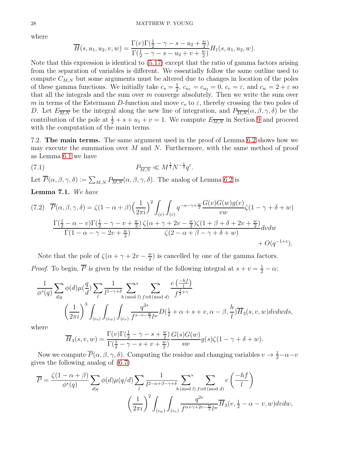where

$$
\overline{H}(s, u_1, u_2, v, w) = \frac{\Gamma(v)\Gamma(\frac{1}{2} - \gamma - s - u_2 + \frac{w}{2})}{\Gamma(\frac{1}{2} - \gamma - s - u_2 + v + \frac{w}{2})}H_1(s, u_1, u_2, w).
$$

Note that this expression is identical to [\(5.17\)](#page-22-4) except that the ratio of gamma factors arising from the separation of variables is different. We essentially follow the same outline used to compute  $C_{M,N}$  but some arguments must be altered due to changes in location of the poles of these gamma functions. We initially take  $c_s = \frac{1}{2}$  $\frac{1}{2}$ ,  $c_{u_1} = c_{u_2} = 0$ ,  $c_v = \varepsilon$ , and  $c_w = 2 + \varepsilon$  so that all the integrals and the sum over  $m$  converge absolutely. Then we write the sum over m in terms of the Estermann D-function and move  $c_s$  to  $\varepsilon$ , thereby crossing the two poles of D. Let  $E_{\overline{M,N}}$  be the integral along the new line of integration, and  $P_{\overline{M,N}}(\alpha,\beta,\gamma,\delta)$  be the contribution of the pole at  $\frac{1}{2} + s + u_1 + v = 1$ . We compute  $E_{\overline{M,N}}$  in Section [9](#page-31-1) and proceed with the computation of the main terms.

7.2. The main terms. The same argument used in the proof of Lemma [6.2](#page-23-2) shows how we may execute the summation over  $M$  and  $N$ . Furthermore, with the same method of proof as Lemma [6.1](#page-23-1) we have

(7.1) 
$$
P_{\overline{M,N}} \ll M^{\frac{1}{2}} N^{-\frac{1}{2}} q^{\varepsilon}.
$$

Let  $\overline{P}(\alpha,\beta,\gamma,\delta) := \sum_{M,N} P_{\overline{M,N}}(\alpha,\beta,\gamma,\delta)$ . The analog of Lemma [6.2](#page-23-2) is

Lemma 7.1. *We have*

<span id="page-27-0"></span>
$$
(7.2) \quad \overline{P}(\alpha,\beta,\gamma,\delta) = \zeta(1-\alpha+\beta)\left(\frac{1}{2\pi i}\right)^2 \int_{(\varepsilon)} \int_{(\varepsilon)} q^{-\alpha-\gamma+\frac{w}{2}} \frac{G(v)G(w)g(v)}{vw} \zeta(1-\gamma+\delta+w)
$$

$$
\frac{\Gamma(\frac{1}{2}-\alpha-v)\Gamma(\frac{1}{2}-\gamma-v+\frac{w}{2})}{\Gamma(1-\alpha-\gamma-2v+\frac{w}{2})} \frac{\zeta(\alpha+\gamma+2v-\frac{w}{2})\zeta(1+\beta+\delta+2v+\frac{w}{2})}{\zeta(2-\alpha+\beta-\gamma+\delta+w)} dvdw + O(q^{-1+\varepsilon}).
$$

Note that the pole of  $\zeta(\alpha + \gamma + 2v - \frac{w}{2})$  $\frac{w}{2}$ ) is cancelled by one of the gamma factors. *Proof.* To begin,  $\overline{P}$  is given by the residue of the following integral at  $s + v = \frac{1}{2} - \alpha$ :

$$
\frac{1}{\phi^*(q)} \sum_{d|q} \phi(d) \mu(\frac{q}{d}) \sum_l \frac{1}{l^{1-\gamma+\delta}} \sum_{h \pmod{l}} \sum_{f \equiv 0 \pmod{d}} \frac{e\left(\frac{-hf}{l}\right)}{f^{\frac{1}{2}+\gamma}}
$$

$$
\left(\frac{1}{2\pi i}\right)^3 \int_{(c_s)} \int_{(c_w)} \int_{(c_v)} \frac{q^{2s}}{f^{s-v-\frac{w}{2}}l^w} D(\frac{1}{2}+\alpha+s+v, \alpha-\beta, \frac{h}{l}) \overline{H}_3(s, v, w) dv dw ds,
$$

where

$$
\overline{H}_3(s,v,w) = \frac{\Gamma(v)\Gamma(\frac{1}{2}-\gamma-s+\frac{w}{2})}{\Gamma(\frac{1}{2}-\gamma-s+v+\frac{w}{2})}\frac{G(s)G(w)}{sw}g(s)\zeta(1-\gamma+\delta+w).
$$

Now we compute  $\overline{P}(\alpha,\beta,\gamma,\delta)$ . Computing the residue and changing variables  $v \to \frac{1}{2} - \alpha - v$ gives the following analog of [\(6.7\)](#page-24-2)

$$
\overline{P} = \frac{\zeta(1-\alpha+\beta)}{\phi^*(q)} \sum_{d|q} \phi(d) \mu(q/d) \sum_l \frac{1}{l^{2-\alpha+\beta-\gamma+\delta}} \sum_{h \pmod{l}} \sum_{f \equiv 0 \pmod{d}}^* e\left(\frac{-hf}{l}\right)
$$

$$
\left(\frac{1}{2\pi i}\right)^2 \int_{(c_w)} \int_{(c_v)} \frac{q^{2v}}{f^{\alpha+\gamma+2v-\frac{w}{2}}l^w} \overline{H}_3(v, \frac{1}{2}-\alpha-v, w) dv dw,
$$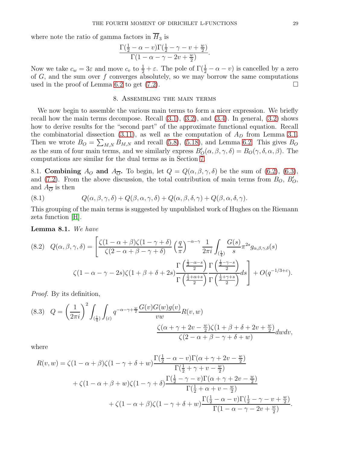where note the ratio of gamma factors in  $\overline{H}_3$  is

$$
\frac{\Gamma(\frac{1}{2}-\alpha-v)\Gamma(\frac{1}{2}-\gamma-v+\frac{w}{2})}{\Gamma(1-\alpha-\gamma-2v+\frac{w}{2})}.
$$

Now we take  $c_w = 3\varepsilon$  and move  $c_v$  to  $\frac{1}{2} + \varepsilon$ . The pole of  $\Gamma(\frac{1}{2} - \alpha - v)$  is cancelled by a zero of  $G$ , and the sum over  $f$  converges absolutely, so we may borrow the same computations used in the proof of Lemma [6.2](#page-23-2) to get  $(7.2)$ .

# 8. Assembling the main terms

<span id="page-28-0"></span>We now begin to assemble the various main terms to form a nicer expression. We briefly recall how the main terms decompose. Recall  $(3.1)$ ,  $(3.2)$ , and  $(3.4)$ . In general,  $(3.2)$  shows how to derive results for the "second part" of the approximate functional equation. Recall the combinatorial dissection [\(3.11\)](#page-11-2), as well as the computation of  $A<sub>D</sub>$  from Lemma [3.1.](#page-11-3) Then we wrote  $B_O = \sum_{M,N} B_{M,N}$  and recall [\(5.8\)](#page-21-3), [\(5.18\)](#page-23-3), and Lemma [6.2.](#page-23-2) This gives  $B_O$ as the sum of four main terms, and we similarly express  $B'_{O}(\alpha, \beta, \gamma, \delta) = B_{O}(\gamma, \delta, \alpha, \beta)$ . The computations are similar for the dual terms as in Section [7.](#page-25-0)

8.1. Combining  $A_O$  and  $A_{\overline{O}}$ . To begin, let  $Q = Q(\alpha, \beta, \gamma, \delta)$  be the sum of [\(6.2\)](#page-23-4), [\(6.3\)](#page-23-5), and [\(7.2\)](#page-27-0). From the above discussion, the total contribution of main terms from  $B_O$ ,  $B'_O$ , and  $A_{\overline{O}}$  is then

<span id="page-28-2"></span>(8.1) 
$$
Q(\alpha, \beta, \gamma, \delta) + Q(\beta, \alpha, \gamma, \delta) + Q(\alpha, \beta, \delta, \gamma) + Q(\beta, \alpha, \delta, \gamma).
$$

This grouping of the main terms is suggested by unpublished work of Hughes on the Riemann zeta function [\[H\]](#page-39-16).

<span id="page-28-1"></span>Lemma 8.1. *We have*

<span id="page-28-3"></span>
$$
(8.2) \quad Q(\alpha, \beta, \gamma, \delta) = \left[ \frac{\zeta(1 - \alpha + \beta)\zeta(1 - \gamma + \delta)}{\zeta(2 - \alpha + \beta - \gamma + \delta)} \left(\frac{q}{\pi}\right)^{-\alpha - \gamma} \frac{1}{2\pi i} \int_{\left(\frac{1}{4}\right)} \frac{G(s)}{s} \pi^{2s} g_{\alpha, \beta, \gamma, \delta}(s) \right]
$$

$$
\zeta(1 - \alpha - \gamma - 2s)\zeta(1 + \beta + \delta + 2s) \frac{\Gamma\left(\frac{1}{2} - \alpha - s\right)}{\Gamma\left(\frac{1}{2} + \alpha + s\right)} \frac{\Gamma\left(\frac{1}{2} - \gamma - s\right)}{\Gamma\left(\frac{1}{2} + \gamma + s\right)} ds + O(q^{-1/3 + \varepsilon}).
$$

*Proof.* By its definition,

$$
(8.3) \quad Q = \left(\frac{1}{2\pi i}\right)^2 \int_{(\frac{1}{4})} \int_{(\varepsilon)} q^{-\alpha - \gamma + \frac{w}{2}} \frac{G(v)G(w)g(v)}{vw} R(v, w)
$$

$$
\frac{\zeta(\alpha + \gamma + 2v - \frac{w}{2})\zeta(1 + \beta + \delta + 2v + \frac{w}{2})}{\zeta(2 - \alpha + \beta - \gamma + \delta + w)} dw dv,
$$

where

$$
R(v, w) = \zeta (1 - \alpha + \beta) \zeta (1 - \gamma + \delta + w) \frac{\Gamma(\frac{1}{2} - \alpha - v) \Gamma(\alpha + \gamma + 2v - \frac{w}{2})}{\Gamma(\frac{1}{2} + \gamma + v - \frac{w}{2})}
$$
  
+ 
$$
\zeta (1 - \alpha + \beta + w) \zeta (1 - \gamma + \delta) \frac{\Gamma(\frac{1}{2} - \gamma - v) \Gamma(\alpha + \gamma + 2v - \frac{w}{2})}{\Gamma(\frac{1}{2} + \alpha + v - \frac{w}{2})}
$$
  
+ 
$$
\zeta (1 - \alpha + \beta) \zeta (1 - \gamma + \delta + w) \frac{\Gamma(\frac{1}{2} - \alpha - v) \Gamma(\frac{1}{2} - \gamma - v + \frac{w}{2})}{\Gamma(1 - \alpha - \gamma - 2v + \frac{w}{2})}.
$$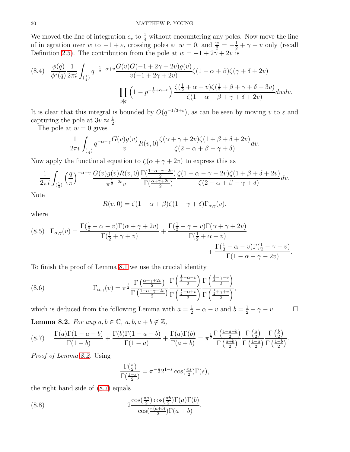We moved the line of integration  $c_v$  to  $\frac{1}{4}$  without encountering any poles. Now move the line of integration over w to  $-1 + \varepsilon$ , crossing poles at  $w = 0$ , and  $\frac{w}{2} = -\frac{1}{2} + \gamma + v$  only (recall Definition [2.5\)](#page-6-3). The contribution from the pole at  $w = -1 + 2\gamma + 2v$  is

$$
(8.4) \quad \frac{\phi(q)}{\phi^*(q)} \frac{1}{2\pi i} \int_{(\frac{1}{4})} q^{-\frac{1}{2}-\alpha+\upsilon} \frac{G(\upsilon)G(-1+2\gamma+2\upsilon)g(\upsilon)}{\upsilon(-1+2\gamma+2\upsilon)} \zeta(1-\alpha+\beta)\zeta(\gamma+\delta+2\upsilon)
$$

$$
\prod_{p|q} \left(1-p^{-\frac{1}{2}+\alpha+\upsilon}\right) \frac{\zeta(\frac{1}{2}+\alpha+\upsilon)\zeta(\frac{1}{2}+\beta+\gamma+\delta+3\upsilon)}{\zeta(1-\alpha+\beta+\gamma+\delta+2\upsilon)} d\upsilon d\upsilon.
$$

It is clear that this integral is bounded by  $O(q^{-1/3+\epsilon})$ , as can be seen by moving v to  $\varepsilon$  and capturing the pole at  $3v \approx \frac{1}{2}$  $\frac{1}{2}$ .

The pole at  $w = 0$  gives

$$
\frac{1}{2\pi i} \int_{(\frac{1}{4})} q^{-\alpha-\gamma} \frac{G(v)g(v)}{v} R(v,0) \frac{\zeta(\alpha+\gamma+2v)\zeta(1+\beta+\delta+2v)}{\zeta(2-\alpha+\beta-\gamma+\delta)} dv.
$$

Now apply the functional equation to  $\zeta(\alpha + \gamma + 2v)$  to express this as

$$
\frac{1}{2\pi i} \int_{(\frac{1}{4})} \left(\frac{q}{\pi}\right)^{-\alpha-\gamma} \frac{G(v)g(v)R(v,0)}{\pi^{\frac{1}{2}-2v}v} \frac{\Gamma(\frac{1-\alpha-\gamma-2v}{2})}{\Gamma(\frac{\alpha+\gamma+2v}{2})} \frac{\zeta(1-\alpha-\gamma-2v)\zeta(1+\beta+\delta+2v)}{\zeta(2-\alpha+\beta-\gamma+\delta)} dv.
$$

Note

$$
R(v,0) = \zeta(1-\alpha+\beta)\zeta(1-\gamma+\delta)\Gamma_{\alpha,\gamma}(v),
$$

where

<span id="page-29-3"></span>
$$
(8.5) \Gamma_{\alpha,\gamma}(v) = \frac{\Gamma(\frac{1}{2}-\alpha-v)\Gamma(\alpha+\gamma+2v)}{\Gamma(\frac{1}{2}+\gamma+v)} + \frac{\Gamma(\frac{1}{2}-\gamma-v)\Gamma(\alpha+\gamma+2v)}{\Gamma(\frac{1}{2}+\alpha+v)} + \frac{\Gamma(\frac{1}{2}-\alpha-v)\Gamma(\frac{1}{2}-\gamma-v)}{\Gamma(1-\alpha-\gamma-2v)}.
$$

To finish the proof of Lemma [8.1](#page-28-1) we use the crucial identity

(8.6) 
$$
\Gamma_{\alpha,\gamma}(v) = \pi^{\frac{1}{2}} \frac{\Gamma\left(\frac{\alpha+\gamma+2v}{2}\right)}{\Gamma\left(\frac{1-\alpha-\gamma-2v}{2}\right)} \frac{\Gamma\left(\frac{\frac{1}{2}-\alpha-v}{2}\right)}{\Gamma\left(\frac{\frac{1}{2}+\alpha+v}{2}\right)} \frac{\Gamma\left(\frac{\frac{1}{2}-\gamma-v}{2}\right)}{\Gamma\left(\frac{\frac{1}{2}+\gamma+v}{2}\right)},
$$

which is deduced from the following Lemma with  $a = \frac{1}{2} - \alpha - v$  and  $b = \frac{1}{2} - \gamma - v$ .  $\Box$ **Lemma 8.2.** *For any*  $a, b \in \mathbb{C}$ ,  $a, b, a + b \notin \mathbb{Z}$ ,

<span id="page-29-1"></span><span id="page-29-0"></span>
$$
(8.7) \qquad \frac{\Gamma(a)\Gamma(1-a-b)}{\Gamma(1-b)} + \frac{\Gamma(b)\Gamma(1-a-b)}{\Gamma(1-a)} + \frac{\Gamma(a)\Gamma(b)}{\Gamma(a+b)} = \pi^{\frac{1}{2}} \frac{\Gamma(\frac{1-a-b}{2})}{\Gamma(\frac{a+b}{2})} \frac{\Gamma(\frac{a}{2})}{\Gamma(\frac{1-a}{2})} \frac{\Gamma(\frac{b}{2})}{\Gamma(\frac{1-b}{2})}.
$$

*Proof of Lemma [8.2.](#page-29-0)* Using

<span id="page-29-2"></span>
$$
\frac{\Gamma(\frac{s}{2})}{\Gamma(\frac{1-s}{2})} = \pi^{-\frac{1}{2}} 2^{1-s} \cos(\frac{\pi s}{2}) \Gamma(s),
$$

the right hand side of [\(8.7\)](#page-29-1) equals

(8.8) 
$$
2 \frac{\cos(\frac{\pi a}{2}) \cos(\frac{\pi b}{2}) \Gamma(a) \Gamma(b)}{\cos(\frac{\pi(a+b)}{2}) \Gamma(a+b)}.
$$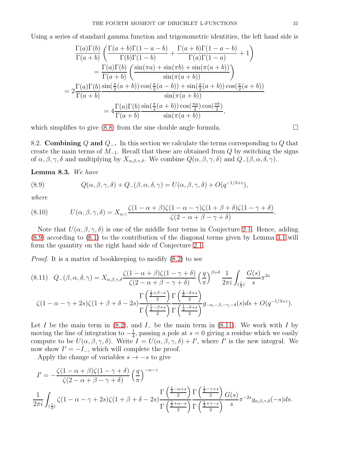Using a series of standard gamma function and trigonometric identities, the left hand side is

$$
\frac{\Gamma(a)\Gamma(b)}{\Gamma(a+b)} \left( \frac{\Gamma(a+b)\Gamma(1-a-b)}{\Gamma(b)\Gamma(1-b)} + \frac{\Gamma(a+b)\Gamma(1-a-b)}{\Gamma(a)\Gamma(1-a)} + 1 \right)
$$

$$
= \frac{\Gamma(a)\Gamma(b)}{\Gamma(a+b)} \left( \frac{\sin(\pi a) + \sin(\pi b) + \sin(\pi(a+b))}{\sin(\pi(a+b))} \right)
$$

$$
= 2\frac{\Gamma(a)\Gamma(b)}{\Gamma(a+b)} \frac{\sin(\frac{\pi}{2}(a+b))\cos(\frac{\pi}{2}(a-b)) + \sin(\frac{\pi}{2}(a+b))\cos(\frac{\pi}{2}(a+b))}{\sin(\pi(a+b))}
$$

$$
= 4\frac{\Gamma(a)\Gamma(b)}{\Gamma(a+b)} \frac{\sin(\frac{\pi}{2}(a+b))\cos(\frac{\pi a}{2})\cos(\frac{\pi b}{2})}{\sin(\pi(a+b))},
$$

which simplifies to give  $(8.8)$  from the sine double angle formula.

8.2. Combining Q and  $Q_$ . In this section we calculate the terms corresponding to Q that create the main terms of  $M_{-1}$ . Recall that these are obtained from Q by switching the signs of  $\alpha, \beta, \gamma, \delta$  and multiplying by  $X_{\alpha,\beta,\gamma,\delta}$ . We combine  $Q(\alpha,\beta,\gamma,\delta)$  and  $Q_-(\beta,\alpha,\delta,\gamma)$ .

<span id="page-30-0"></span>Lemma 8.3. *We have*

<span id="page-30-1"></span>(8.9) 
$$
Q(\alpha, \beta, \gamma, \delta) + Q_{-}(\beta, \alpha, \delta, \gamma) = U(\alpha, \beta, \gamma, \delta) + O(q^{-1/3 + \varepsilon}),
$$

*where*

(8.10) 
$$
U(\alpha, \beta, \gamma, \delta) = X_{\alpha, \gamma} \frac{\zeta(1 - \alpha + \beta)\zeta(1 - \alpha - \gamma)\zeta(1 + \beta + \delta)\zeta(1 - \gamma + \delta)}{\zeta(2 - \alpha + \beta - \gamma + \delta)}.
$$

Note that  $U(\alpha, \beta, \gamma, \delta)$  is one of the middle four terms in Conjecture [2.1.](#page-5-1) Hence, adding [\(8.9\)](#page-30-1) according to [\(8.1\)](#page-28-2) to the contribution of the diagonal terms given by Lemma [3.1](#page-11-3) will form the quantity on the right hand side of Conjecture [2.1.](#page-5-1)

*Proof.* It is a matter of bookkeeping to modify [\(8.2\)](#page-28-3) to see

<span id="page-30-2"></span>
$$
(8.11) \quad Q_{-}(\beta, \alpha, \delta, \gamma) = X_{\alpha, \beta, \gamma, \delta} \frac{\zeta(1 - \alpha + \beta)\zeta(1 - \gamma + \delta)}{\zeta(2 - \alpha + \beta - \gamma + \delta)} \left(\frac{q}{\pi}\right)^{\beta + \delta} \frac{1}{2\pi i} \int_{\left(\frac{1}{4}\right)} \frac{G(s)}{s} \pi^{2s}
$$

$$
\zeta(1 - \alpha - \gamma + 2s)\zeta(1 + \beta + \delta - 2s) \frac{\Gamma\left(\frac{1}{2} + \beta - s\right)}{\Gamma\left(\frac{1}{2} - \beta + s\right)} \frac{\Gamma\left(\frac{1}{2} - \delta + s\right)}{\Gamma\left(\frac{1}{2} - \beta + s\right)} g_{-\alpha, -\beta, -\gamma, -\delta}(s) ds + O(q^{-1/3 + \varepsilon}).
$$

Let I be the main term in  $(8.2)$ , and I<sub>-</sub> be the main term in  $(8.11)$ . We work with I by moving the line of integration to  $-\frac{1}{4}$  $\frac{1}{4}$ , passing a pole at  $s = 0$  giving a residue which we easily compute to be  $U(\alpha,\beta,\gamma,\delta)$ . Write  $I = U(\alpha,\beta,\gamma,\delta) + I'$ , where I' is the new integral. We now show  $I' = -I_$ , which will complete the proof.

Apply the change of variables  $s \to -s$  to give

$$
I' = -\frac{\zeta(1-\alpha+\beta)\zeta(1-\gamma+\delta)}{\zeta(2-\alpha+\beta-\gamma+\delta)} \left(\frac{q}{\pi}\right)^{-\alpha-\gamma}
$$
  

$$
\frac{1}{2\pi i} \int_{(\frac{1}{4})} \zeta(1-\alpha-\gamma+2s)\zeta(1+\beta+\delta-2s) \frac{\Gamma\left(\frac{\frac{1}{2}-\alpha+s}{2}\right)}{\Gamma\left(\frac{\frac{1}{2}+\alpha-s}{2}\right)} \frac{\Gamma\left(\frac{\frac{1}{2}-\gamma+s}{2}\right)}{\Gamma\left(\frac{\frac{1}{2}+\gamma-s}{2}\right)} \frac{G(s)}{s} \pi^{-2s} g_{\alpha,\beta,\gamma,\delta}(-s) ds.
$$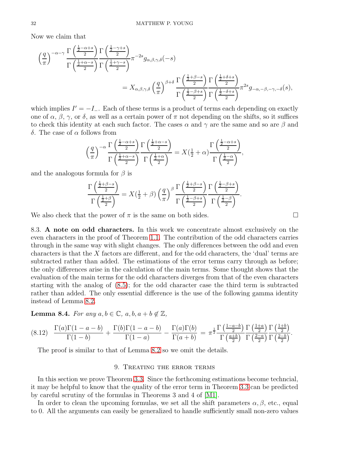Now we claim that

$$
\begin{split}\n&\left(\frac{q}{\pi}\right)^{-\alpha-\gamma}\frac{\Gamma\left(\frac{\frac{1}{2}-\alpha+s}{2}\right)}{\Gamma\left(\frac{\frac{1}{2}+\alpha-s}{2}\right)}\frac{\Gamma\left(\frac{1}{2}-\gamma+s}{2}\right)}\pi^{-2s}g_{\alpha,\beta,\gamma,\delta}(-s) \\
&=X_{\alpha,\beta,\gamma,\delta}\left(\frac{q}{\pi}\right)^{\beta+\delta}\frac{\Gamma\left(\frac{\frac{1}{2}+\beta-s}{2}\right)}{\Gamma\left(\frac{\frac{1}{2}-\beta+s}{2}\right)}\frac{\Gamma\left(\frac{\frac{1}{2}+\delta+s}{2}\right)}{\Gamma\left(\frac{\frac{1}{2}-\delta+s}{2}\right)}\pi^{2s}g_{-\alpha,-\beta,-\gamma,-\delta}(s),\n\end{split}
$$

which implies  $I' = -I_$ . Each of these terms is a product of terms each depending on exactly one of  $\alpha$ ,  $\beta$ ,  $\gamma$ , or  $\delta$ , as well as a certain power of  $\pi$  not depending on the shifts, so it suffices to check this identity at each such factor. The cases  $\alpha$  and  $\gamma$  are the same and so are  $\beta$  and δ. The case of α follows from

$$
\left(\frac{q}{\pi}\right)^{-\alpha} \frac{\Gamma\left(\frac{\frac{1}{2}-\alpha+s}{2}\right)}{\Gamma\left(\frac{\frac{1}{2}+\alpha-s}{2}\right)} \frac{\Gamma\left(\frac{\frac{1}{2}+\alpha-s}{2}\right)}{\Gamma\left(\frac{\frac{1}{2}+\alpha}{2}\right)} = X\left(\frac{1}{2}+\alpha\right) \frac{\Gamma\left(\frac{\frac{1}{2}-\alpha+s}{2}\right)}{\Gamma\left(\frac{\frac{1}{2}-\alpha}{2}\right)},
$$

and the analogous formula for  $\beta$  is

$$
\frac{\Gamma\left(\frac{\frac{1}{2}+\beta-s}{2}\right)}{\Gamma\left(\frac{\frac{1}{2}+\beta}{2}\right)} = X\left(\frac{1}{2}+\beta\right) \left(\frac{q}{\pi}\right)^{\beta} \frac{\Gamma\left(\frac{\frac{1}{2}+\beta-s}{2}\right)}{\Gamma\left(\frac{\frac{1}{2}-\beta+s}{2}\right)} \frac{\Gamma\left(\frac{\frac{1}{2}-\beta+s}{2}\right)}{\Gamma\left(\frac{\frac{1}{2}-\beta}{2}\right)}.
$$

<span id="page-31-0"></span>We also check that the power of  $\pi$  is the same on both sides.

8.3. A note on odd characters. In this work we concentrate almost exclusively on the even characters in the proof of Theorem [1.1.](#page-1-3) The contribution of the odd characters carries through in the same way with slight changes. The only differences between the odd and even characters is that the X factors are different, and for the odd characters, the 'dual' terms are subtracted rather than added. The estimations of the error terms carry through as before; the only differences arise in the calculation of the main terms. Some thought shows that the evaluation of the main terms for the odd characters diverges from that of the even characters starting with the analog of [\(8.5\)](#page-29-3); for the odd character case the third term is subtracted rather than added. The only essential difference is the use of the following gamma identity instead of Lemma [8.2.](#page-29-0)

**Lemma 8.4.** *For any*  $a, b \in \mathbb{C}$ ,  $a, b, a + b \notin \mathbb{Z}$ ,

$$
(8.12) \quad \frac{\Gamma(a)\Gamma(1-a-b)}{\Gamma(1-b)} + \frac{\Gamma(b)\Gamma(1-a-b)}{\Gamma(1-a)} - \frac{\Gamma(a)\Gamma(b)}{\Gamma(a+b)} = \pi^{\frac{1}{2}} \frac{\Gamma(\frac{1-a-b}{2})}{\Gamma(\frac{a+b}{2})} \frac{\Gamma(\frac{1+a}{2})}{\Gamma(\frac{2-a}{2})} \frac{\Gamma(\frac{1+b}{2})}{\Gamma(\frac{2-b}{2})}.
$$

<span id="page-31-1"></span>The proof is similar to that of Lemma [8.2](#page-29-0) so we omit the details.

# 9. Treating the error terms

In this section we prove Theorem [3.3.](#page-12-3) Since the forthcoming estimations become techncial, it may be helpful to know that the quality of the error term in Theorem [3.3](#page-12-3) can be predicted by careful scrutiny of the formulas in Theorems 3 and 4 of [\[M1\]](#page-39-2).

In order to clean the upcoming formulas, we set all the shift parameters  $\alpha, \beta$ , etc., equal to 0. All the arguments can easily be generalized to handle sufficiently small non-zero values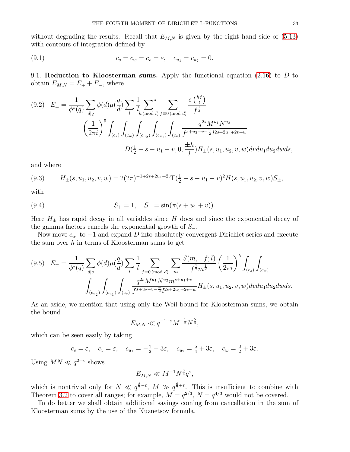without degrading the results. Recall that  $E_{M,N}$  is given by the right hand side of [\(5.13\)](#page-22-3) with contours of integration defined by

<span id="page-32-0"></span>(9.1) 
$$
c_s = c_w = c_v = \varepsilon, \quad c_{u_1} = c_{u_2} = 0.
$$

<span id="page-32-1"></span>9.1. Reduction to Kloosterman sums. Apply the functional equation  $(2.16)$  to D to obtain  $E_{M,N} = E_+ + E_-,$  where

$$
(9.2) \quad E_{\pm} = \frac{1}{\phi^*(q)} \sum_{d|q} \phi(d) \mu(\frac{q}{d}) \sum_{l} \frac{1}{l} \sum_{h \pmod{l}} \sum_{f \equiv 0 \pmod{d}} \frac{e(\frac{hf}{l})}{f^{\frac{1}{2}}} \n\left(\frac{1}{2\pi i}\right)^5 \int_{(c_s)} \int_{(c_w)} \int_{(c_{u_2})} \int_{(c_{u_1})} \int_{(c_v)} \frac{q^{2s} M^{u_1} N^{u_2}}{f^{s+u_2-v-\frac{w}{2}} l^{2s+2u_1+2v+w}} \nD(\frac{1}{2} - s - u_1 - v, 0, \frac{\pm \overline{h}}{l}) H_{\pm}(s, u_1, u_2, v, w) dv du_1 du_2 dw ds,
$$

and where

<span id="page-32-3"></span>
$$
(9.3) \qquad H_{\pm}(s, u_1, u_2, v, w) = 2(2\pi)^{-1+2s+2u_1+2v} \Gamma(\frac{1}{2} - s - u_1 - v)^2 H(s, u_1, u_2, v, w) S_{\pm},
$$

with

(9.4) 
$$
S_+ = 1, \quad S_- = \sin(\pi(s + u_1 + v)).
$$

Here  $H_{\pm}$  has rapid decay in all variables since H does and since the exponential decay of the gamma factors cancels the exponential growth of  $S_-\$ .

Now move  $c_{u_1}$  to  $-1$  and expand D into absolutely convergent Dirichlet series and execute the sum over  $h$  in terms of Kloosterman sums to get

<span id="page-32-2"></span>
$$
(9.5) \quad E_{\pm} = \frac{1}{\phi^*(q)} \sum_{d|q} \phi(d) \mu(\frac{q}{d}) \sum_{l} \frac{1}{l} \sum_{f \equiv 0 \pmod{d}} \sum_{m} \frac{S(m, \pm f; l)}{f^{\frac{1}{2}} m^{\frac{1}{2}}} \left(\frac{1}{2\pi i}\right)^5 \int_{(c_s)} \int_{(c_w)} \int_{(c_{w_1})} \int_{(c_{u_2})} \int_{(c_{u_1})} \int_{(c_v)} \frac{q^{2s} M^{u_1} N^{u_2} m^{s+u_1+v}}{f^{s+u_2-v-\frac{w}{2}} l^{2s+2u_1+2v+w}} H_{\pm}(s, u_1, u_2, v, w) dv du_1 du_2 dw ds.
$$

As an aside, we mention that using only the Weil bound for Kloosterman sums, we obtain the bound

$$
E_{M,N} \ll q^{-1+\varepsilon} M^{-\frac{1}{2}} N^{\frac{5}{4}},
$$

which can be seen easily by taking

$$
c_s = \varepsilon
$$
,  $c_v = \varepsilon$ ,  $c_{u_1} = -\frac{1}{2} - 3\varepsilon$ ,  $c_{u_2} = \frac{5}{4} + 3\varepsilon$ ,  $c_w = \frac{3}{2} + 3\varepsilon$ .

Using  $MN \ll q^{2+\varepsilon}$  shows

$$
E_{M,N} \ll M^{-1} N^{\frac{3}{4}} q^{\varepsilon},
$$

which is nontrivial only for  $N \ll q^{\frac{8}{7}-\epsilon}$ ,  $M \gg q^{\frac{6}{7}+\epsilon}$ . This is insufficient to combine with Theorem [3.2](#page-12-2) to cover all ranges; for example,  $M = q^{2/3}$ ,  $N = q^{4/3}$  would not be covered.

To do better we shall obtain additional savings coming from cancellation in the sum of Kloosterman sums by the use of the Kuznetsov formula.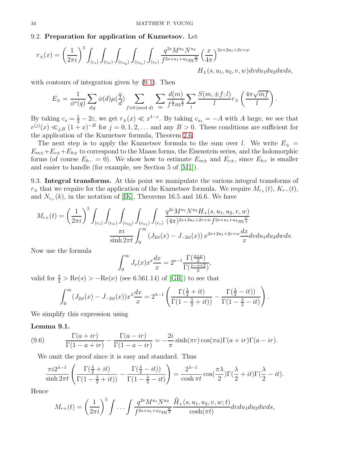#### 9.2. Preparation for application of Kuznetsov. Let

$$
r_{\pm}(x) = \left(\frac{1}{2\pi i}\right)^5 \int_{(c_s)} \int_{(c_w)} \int_{(c_{u_2})} \int_{(c_{u_1})} \int_{(c_v)} \frac{q^{2s} M^{u_1} N^{u_2}}{f^{2s+u_1+u_2} m^{\frac{w}{2}}} \left(\frac{x}{4\pi}\right)^{2s+2u_1+2v+w} \nH_{\pm}(s, u_1, u_2, v, w) dv du_1 du_2 dw ds,
$$

with contours of integration given by  $(9.1)$ . Then

$$
E_{\pm} = \frac{1}{\phi^*(q)} \sum_{d|q} \phi(d) \mu(\frac{q}{d}) \sum_{f \equiv 0 \pmod{d}} \sum_{m} \frac{d(m)}{f^{\frac{1}{2}} m^{\frac{1}{2}}} \sum_{l} \frac{S(m, \pm f; l)}{l} r_{\pm} \left( \frac{4 \pi \sqrt{m f}}{l} \right)
$$

.

By taking  $c_s = \frac{1}{2} - 2\varepsilon$ , we get  $r_{\pm}(x) \ll x^{1-\varepsilon}$ . By taking  $c_{u_1} = -A$  with A large, we see that  $r^{(j)}(x) \ll_{j,B} (1+x)^{-B}$  for  $j=0,1,2,...$  and any  $B>0$ . These conditions are sufficient for the application of the Kuznetsov formula, Theorem [2.6.](#page-9-2)

The next step is to apply the Kuznetsov formula to the sum over l. We write  $E_{\pm}$  =  $E_{m\pm}+E_{c\pm}+E_{h\pm}$  to correspond to the Maass forms, the Eisenstein series, and the holomorphic forms (of course  $E_{h-} = 0$ ). We show how to estimate  $E_{m\pm}$  and  $E_{c\pm}$ , since  $E_{h+}$  is smaller and easier to handle (for example, see Section 5 of [\[M1\]](#page-39-2)).

9.3. Integral transforms. At this point we manipulate the various integral transforms of  $r_{\pm}$  that we require for the application of the Kuznetsov formula. We require  $M_{r_{+}}(t)$ ,  $K_{r_{-}}(t)$ , and  $N_{r_{+}}(k)$ , in the notation of [\[IK\]](#page-39-10), Theorems 16.5 and 16.6. We have

$$
M_{r+}(t) = \left(\frac{1}{2\pi i}\right)^5 \int_{(c_s)} \int_{(c_w)} \int_{(c_{u_2})} \int_{(c_{u_1})} \int_{(c_v)} \frac{q^{2s} M^{u_1} N^{u_2} H_+(s, u_1, u_2, v, w)}{(4\pi)^{2s+2u_1+2v+w} f^{2s+u_1+u_2} m^{\frac{w}{2}}} \frac{\pi i}{\sinh 2\pi t} \int_0^\infty \left(J_{2it}(x) - J_{-2it}(x)\right) x^{2s+2u_1+2v+w} \frac{dx}{x} dv du_1 du_2 dw ds.
$$

Now use the formula

$$
\int_0^\infty J_\nu(x) x^s \frac{dx}{x} = 2^{s-1} \frac{\Gamma(\frac{s+\nu}{2})}{\Gamma(\frac{\nu-s+2}{2})},
$$

valid for  $\frac{3}{2}$  > Re(s) > -Re( $\nu$ ) (see 6.561.14) of [\[GR\]](#page-39-15)) to see that

$$
\int_0^\infty (J_{2it}(x) - J_{-2it}(x))x^{\lambda}\frac{dx}{x} = 2^{\lambda - 1}\left(\frac{\Gamma(\frac{\lambda}{2} + it)}{\Gamma(1 - \frac{\lambda}{2} + it))} - \frac{\Gamma(\frac{\lambda}{2} - it)}{\Gamma(1 - \frac{\lambda}{2} - it)}\right).
$$

We simplify this expression using

#### Lemma 9.1.

(9.6) 
$$
\frac{\Gamma(a+ir)}{\Gamma(1-a+ir)} - \frac{\Gamma(a-ir)}{\Gamma(1-a-ir)} = -\frac{2i}{\pi} \sinh(\pi r) \cos(\pi a) \Gamma(a+ir) \Gamma(a-ir).
$$

We omit the proof since it is easy and standard. Thus

$$
\frac{\pi i 2^{\lambda-1}}{\sinh 2\pi t} \left( \frac{\Gamma(\frac{\lambda}{2} + it)}{\Gamma(1 - \frac{\lambda}{2} + it)} - \frac{\Gamma(\frac{\lambda}{2} - it)}{\Gamma(1 - \frac{\lambda}{2} - it)} \right) = \frac{2^{\lambda-1}}{\cosh \pi t} \cos(\frac{\pi \lambda}{2}) \Gamma(\frac{\lambda}{2} + it) \Gamma(\frac{\lambda}{2} - it).
$$

Hence

$$
M_{r+}(t) = \left(\frac{1}{2\pi i}\right)^5 \int \ldots \int \frac{q^{2s} M^{u_1} N^{u_2}}{f^{2s+u_1+u_2} m^{\frac{w}{2}}} \frac{\widehat{H}_+(s, u_1, u_2, v, w; t)}{\cosh(\pi t)} dv du_1 du_2 dw ds,
$$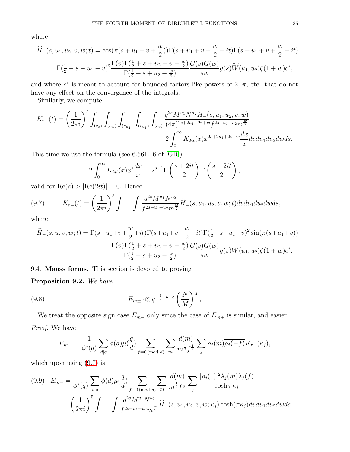where

$$
\hat{H}_{+}(s, u_{1}, u_{2}, v, w; t) = \cos(\pi(s + u_{1} + v + \frac{w}{2}))\Gamma(s + u_{1} + v + \frac{w}{2} + it)\Gamma(s + u_{1} + v + \frac{w}{2} - it)
$$

$$
\Gamma(\frac{1}{2} - s - u_{1} - v)^{2}\frac{\Gamma(v)\Gamma(\frac{1}{2} + s + u_{2} - v - \frac{w}{2})}{\Gamma(\frac{1}{2} + s + u_{2} - \frac{w}{2})}\frac{G(s)G(w)}{sw}g(s)\widetilde{W}(u_{1}, u_{2})\zeta(1 + w)c^{*},
$$

and where  $c^*$  is meant to account for bounded factors like powers of 2,  $\pi$ , etc. that do not have any effect on the convergence of the integrals.

Similarly, we compute

$$
K_{r-}(t) = \left(\frac{1}{2\pi i}\right)^5 \int_{(c_s)} \int_{(c_w)} \int_{(c_{u_2})} \int_{(c_{u_1})} \int_{(c_v)} \frac{q^{2s} M^{u_1} N^{u_2} H_{-}(s, u_1, u_2, v, w)}{(4\pi)^{2s+2u_1+2v+w} f^{2s+u_1+u_2} m^{\frac{w}{2}}} 2 \int_0^\infty K_{2it}(x) x^{2s+2u_1+2v+w} \frac{dx}{x} dv du_1 du_2 dw ds.
$$

This time we use the formula (see 6.561.16 of [\[GR\]](#page-39-15))

$$
2\int_0^\infty K_{2it}(x)x^s\frac{dx}{x} = 2^{s-1}\Gamma\left(\frac{s+2it}{2}\right)\Gamma\left(\frac{s-2it}{2}\right),
$$

valid for  $\text{Re}(s) > |\text{Re}(2it)| = 0$ . Hence

<span id="page-34-0"></span>(9.7) 
$$
K_{r-}(t) = \left(\frac{1}{2\pi i}\right)^5 \int \ldots \int \frac{q^{2s} M^{u_1} N^{u_2}}{f^{2s+u_1+u_2} m^{\frac{w}{2}}} \widehat{H}_-(s, u_1, u_2, v, w; t) dv du_1 du_2 dw ds,
$$

where

$$
\widehat{H}_{-}(s, u, v, w; t) = \Gamma(s+u_1+v+\frac{w}{2}+it)\Gamma(s+u_1+v+\frac{w}{2}-it)\Gamma(\frac{1}{2}-s-u_1-v)^2\sin(\pi(s+u_1+v))
$$

$$
\frac{\Gamma(v)\Gamma(\frac{1}{2}+s+u_2-v-\frac{w}{2})}{\Gamma(\frac{1}{2}+s+u_2-\frac{w}{2})}\frac{G(s)G(w)}{sw}g(s)\widetilde{W}(u_1, u_2)\zeta(1+w)c^*.
$$

9.4. Maass forms. This section is devoted to proving

Proposition 9.2. *We have*

(9.8) 
$$
E_{m\pm} \ll q^{-\frac{1}{2}+\theta+\varepsilon} \left(\frac{N}{M}\right)^{\frac{1}{2}},
$$

We treat the opposite sign case  $E_{m-}$  only since the case of  $E_{m+}$  is similar, and easier. *Proof.* We have

$$
E_{m-} = \frac{1}{\phi^*(q)} \sum_{d|q} \phi(d) \mu(\frac{q}{d}) \sum_{f \equiv 0 \pmod{d}} \sum_m \frac{d(m)}{m^{\frac{1}{2}} f^{\frac{1}{2}} } \sum_j \rho_j(m) \overline{\rho_j(-f)} K_{r-}(\kappa_j),
$$

which upon using [\(9.7\)](#page-34-0) is

<span id="page-34-1"></span>
$$
(9.9) \quad E_{m-} = \frac{1}{\phi^*(q)} \sum_{d|q} \phi(d) \mu(\frac{q}{d}) \sum_{f \equiv 0 \pmod{d}} \sum_{m} \frac{d(m)}{m^{\frac{1}{2}} f^{\frac{1}{2}}} \sum_{j} \frac{|\rho_j(1)|^2 \lambda_j(m) \lambda_j(f)}{\cosh \pi \kappa_j} \left(\frac{1}{2\pi i}\right)^5 \int \dots \int \frac{q^{2s} M^{u_1} N^{u_2}}{f^{2s+u_1+u_2} m^{\frac{w}{2}}} \widehat{H}_-(s, u_1, u_2, v, w; \kappa_j) \cosh(\pi \kappa_j) dv du_1 du_2 dw ds.
$$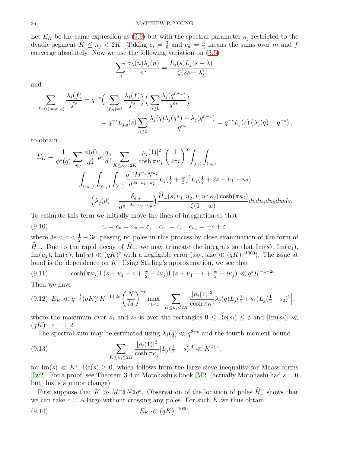Let  $E_K$  be the same expression as [\(9.9\)](#page-34-1) but with the spectral parameter  $\kappa_j$  restricted to the dyadic segment  $K \leq \kappa_j < 2K$ . Taking  $c_s = \frac{3}{8}$  $\frac{3}{8}$  and  $c_w = \frac{3}{2}$  means the sums over m and f converge absolutely. Now we use the following variation on [\(3.5\)](#page-10-4)

$$
\sum_{n} \frac{\sigma_{\lambda}(n)\lambda_{j}(n)}{n^{s}} = \frac{L_{j}(s)L_{j}(s-\lambda)}{\zeta(2s-\lambda)}
$$

and

$$
\sum_{f \equiv 0 \pmod{q}} \frac{\lambda_j(f)}{f^s} = q^{-s} \Big( \sum_{(f,q)=1} \frac{\lambda_j(f)}{f^s} \Big) \Big( \sum_{n \ge 0} \frac{\lambda_j(q^{n+1})}{q^{ns}} \Big) \n= q^{-s} L_{j,q}(s) \sum_{n \ge 0} \frac{\lambda_j(q) \lambda_j(q^n) - \lambda_j(q^{n-1})}{q^{ns}} = q^{-s} L_j(s) \left( \lambda_j(q) - q^{-s} \right),
$$

to obtain

$$
E_K = \frac{1}{\phi^*(q)} \sum_{d|q} \frac{\phi(d)}{d^{\frac{1}{2}}} \mu(\frac{q}{d}) \sum_{K \le \kappa_j < 2K} \frac{|\rho_j(1)|^2}{\cosh \pi \kappa_j} \left(\frac{1}{2\pi i}\right)^5 \int_{(c_s)} \int_{(c_w)} \int_{(c_{w_2})} \int_{(c_{u_1})} \int_{(c_v)} \frac{q^{2s} M^{u_1} N^{u_2}}{d^{2s+u_1+u_2}} L_j(\frac{1}{2} + \frac{w}{2})^2 L_j(\frac{1}{2} + 2s + u_1 + u_2) \left(\lambda_j(d) - \frac{\delta_{d,q}}{d^{\frac{1}{2}+2s+u_1+u_2}}\right) \frac{\hat{H}_-(s, u_1, u_2, v, w; \kappa_j) \cosh(\pi \kappa_j)}{\zeta(1+w)} dv du_1 du_2 dw ds.
$$

To estimate this term we initially move the lines of integration so that

<span id="page-35-1"></span>(9.10) 
$$
c_s = c_v = c_w = \varepsilon, \quad c_{u_1} = c, \quad c_{u_2} = -c + \varepsilon,
$$

where  $3\epsilon < c < \frac{1}{2} - 3\epsilon$ , passing no poles in this process by close examination of the form of  $\widehat{H}_-$ . Due to the rapid decay of  $\widehat{H}_-$ , we may truncate the integrals so that Im(s), Im $(u_1)$ ,  $\text{Im}(u_2)$ ,  $\text{Im}(v)$ ,  $\text{Im}(w) \ll (qK)^{\varepsilon}$  with a negligible error (say, size  $\ll (qK)^{-1000}$ ). The issue at hand is the dependence on K. Using Stirling's approximation, we see that

<span id="page-35-2"></span>(9.11) 
$$
\cosh(\pi \kappa_j)\Gamma(s+u_1+v+\frac{w}{2}+i\kappa_j)\Gamma(s+u_1+v+\frac{w}{2}-i\kappa_j) \ll q^{\varepsilon}K^{-1+2c}.
$$

Then we have

<span id="page-35-0"></span>
$$
(9.12) \ E_K \ll q^{-\frac{1}{2}} (qK)^{\varepsilon} K^{-1+2c} \left(\frac{N}{M}\right)^{-c} \max_{s_1, s_2} \Big| \sum_{K \le \kappa_j < 2K} \frac{|\rho_j(1)|^2}{\cosh \pi \kappa_j} \lambda_j(q) L_j(\frac{1}{2} + s_1) L_j(\frac{1}{2} + s_2)^2 \Big|,
$$

where the maximum over  $s_1$  and  $s_2$  is over the rectangles  $0 \leq \text{Re}(s_i) \leq \varepsilon$  and  $|\text{Im}(s_i)| \ll$  $(qK)^{\varepsilon}, i = 1, 2.$ 

The spectral sum may be estimated using  $\lambda_j(q) \ll q^{\theta+\varepsilon}$  and the fourth moment bound

(9.13) 
$$
\sum_{K \le \kappa_j \le 2K} \frac{|\rho_j(1)|^2}{\cosh \pi \kappa_j} |L_j(\frac{1}{2} + s)|^4 \ll K^{2+\varepsilon},
$$

for  $\text{Im}(s) \ll K^{\varepsilon}$ ,  $\text{Re}(s) \geq 0$ , which follows from the large sieve inequality for Maass forms [\[Iw2\]](#page-39-13). For a proof, see Theorem 3.4 in Motohashi's book [\[M2\]](#page-39-4) (actually Motohashi had  $s = 0$ ) but this is a minor change).

First suppose that  $K \gg M^{-\frac{1}{2}}N^{\frac{1}{2}}q^{\varepsilon}$ . Observation of the location of poles  $\widehat{H}_-$  shows that we can take  $c = A$  large without crossing any poles. For such K we thus obtain

.

(9.14) 
$$
E_K \ll (qK)^{-1000}
$$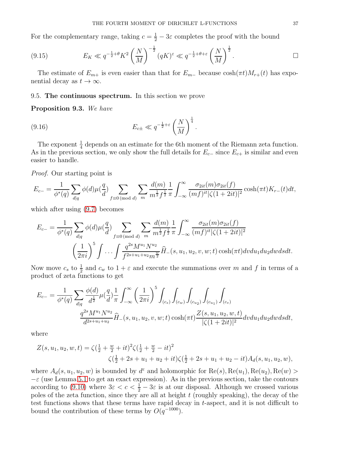For the complementary range, taking  $c = \frac{1}{2} - 3\varepsilon$  completes the proof with the bound

$$
(9.15) \t\t E_K \ll q^{-\frac{1}{2}+\theta} K^2 \left(\frac{N}{M}\right)^{-\frac{1}{2}} (qK)^{\varepsilon} \ll q^{-\frac{1}{2}+\theta+\varepsilon} \left(\frac{N}{M}\right)^{\frac{1}{2}}.
$$

The estimate of  $E_{m+}$  is even easier than that for  $E_{m-}$  because  $cosh(\pi t)M_{r+}(t)$  has exponential decay as  $t \to \infty$ .

#### 9.5. The continuous spectrum. In this section we prove

#### Proposition 9.3. *We have*

(9.16) 
$$
E_{c\pm} \ll q^{-\frac{1}{2}+\varepsilon} \left(\frac{N}{M}\right)^{\frac{1}{4}}.
$$

The exponent  $\frac{1}{4}$  depends on an estimate for the 6th moment of the Riemann zeta function. As in the previous section, we only show the full details for  $E_{c-}$  since  $E_{c+}$  is similar and even easier to handle.

*Proof.* Our starting point is

$$
E_{c-} = \frac{1}{\phi^*(q)} \sum_{d|q} \phi(d) \mu(\frac{q}{d}) \sum_{f \equiv 0 \pmod{d}} \sum_{m} \frac{d(m)}{m^{\frac{1}{2}} f^{\frac{1}{2}}} \frac{1}{\pi} \int_{-\infty}^{\infty} \frac{\sigma_{2it}(m) \sigma_{2it}(f)}{(m f)^{it} |\zeta(1+2it)|^2} \cosh(\pi t) K_{r-}(t) dt,
$$

which after using [\(9.7\)](#page-34-0) becomes

$$
E_{c-} = \frac{1}{\phi^*(q)} \sum_{d|q} \phi(d) \mu(\frac{q}{d}) \sum_{f \equiv 0 \pmod{d}} \sum_{m} \frac{d(m)}{m^{\frac{1}{2}} f^{\frac{1}{2}}} \frac{1}{\pi} \int_{-\infty}^{\infty} \frac{\sigma_{2it}(m) \sigma_{2it}(f)}{(m f)^{it} |\zeta(1+2it)|^2} \left(\frac{1}{2\pi i}\right)^5 \int \dots \int \frac{q^{2s} M^{u_1} N^{u_2}}{f^{2s+u_1+u_2} m^{\frac{w}{2}}} \hat{H}_-(s, u_1, u_2, v, w; t) \cosh(\pi t) dv du_1 du_2 dw ds dt.
$$

Now move  $c_s$  to  $\frac{1}{2}$  and  $c_w$  to  $1+\varepsilon$  and execute the summations over m and f in terms of a product of zeta functions to get

$$
E_{c-} = \frac{1}{\phi^*(q)} \sum_{d|q} \frac{\phi(d)}{d^{\frac{1}{2}}}\mu(\frac{q}{d})\frac{1}{\pi} \int_{-\infty}^{\infty} \left(\frac{1}{2\pi i}\right)^5 \int_{(c_s)} \int_{(c_w)} \int_{(c_{u_2})} \int_{(c_{u_1})} \int_{(c_v)} \int_{(c_v)} \frac{1}{\phi^*(d_v)} d\phi \, dv \, dv \, d\phi
$$
\n
$$
\frac{q^{2s}M^{u_1}N^{u_2}}{d^{2s+u_1+u_2}} \widehat{H}_-(s, u_1, u_2, v, w; t) \cosh(\pi t) \frac{Z(s, u_1, u_2, w, t)}{|\zeta(1+2it)|^2} dv du_1 du_2 dw ds dt,
$$

where

$$
Z(s, u_1, u_2, w, t) = \zeta(\frac{1}{2} + \frac{w}{2} + it)^2 \zeta(\frac{1}{2} + \frac{w}{2} - it)^2
$$
  

$$
\zeta(\frac{1}{2} + 2s + u_1 + u_2 + it) \zeta(\frac{1}{2} + 2s + u_1 + u_2 - it) A_d(s, u_1, u_2, w),
$$

where  $A_d(s, u_1, u_2, w)$  is bounded by  $d^{\varepsilon}$  and holomorphic for  $\text{Re}(s)$ ,  $\text{Re}(u_1)$ ,  $\text{Re}(u_2)$ ,  $\text{Re}(w)$  $-\varepsilon$  (use Lemma [5.1](#page-19-0) to get an exact expression). As in the previous section, take the contours according to [\(9.10\)](#page-35-1) where  $3\varepsilon < c < \frac{1}{2} - 3\varepsilon$  is at our disposal. Although we crossed various poles of the zeta function, since they are all at height  $t$  (roughly speaking), the decay of the test functions shows that these terms have rapid decay in t-aspect, and it is not difficult to bound the contribution of these terms by  $O(q^{-1000})$ .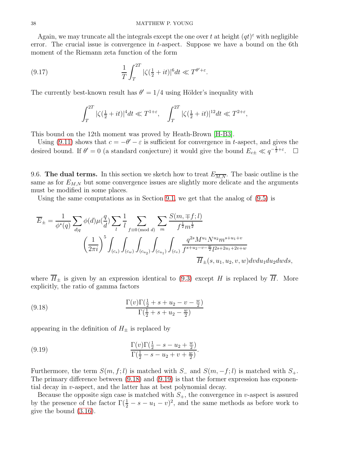Again, we may truncate all the integrals except the one over t at height  $(qt)^{\epsilon}$  with negligible error. The crucial issue is convergence in  $t$ -aspect. Suppose we have a bound on the 6th moment of the Riemann zeta function of the form

(9.17) 
$$
\frac{1}{T} \int_{T}^{2T} |\zeta(\frac{1}{2} + it)|^6 dt \ll T^{\theta' + \varepsilon}.
$$

The currently best-known result has  $\theta' = 1/4$  using Hölder's inequality with

$$
\int_T^{2T} |\zeta(\tfrac{1}{2} + it)|^4 dt \ll T^{1+\varepsilon}, \quad \int_T^{2T} |\zeta(\tfrac{1}{2} + it)|^{12} dt \ll T^{2+\varepsilon},
$$

This bound on the 12th moment was proved by Heath-Brown [\[H-B3\]](#page-39-17).

Using [\(9.11\)](#page-35-2) shows that  $c = -\theta' - \varepsilon$  is sufficient for convergence in t-aspect, and gives the desired bound. If  $\theta' = 0$  (a standard conjecture) it would give the bound  $E_{c\pm} \ll q^{-\frac{1}{2} + \varepsilon}$ .  $\Box$ 

9.6. The dual terms. In this section we sketch how to treat  $E_{\overline{M,N}}$ . The basic outline is the same as for  $E_{M,N}$  but some convergence issues are slightly more delicate and the arguments must be modified in some places.

Using the same computations as in Section [9.1,](#page-32-1) we get that the analog of  $(9.5)$  is

$$
\overline{E}_{\pm} = \frac{1}{\phi^*(q)} \sum_{d|q} \phi(d) \mu(\frac{q}{d}) \sum_{l} \frac{1}{l} \sum_{f \equiv 0 \pmod{d}} \sum_{m} \frac{S(m, \mp f; l)}{f^{\frac{1}{2}} m^{\frac{1}{2}}} \n\left(\frac{1}{2\pi i}\right)^5 \int_{(c_s)} \int_{(c_w)} \int_{(c_{u_2})} \int_{(c_{u_1})} \int_{(c_v)} \frac{q^{2s} M^{u_1} N^{u_2} m^{s+u_1+v}}{f^{s+u_2-v-\frac{w}{2}} l^{2s+2u_1+2v+w}} \n\overline{H}_{\pm}(s, u_1, u_2, v, w) dv du_1 du_2 dw ds,
$$

where  $\overline{H}_{\pm}$  is given by an expression identical to [\(9.3\)](#page-32-3) except H is replaced by  $\overline{H}$ . More explicitly, the ratio of gamma factors

<span id="page-37-0"></span>(9.18) 
$$
\frac{\Gamma(v)\Gamma(\frac{1}{2} + s + u_2 - v - \frac{w}{2})}{\Gamma(\frac{1}{2} + s + u_2 - \frac{w}{2})}
$$

appearing in the definition of  $H_{\pm}$  is replaced by

<span id="page-37-1"></span>(9.19) 
$$
\frac{\Gamma(v)\Gamma(\frac{1}{2} - s - u_2 + \frac{w}{2})}{\Gamma(\frac{1}{2} - s - u_2 + v + \frac{w}{2})}.
$$

Furthermore, the term  $S(m, f; l)$  is matched with  $S_-\$  and  $S(m, -f; l)$  is matched with  $S_+\$ . The primary difference between [\(9.18\)](#page-37-0) and [\(9.19\)](#page-37-1) is that the former expression has exponential decay in v-aspect, and the latter has at best polynomial decay.

Because the opposite sign case is matched with  $S_{+}$ , the convergence in v-aspect is assured by the presence of the factor  $\Gamma(\frac{1}{2} - s - u_1 - v)^2$ , and the same methods as before work to give the bound [\(3.16\)](#page-12-4).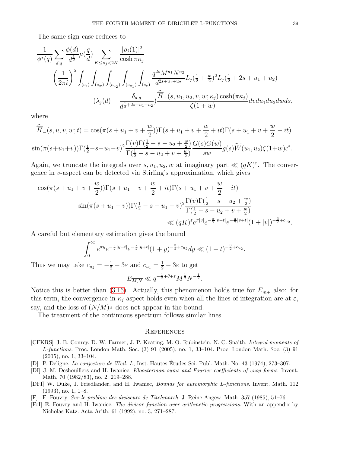The same sign case reduces to

$$
\frac{1}{\phi^*(q)} \sum_{d|q} \frac{\phi(d)}{d^{\frac{1}{2}}} \mu(\frac{q}{d}) \sum_{K \le \kappa_j < 2K} \frac{|\rho_j(1)|^2}{\cosh \pi \kappa_j} \\
\left(\frac{1}{2\pi i}\right)^5 \int_{(c_s)} \int_{(c_w)} \int_{(c_{w_2})} \int_{(c_{u_1})} \int_{(c_v)} \frac{q^{2s} M^{u_1} N^{u_2}}{d^{2s+u_1+u_2}} L_j(\frac{1}{2} + \frac{w}{2})^2 L_j(\frac{1}{2} + 2s + u_1 + u_2) \\
(\lambda_j(d) - \frac{\delta_{d,q}}{d^{\frac{1}{2} + 2s + u_1 + u_2}}) \frac{\widehat{H}_{-}(s, u_1, u_2, v, w; \kappa_j) \cosh(\pi \kappa_j)}{\zeta(1+w)} dv du_1 du_2 dw ds,
$$

where

$$
\widehat{\overline{H}}_{-}(s, u, v, w; t) = \cos(\pi(s + u_1 + v + \frac{w}{2}))\Gamma(s + u_1 + v + \frac{w}{2} + it)\Gamma(s + u_1 + v + \frac{w}{2} - it)
$$
  

$$
\sin(\pi(s + u_1 + v))\Gamma(\frac{1}{2} - s - u_1 - v)^2 \frac{\Gamma(v)\Gamma(\frac{1}{2} - s - u_2 + \frac{w}{2})}{\Gamma(\frac{1}{2} - s - u_2 + v + \frac{w}{2})} \frac{G(s)G(w)}{sw} g(s)\widetilde{W}(u_1, u_2)\zeta(1+w)c^*.
$$

Again, we truncate the integrals over  $s, u_1, u_2, w$  at imaginary part  $\ll (qK)^{\varepsilon}$ . The convergence in v-aspect can be detected via Stirling's approximation, which gives

$$
\cos(\pi(s+u_1+v+\frac{w}{2}))\Gamma(s+u_1+v+\frac{w}{2}+it)\Gamma(s+u_1+v+\frac{w}{2}-it)
$$
  

$$
\sin(\pi(s+u_1+v))\Gamma(\frac{1}{2}-s-u_1-v)^2\frac{\Gamma(v)\Gamma(\frac{1}{2}-s-u_2+\frac{w}{2})}{\Gamma(\frac{1}{2}-s-u_2+v+\frac{w}{2})}
$$
  

$$
\ll (qK)^{\varepsilon}e^{\pi|v|}e^{-\frac{\pi}{2}|v-t|}e^{-\frac{\pi}{2}|v+t|}(1+|v|)^{-\frac{3}{2}+c_{u_2}}.
$$

A careful but elementary estimation gives the bound

$$
\int_0^\infty e^{\pi y} e^{-\frac{\pi}{2}|y-t|} e^{-\frac{\pi}{2}|y+t|} (1+y)^{-\frac{3}{2}+c_{u_2}} dy \ll (1+t)^{-\frac{3}{2}+c_{u_2}}.
$$

Thus we may take  $c_{u_2} = -\frac{1}{2} - 3\varepsilon$  and  $c_{u_1} = \frac{1}{2} - 3\varepsilon$  to get  $E_{\overline{M},N} \ll q^{-\frac{1}{2} + \theta + \varepsilon} M^{\frac{1}{2}} N^{-\frac{1}{2}}.$ 

Notice this is better than (3.16). Actually, this phenomenon holds true for 
$$
E_{m+}
$$
 also: for  
this term, the convergence in  $\kappa_j$  aspect holds even when all the lines of integration are at  $\varepsilon$ ,  
say, and the loss of  $(N/M)^{\frac{1}{2}}$  does not appear in the bound.

The treatment of the continuous spectrum follows similar lines.

#### **REFERENCES**

- <span id="page-38-0"></span>[CFKRS] J. B. Conrey, D. W. Farmer, J. P. Keating, M. O. Rubinstein, N. C. Snaith, Integral moments of L-functions. Proc. London Math. Soc. (3) 91 (2005), no. 1, 33–104. Proc. London Math. Soc. (3) 91 (2005), no. 1, 33–104.
- <span id="page-38-3"></span>[D] P. Deligne, La conjecture de Weil. I., Inst. Hautes Etudes Sci. Publ. Math. No. 43 (1974), 273–307. ´
- <span id="page-38-4"></span>[DI] J.-M. Deshouillers and H. Iwaniec, Kloosterman sums and Fourier coefficients of cusp forms. Invent. Math. 70 (1982/83), no. 2, 219–288.
- <span id="page-38-5"></span>[DFI] W. Duke, J. Friedlander, and H. Iwaniec, Bounds for automorphic L-functions. Invent. Math. 112 (1993), no. 1, 1–8.
- <span id="page-38-1"></span>[F] E. Fouvry, Sur le problme des diviseurs de Titchmarsh. J. Reine Angew. Math. 357 (1985), 51–76.
- <span id="page-38-2"></span>[FoI] E. Fouvry and H. Iwaniec, The divisor function over arithmetic progressions. With an appendix by Nicholas Katz. Acta Arith. 61 (1992), no. 3, 271–287.